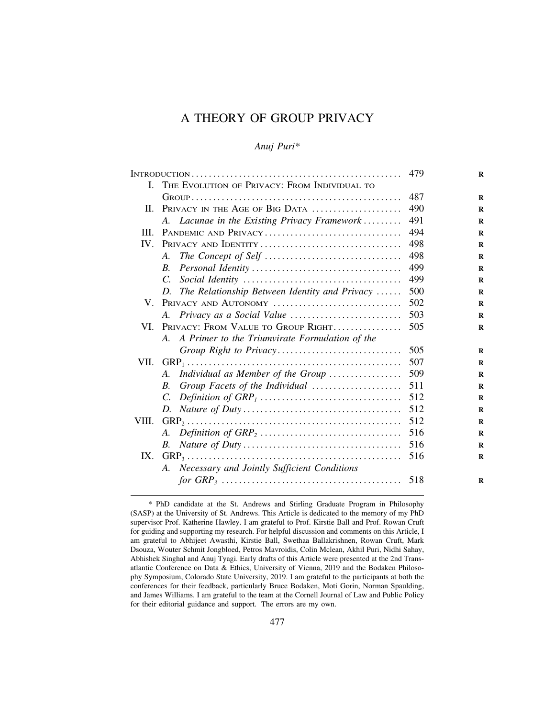# A THEORY OF GROUP PRIVACY

## *Anuj Puri\**

|       |                                                               | 479 |
|-------|---------------------------------------------------------------|-----|
| L.    | THE EVOLUTION OF PRIVACY: FROM INDIVIDUAL TO                  |     |
|       |                                                               | 487 |
| H.    | PRIVACY IN THE AGE OF BIG DATA                                | 490 |
|       | Lacunae in the Existing Privacy Framework<br>A.               | 491 |
| Ш     | PANDEMIC AND PRIVACY                                          | 494 |
| IV    | PRIVACY AND IDENTITY                                          | 498 |
|       | A.                                                            | 498 |
|       | B.                                                            | 499 |
|       | $\mathcal{C}$ .                                               | 499 |
|       | The Relationship Between Identity and Privacy<br>D.           | 500 |
|       | V. PRIVACY AND AUTONOMY                                       | 502 |
|       |                                                               | 503 |
| VL.   | PRIVACY: FROM VALUE TO GROUP RIGHT                            | 505 |
|       | A Primer to the Triumvirate Formulation of the<br>$A_{\cdot}$ |     |
|       |                                                               | 505 |
| VII.  |                                                               | 507 |
|       | Individual as Member of the Group<br>$A_{\cdot}$              | 509 |
|       | $B_{\cdot}$                                                   | 511 |
|       | $\mathcal{C}$                                                 | 512 |
|       |                                                               | 512 |
| VIII. |                                                               | 512 |
|       | А.                                                            | 516 |
|       | B.                                                            | 516 |
| IX.   |                                                               | 516 |
|       | A. Necessary and Jointly Sufficient Conditions                |     |
|       |                                                               | 518 |

<sup>\*</sup> PhD candidate at the St. Andrews and Stirling Graduate Program in Philosophy (SASP) at the University of St. Andrews. This Article is dedicated to the memory of my PhD supervisor Prof. Katherine Hawley. I am grateful to Prof. Kirstie Ball and Prof. Rowan Cruft [for guiding and supporting my research. For helpful discussion and comments on this Article, I](#page-42-0)  am grateful to Abhijeet Awasthi, Kirstie Ball, Swethaa Ballakrishnen, Rowan Cruft, Mark Dsouza, Wouter Schmit Jongbloed, Petros Mavroidis, Colin Mclean, Akhil Puri, Nidhi Sahay, Abhishek Singhal and Anuj Tyagi. Early drafts of this Article were presented at the 2nd Transatlantic Conference on Data & Ethics, University of Vienna, 2019 and the Bodaken Philosophy Symposium, Colorado State University, 2019. I am grateful to the participants at both the conferences for their feedback, particularly Bruce Bodaken, Moti Gorin, Norman Spaulding, and James Williams. I am grateful to the team at the Cornell Journal of Law and Public Policy for their editorial guidance and support. The errors are my own.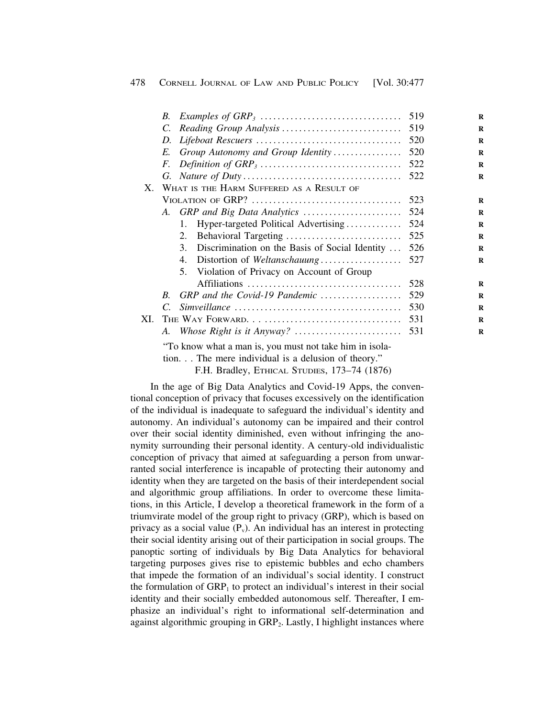|         | B.                                                                                                            |                                                      | 519 |  |  |
|---------|---------------------------------------------------------------------------------------------------------------|------------------------------------------------------|-----|--|--|
|         | C.                                                                                                            |                                                      |     |  |  |
|         | D.                                                                                                            |                                                      | 520 |  |  |
|         | E.                                                                                                            | Group Autonomy and Group Identity                    | 520 |  |  |
|         | F.                                                                                                            |                                                      | 522 |  |  |
|         | G.                                                                                                            |                                                      |     |  |  |
| $X_{-}$ |                                                                                                               | WHAT IS THE HARM SUFFERED AS A RESULT OF             |     |  |  |
|         |                                                                                                               |                                                      | 523 |  |  |
|         |                                                                                                               |                                                      | 524 |  |  |
|         |                                                                                                               | Hyper-targeted Political Advertising<br>1.           | 524 |  |  |
|         |                                                                                                               | 2.                                                   | 525 |  |  |
|         |                                                                                                               | Discrimination on the Basis of Social Identity<br>3. | 526 |  |  |
|         |                                                                                                               | Distortion of Weltanschauung<br>4.                   | 527 |  |  |
|         |                                                                                                               | 5.<br>Violation of Privacy on Account of Group       |     |  |  |
|         |                                                                                                               |                                                      | 528 |  |  |
|         | B.                                                                                                            | GRP and the Covid-19 Pandemic $\ldots$               | 529 |  |  |
|         | $\overline{C}$                                                                                                |                                                      | 530 |  |  |
| XI.     |                                                                                                               |                                                      | 531 |  |  |
|         | A.                                                                                                            |                                                      |     |  |  |
|         | "To know what a man is, you must not take him in isola-<br>tion The mere individual is a delusion of theory." |                                                      |     |  |  |
|         |                                                                                                               |                                                      |     |  |  |
|         |                                                                                                               |                                                      |     |  |  |

F.H. Bradley, ETHICAL STUDIES, 173–74 (1876)

In the age of Big Data Analytics and Covid-19 Apps, the conventional conception of privacy that focuses excessively on the identification of the individual is inadequate to safeguard the individual's identity and autonomy. An individual's autonomy can be impaired and their control over their social identity diminished, even without infringing the anonymity surrounding their personal identity. A century-old individualistic conception of privacy that aimed at safeguarding a person from unwarranted social interference is incapable of protecting their autonomy and identity when they are targeted on the basis of their interdependent social and algorithmic group affiliations. In order to overcome these limitations, in this Article, I develop a theoretical framework in the form of a triumvirate model of the group right to privacy (GRP), which is based on privacy as a social value  $(P_v)$ . An individual has an interest in protecting their social identity arising out of their participation in social groups. The panoptic sorting of individuals by Big Data Analytics for behavioral targeting purposes gives rise to epistemic bubbles and echo chambers that impede the formation of an individual's social identity. I construct the formulation of  $\text{GRP}_1$  to protect an individual's interest in their social identity and their socially embedded autonomous self. Thereafter, I emphasize an individual's right to informational self-determination and against algorithmic grouping in  $\text{GRP}_2$ . Lastly, I highlight instances where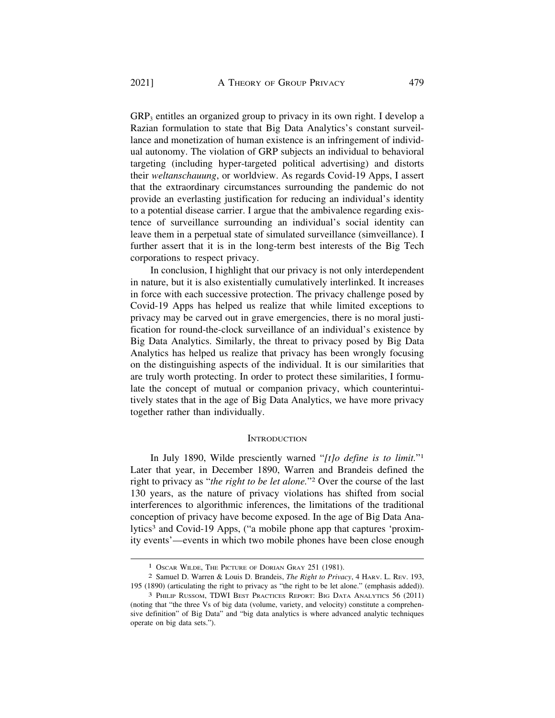$GRP<sub>3</sub>$  entitles an organized group to privacy in its own right. I develop a Razian formulation to state that Big Data Analytics's constant surveillance and monetization of human existence is an infringement of individual autonomy. The violation of GRP subjects an individual to behavioral targeting (including hyper-targeted political advertising) and distorts their *weltanschauung*, or worldview. As regards Covid-19 Apps, I assert that the extraordinary circumstances surrounding the pandemic do not provide an everlasting justification for reducing an individual's identity to a potential disease carrier. I argue that the ambivalence regarding existence of surveillance surrounding an individual's social identity can leave them in a perpetual state of simulated surveillance (simveillance). I further assert that it is in the long-term best interests of the Big Tech corporations to respect privacy.

In conclusion, I highlight that our privacy is not only interdependent in nature, but it is also existentially cumulatively interlinked. It increases in force with each successive protection. The privacy challenge posed by Covid-19 Apps has helped us realize that while limited exceptions to privacy may be carved out in grave emergencies, there is no moral justification for round-the-clock surveillance of an individual's existence by Big Data Analytics. Similarly, the threat to privacy posed by Big Data Analytics has helped us realize that privacy has been wrongly focusing on the distinguishing aspects of the individual. It is our similarities that are truly worth protecting. In order to protect these similarities, I formulate the concept of mutual or companion privacy, which counterintuitively states that in the age of Big Data Analytics, we have more privacy together rather than individually.

## **INTRODUCTION**

In July 1890, Wilde presciently warned "*[t]o define is to limit.*"1 Later that year, in December 1890, Warren and Brandeis defined the right to privacy as "*the right to be let alone.*"2 Over the course of the last 130 years, as the nature of privacy violations has shifted from social interferences to algorithmic inferences, the limitations of the traditional conception of privacy have become exposed. In the age of Big Data Analytics<sup>3</sup> and Covid-19 Apps, ("a mobile phone app that captures 'proximity events'—events in which two mobile phones have been close enough

<sup>1</sup> OSCAR WILDE, THE PICTURE OF DORIAN GRAY 251 (1981).

<sup>2</sup> Samuel D. Warren & Louis D. Brandeis, *The Right to Privacy*, 4 HARV. L. REV. 193, 195 (1890) (articulating the right to privacy as "the right to be let alone." (emphasis added)).

<sup>3</sup> PHILIP RUSSOM, TDWI BEST PRACTICES REPORT: BIG DATA ANALYTICS 56 (2011) (noting that "the three Vs of big data (volume, variety, and velocity) constitute a comprehensive definition" of Big Data" and "big data analytics is where advanced analytic techniques operate on big data sets.").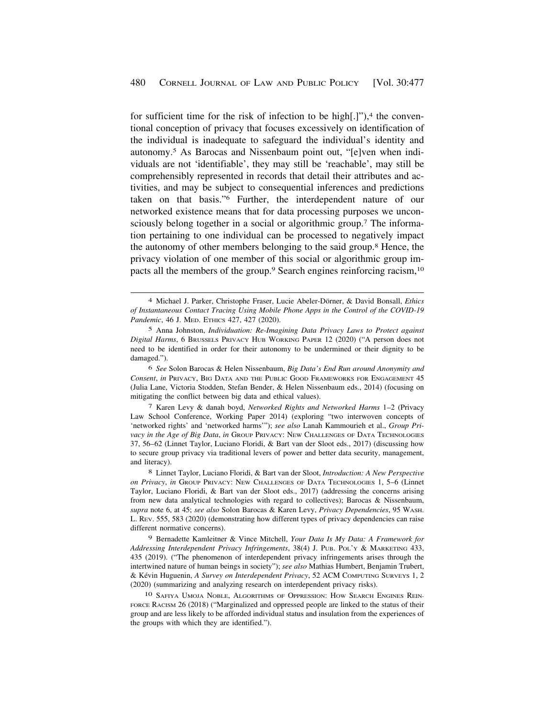for sufficient time for the risk of infection to be high[.]"),<sup>4</sup> the conventional conception of privacy that focuses excessively on identification of the individual is inadequate to safeguard the individual's identity and autonomy.5 As Barocas and Nissenbaum point out, "[e]ven when individuals are not 'identifiable', they may still be 'reachable', may still be comprehensibly represented in records that detail their attributes and activities, and may be subject to consequential inferences and predictions taken on that basis."6 Further, the interdependent nature of our networked existence means that for data processing purposes we unconsciously belong together in a social or algorithmic group.7 The information pertaining to one individual can be processed to negatively impact the autonomy of other members belonging to the said group.8 Hence, the privacy violation of one member of this social or algorithmic group impacts all the members of the group.<sup>9</sup> Search engines reinforcing racism,<sup>10</sup>

6 *See* Solon Barocas & Helen Nissenbaum, *Big Data's End Run around Anonymity and Consent*, *in* PRIVACY, BIG DATA AND THE PUBLIC GOOD FRAMEWORKS FOR ENGAGEMENT 45 (Julia Lane, Victoria Stodden, Stefan Bender, & Helen Nissenbaum eds., 2014) (focusing on mitigating the conflict between big data and ethical values).

7 Karen Levy & danah boyd, *Networked Rights and Networked Harms* 1–2 (Privacy Law School Conference, Working Paper 2014) (exploring "two interwoven concepts of 'networked rights' and 'networked harms'"); *see also* Lanah Kammourieh et al., *Group Privacy in the Age of Big Data, in GROUP PRIVACY: NEW CHALLENGES OF DATA TECHNOLOGIES* 37, 56–62 (Linnet Taylor, Luciano Floridi, & Bart van der Sloot eds., 2017) (discussing how to secure group privacy via traditional levers of power and better data security, management, and literacy).

8 Linnet Taylor, Luciano Floridi, & Bart van der Sloot, *Introduction: A New Perspective on Privacy*, *in* GROUP PRIVACY: NEW CHALLENGES OF DATA TECHNOLOGIES 1, 5–6 (Linnet Taylor, Luciano Floridi, & Bart van der Sloot eds., 2017) (addressing the concerns arising from new data analytical technologies with regard to collectives); Barocas & Nissenbaum, *supra* note 6, at 45; *see also* Solon Barocas & Karen Levy, *Privacy Dependencies*, 95 WASH. L. REV. 555, 583 (2020) (demonstrating how different types of privacy dependencies can raise different normative concerns).

9 Bernadette Kamleitner & Vince Mitchell, *Your Data Is My Data: A Framework for Addressing Interdependent Privacy Infringements*, 38(4) J. PUB. POL'Y & MARKETING 433, 435 (2019). ("The phenomenon of interdependent privacy infringements arises through the intertwined nature of human beings in society"); *see also* Mathias Humbert, Benjamin Trubert, & K´evin Huguenin, *A Survey on Interdependent Privacy*, 52 ACM COMPUTING SURVEYS 1, 2 (2020) (summarizing and analyzing research on interdependent privacy risks).

10 SAFIYA UMOJA NOBLE, ALGORITHMS OF OPPRESSION: HOW SEARCH ENGINES REIN-FORCE RACISM 26 (2018) ("Marginalized and oppressed people are linked to the status of their group and are less likely to be afforded individual status and insulation from the experiences of the groups with which they are identified.").

<sup>&</sup>lt;sup>4</sup> Michael J. Parker, Christophe Fraser, Lucie Abeler-Dörner, & David Bonsall, *Ethics of Instantaneous Contact Tracing Using Mobile Phone Apps in the Control of the COVID-19 Pandemic*, 46 J. MED. ETHICS 427, 427 (2020).

<sup>5</sup> Anna Johnston, *Individuation: Re-Imagining Data Privacy Laws to Protect against Digital Harms*, 6 BRUSSELS PRIVACY HUB WORKING PAPER 12 (2020) ("A person does not need to be identified in order for their autonomy to be undermined or their dignity to be damaged.").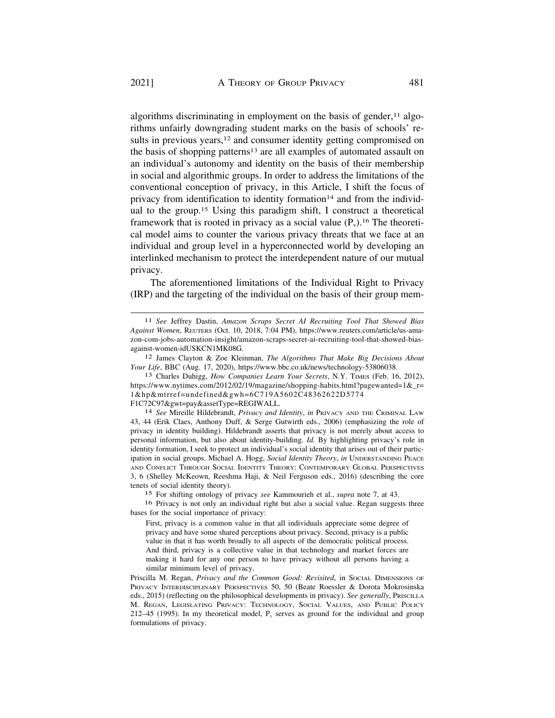algorithms discriminating in employment on the basis of gender, $<sup>11</sup>$  algo-</sup> rithms unfairly downgrading student marks on the basis of schools' results in previous years,<sup>12</sup> and consumer identity getting compromised on the basis of shopping patterns13 are all examples of automated assault on an individual's autonomy and identity on the basis of their membership in social and algorithmic groups. In order to address the limitations of the conventional conception of privacy, in this Article, I shift the focus of privacy from identification to identity formation<sup>14</sup> and from the individual to the [group.15](https://group.15) Using this paradigm shift, I construct a theoretical framework that is rooted in privacy as a social value  $(P_v)$ .<sup>16</sup> The theoretical model aims to counter the various privacy threats that we face at an individual and group level in a hyperconnected world by developing an interlinked mechanism to protect the interdependent nature of our mutual privacy.

The aforementioned limitations of the Individual Right to Privacy (IRP) and the targeting of the individual on the basis of their group mem-

15 For shifting ontology of privacy *see* Kammourieh et al., *supra* note 7, at 43.

16 Privacy is not only an individual right but also a social value. Regan suggests three bases for the social importance of privacy:

First, privacy is a common value in that all individuals appreciate some degree of privacy and have some shared perceptions about privacy. Second, privacy is a public value in that it has worth broadly to all aspects of the democratic political process. And third, privacy is a collective value in that technology and market forces are making it hard for any one person to have privacy without all persons having a similar minimum level of privacy.

<sup>11</sup> *See* Jeffrey Dastin, *Amazon Scraps Secret AI Recruiting Tool That Showed Bias Against Women*, REUTERS (Oct. 10, 2018, 7:04 PM), <https://www.reuters.com/article/us-ama>zon-com-jobs-automation-insight/amazon-scraps-secret-ai-recruiting-tool-that-showed-bias-

against-women-idUSKCN1MK08G. 12 James Clayton & Zoe Kleinman, *The Algorithms That Make Big Decisions About* 

*Your Life*, BBC (Aug. 17, 2020), [https://www.bbc.co.uk/news/technology-53806038.](https://www.bbc.co.uk/news/technology-53806038) 13 Charles Duhigg, *How Companies Learn Your Secrets*, N.Y. TIMES (Feb. 16, 2012), [https://www.nytimes.com/2012/02/19/magazine/shopping-habits.html?pagewanted=1&\\_r=](https://www.nytimes.com/2012/02/19/magazine/shopping-habits.html?pagewanted=1&_r) 1&hp&mtrref=undefined&gwh=6C719A5602C48362622D5774

F1C72C97&gwt=pay&assetType=REGIWALL. 14 *See* Mireille Hildebrandt, *Privacy and Identity*, *in* PRIVACY AND THE CRIMINAL LAW 43, 44 (Erik Claes, Anthony Duff, & Serge Gutwirth eds., 2006) (emphasizing the role of privacy in identity building). Hildebrandt asserts that privacy is not merely about access to personal information, but also about identity-building. *Id.* By highlighting privacy's role in identity formation, I seek to protect an individual's social identity that arises out of their participation in social groups. Michael A. Hogg, *Social Identity Theory*, *in* UNDERSTANDING PEACE AND CONFLICT THROUGH SOCIAL IDENTITY THEORY: CONTEMPORARY GLOBAL PERSPECTIVES 3, 6 (Shelley McKeown, Reeshma Haji, & Neil Ferguson eds., 2016) (describing the core tenets of social identity theory).

Priscilla M. Regan, *Privacy and the Common Good: Revisited*, in SOCIAL DIMENSIONS OF PRIVACY INTERDISCIPLINARY PERSPECTIVES 50, 50 (Beate Roessler & Dorota Mokrosinska eds., 2015) (reflecting on the philosophical developments in privacy). *See generally*, PRISCILLA M. REGAN, LEGISLATING PRIVACY: TECHNOLOGY, SOCIAL VALUES, AND PUBLIC POLICY 212–45 (1995). In my theoretical model,  $P<sub>v</sub>$  serves as ground for the individual and group formulations of privacy.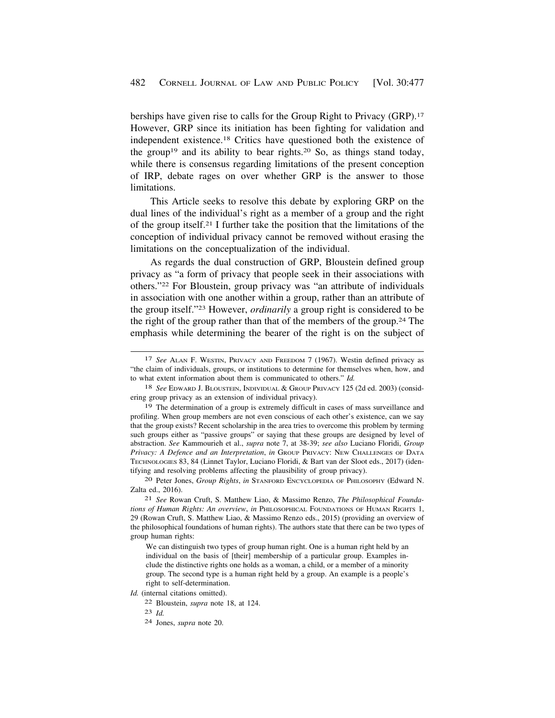berships have given rise to calls for the Group Right to Privacy (GRP).17 However, GRP since its initiation has been fighting for validation and independent [existence.18](https://existence.18) Critics have questioned both the existence of the group<sup>19</sup> and its ability to bear rights.<sup>20</sup> So, as things stand today, while there is consensus regarding limitations of the present conception of IRP, debate rages on over whether GRP is the answer to those limitations.

This Article seeks to resolve this debate by exploring GRP on the dual lines of the individual's right as a member of a group and the right of the group [itself.21](https://itself.21) I further take the position that the limitations of the conception of individual privacy cannot be removed without erasing the limitations on the conceptualization of the individual.

As regards the dual construction of GRP, Bloustein defined group privacy as "a form of privacy that people seek in their associations with others."22 For Bloustein, group privacy was "an attribute of individuals in association with one another within a group, rather than an attribute of the group itself."23 However, *ordinarily* a group right is considered to be the right of the group rather than that of the members of the [group.24](https://group.24) The emphasis while determining the bearer of the right is on the subject of

We can distinguish two types of group human right. One is a human right held by an individual on the basis of [their] membership of a particular group. Examples include the distinctive rights one holds as a woman, a child, or a member of a minority group. The second type is a human right held by a group. An example is a people's right to self-determination.

*Id.* (internal citations omitted).

24 Jones, *supra* note 20.

<sup>17</sup> *See* ALAN F. WESTIN, PRIVACY AND FREEDOM 7 (1967). Westin defined privacy as "the claim of individuals, groups, or institutions to determine for themselves when, how, and to what extent information about them is communicated to others." *Id.* 

<sup>18</sup> *See* EDWARD J. BLOUSTEIN, INDIVIDUAL & GROUP PRIVACY 125 (2d ed. 2003) (considering group privacy as an extension of individual privacy).

<sup>&</sup>lt;sup>19</sup> The determination of a group is extremely difficult in cases of mass surveillance and profiling. When group members are not even conscious of each other's existence, can we say that the group exists? Recent scholarship in the area tries to overcome this problem by terming such groups either as "passive groups" or saying that these groups are designed by level of abstraction. *See* Kammourieh et al., *supra* note 7, at 38-39; *see also* Luciano Floridi, *Group Privacy: A Defence and an Interpretation, in GROUP PRIVACY: NEW CHALLENGES OF DATA* TECHNOLOGIES 83, 84 (Linnet Taylor, Luciano Floridi, & Bart van der Sloot eds., 2017) (identifying and resolving problems affecting the plausibility of group privacy).

<sup>20</sup> Peter Jones, *Group Rights*, *in* STANFORD ENCYCLOPEDIA OF PHILOSOPHY (Edward N. Zalta ed., 2016).

<sup>21</sup> *See* Rowan Cruft, S. Matthew Liao, & Massimo Renzo, *The Philosophical Foundations of Human Rights: An overview*, *in* PHILOSOPHICAL FOUNDATIONS OF HUMAN RIGHTS 1, 29 (Rowan Cruft, S. Matthew Liao, & Massimo Renzo eds., 2015) (providing an overview of the philosophical foundations of human rights). The authors state that there can be two types of group human rights:

<sup>22</sup> Bloustein, *supra* note 18, at 124.

<sup>23</sup> *Id.*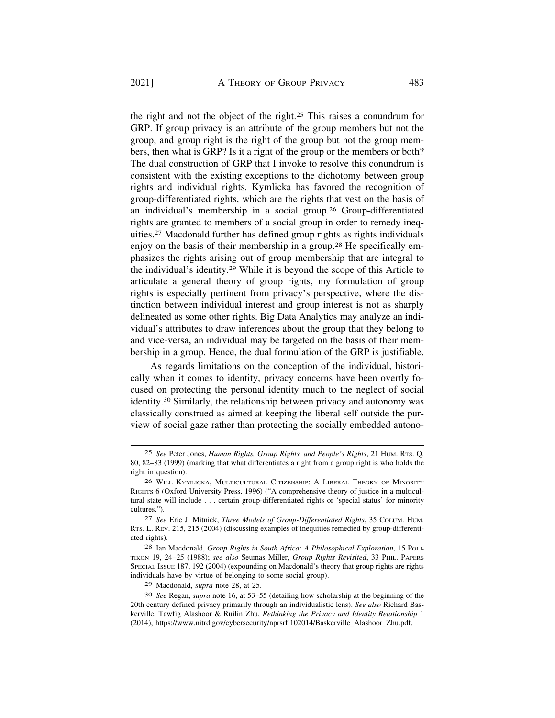the right and not the object of the [right.25](https://right.25) This raises a conundrum for GRP. If group privacy is an attribute of the group members but not the group, and group right is the right of the group but not the group members, then what is GRP? Is it a right of the group or the members or both? The dual construction of GRP that I invoke to resolve this conundrum is consistent with the existing exceptions to the dichotomy between group rights and individual rights. Kymlicka has favored the recognition of group-differentiated rights, which are the rights that vest on the basis of an individual's membership in a social [group.26](https://group.26) Group-differentiated rights are granted to members of a social group in order to remedy ineq[uities.27](https://uities.27) Macdonald further has defined group rights as rights individuals enjoy on the basis of their membership in a [group.28](https://group.28) He specifically emphasizes the rights arising out of group membership that are integral to the individual's [identity.29](https://identity.29) While it is beyond the scope of this Article to articulate a general theory of group rights, my formulation of group rights is especially pertinent from privacy's perspective, where the distinction between individual interest and group interest is not as sharply delineated as some other rights. Big Data Analytics may analyze an individual's attributes to draw inferences about the group that they belong to and vice-versa, an individual may be targeted on the basis of their membership in a group. Hence, the dual formulation of the GRP is justifiable.

As regards limitations on the conception of the individual, historically when it comes to identity, privacy concerns have been overtly focused on protecting the personal identity much to the neglect of social [identity.30](https://identity.30) Similarly, the relationship between privacy and autonomy was classically construed as aimed at keeping the liberal self outside the purview of social gaze rather than protecting the socially embedded autono-

29 Macdonald, *supra* note 28, at 25.

<sup>25</sup> *See* Peter Jones, *Human Rights, Group Rights, and People's Rights*, 21 HUM. RTS. Q. 80, 82–83 (1999) (marking that what differentiates a right from a group right is who holds the right in question).

<sup>26</sup> WILL KYMLICKA, MULTICULTURAL CITIZENSHIP: A LIBERAL THEORY OF MINORITY RIGHTS 6 (Oxford University Press, 1996) ("A comprehensive theory of justice in a multicultural state will include . . . certain group-differentiated rights or 'special status' for minority cultures.").

<sup>27</sup> *See* Eric J. Mitnick, *Three Models of Group-Differentiated Rights*, 35 COLUM. HUM. RTS. L. REV. 215, 215 (2004) (discussing examples of inequities remedied by group-differentiated rights).

<sup>28</sup> Ian Macdonald, *Group Rights in South Africa: A Philosophical Exploration*, 15 POLI-TIKON 19, 24–25 (1988); *see also* Seumas Miller, *Group Rights Revisited*, 33 PHIL. PAPERS SPECIAL ISSUE 187, 192 (2004) (expounding on Macdonald's theory that group rights are rights individuals have by virtue of belonging to some social group).

<sup>30</sup> *See* Regan, *supra* note 16, at 53–55 (detailing how scholarship at the beginning of the 20th century defined privacy primarily through an individualistic lens). *See also* Richard Baskerville, Tawfig Alashoor & Ruilin Zhu, *Rethinking the Privacy and Identity Relationship* 1 (2014), [https://www.nitrd.gov/cybersecurity/nprsrfi102014/Baskerville\\_Alashoor\\_Zhu.pdf](https://www.nitrd.gov/cybersecurity/nprsrfi102014/Baskerville_Alashoor_Zhu.pdf).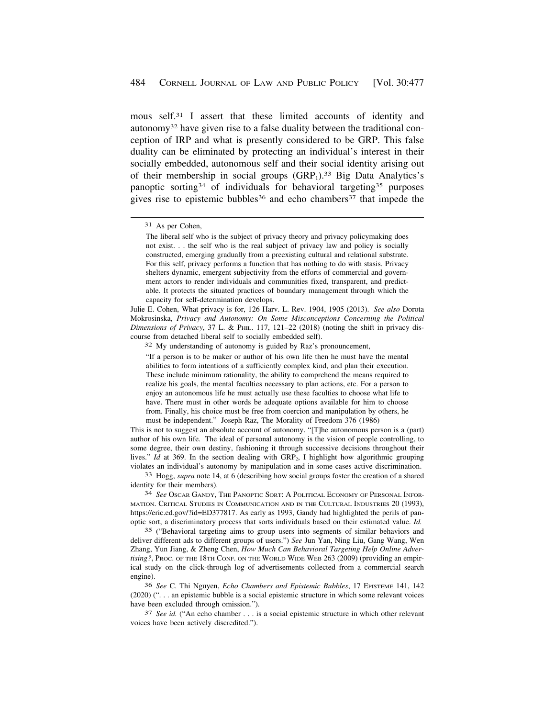mous self.31 I assert that these limited accounts of identity and autonomy32 have given rise to a false duality between the traditional conception of IRP and what is presently considered to be GRP. This false duality can be eliminated by protecting an individual's interest in their socially embedded, autonomous self and their social identity arising out of their membership in social groups  $(GRP_1)^{33}$  Big Data Analytics's panoptic sorting<sup>34</sup> of individuals for behavioral targeting<sup>35</sup> purposes gives rise to epistemic bubbles<sup>36</sup> and echo chambers<sup>37</sup> that impede the

Julie E. Cohen, What privacy is for, 126 Harv. L. Rev. 1904, 1905 (2013). *See also* Dorota Mokrosinska, *Privacy and Autonomy: On Some Misconceptions Concerning the Political Dimensions of Privacy*, 37 L. & PHIL. 117, 121–22 (2018) (noting the shift in privacy discourse from detached liberal self to socially embedded self).

32 My understanding of autonomy is guided by Raz's pronouncement,

"If a person is to be maker or author of his own life then he must have the mental abilities to form intentions of a sufficiently complex kind, and plan their execution. These include minimum rationality, the ability to comprehend the means required to realize his goals, the mental faculties necessary to plan actions, etc. For a person to enjoy an autonomous life he must actually use these faculties to choose what life to have. There must in other words be adequate options available for him to choose from. Finally, his choice must be free from coercion and manipulation by others, he must be independent." Joseph Raz, The Morality of Freedom 376 (1986)

This is not to suggest an absolute account of autonomy. "[T]he autonomous person is a (part) author of his own life. The ideal of personal autonomy is the vision of people controlling, to some degree, their own destiny, fashioning it through successive decisions throughout their lives." *Id* at 369. In the section dealing with  $\text{GRP}_2$ , I highlight how algorithmic grouping violates an individual's autonomy by manipulation and in some cases active discrimination.

33 Hogg, *supra* note 14, at 6 (describing how social groups foster the creation of a shared identity for their members).

34 *See* OSCAR GANDY, THE PANOPTIC SORT: A POLITICAL ECONOMY OF PERSONAL INFOR-MATION. CRITICAL STUDIES IN COMMUNICATION AND IN THE CULTURAL INDUSTRIES 20 (1993), [https://eric.ed.gov/?id=ED377817.](https://eric.ed.gov/?id=ED377817) As early as 1993, Gandy had highlighted the perils of panoptic sort, a discriminatory process that sorts individuals based on their estimated value. *Id.* 

35 ("Behavioral targeting aims to group users into segments of similar behaviors and deliver different ads to different groups of users.") *See* Jun Yan, Ning Liu, Gang Wang, Wen Zhang, Yun Jiang, & Zheng Chen, *How Much Can Behavioral Targeting Help Online Advertising?*, PROC. OF THE 18TH CONF. ON THE WORLD WIDE WEB 263 (2009) (providing an empirical study on the click-through log of advertisements collected from a commercial search engine).

36 *See* C. Thi Nguyen, *Echo Chambers and Epistemic Bubbles*, 17 EPISTEME 141, 142 (2020) (". . . an epistemic bubble is a social epistemic structure in which some relevant voices have been excluded through omission.").

37 *See id.* ("An echo chamber . . . is a social epistemic structure in which other relevant voices have been actively discredited.").

<sup>31</sup> As per Cohen,

The liberal self who is the subject of privacy theory and privacy policymaking does not exist. . . the self who is the real subject of privacy law and policy is socially constructed, emerging gradually from a preexisting cultural and relational substrate. For this self, privacy performs a function that has nothing to do with stasis. Privacy shelters dynamic, emergent subjectivity from the efforts of commercial and government actors to render individuals and communities fixed, transparent, and predictable. It protects the situated practices of boundary management through which the capacity for self-determination develops.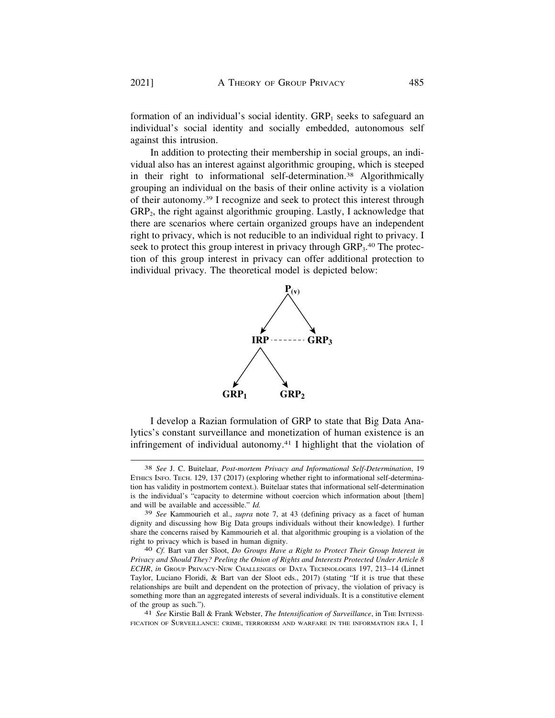formation of an individual's social identity.  $GRP<sub>1</sub>$  seeks to safeguard an individual's social identity and socially embedded, autonomous self against this intrusion.

In addition to protecting their membership in social groups, an individual also has an interest against algorithmic grouping, which is steeped in their right to informational self-determination.<sup>38</sup> Algorithmically grouping an individual on the basis of their online activity is a violation of their [autonomy.39](https://autonomy.39) I recognize and seek to protect this interest through  $GRP<sub>2</sub>$ , the right against algorithmic grouping. Lastly, I acknowledge that there are scenarios where certain organized groups have an independent right to privacy, which is not reducible to an individual right to privacy. I seek to protect this group interest in privacy through GRP<sub>3</sub>.<sup>40</sup> The protection of this group interest in privacy can offer additional protection to individual privacy. The theoretical model is depicted below:



I develop a Razian formulation of GRP to state that Big Data Analytics's constant surveillance and monetization of human existence is an infringement of individual [autonomy.41](https://autonomy.41) I highlight that the violation of

FICATION OF SURVEILLANCE: CRIME, TERRORISM AND WARFARE IN THE INFORMATION ERA 1, 1

<sup>38</sup> *See* J. C. Buitelaar, *Post-mortem Privacy and Informational Self-Determination*, 19 ETHICS INFO. TECH. 129, 137 (2017) (exploring whether right to informational self-determination has validity in postmortem context.). Buitelaar states that informational self-determination is the individual's "capacity to determine without coercion which information about [them] and will be available and accessible." *Id.* 

<sup>39</sup> *See* Kammourieh et al., *supra* note 7, at 43 (defining privacy as a facet of human dignity and discussing how Big Data groups individuals without their knowledge). I further share the concerns raised by Kammourieh et al. that algorithmic grouping is a violation of the

right to privacy which is based in human dignity. 40 *Cf.* Bart van der Sloot, *Do Groups Have a Right to Protect Their Group Interest in Privacy and Should They? Peeling the Onion of Rights and Interests Protected Under Article 8 ECHR*, *in* GROUP PRIVACY-NEW CHALLENGES OF DATA TECHNOLOGIES 197, 213–14 (Linnet Taylor, Luciano Floridi, & Bart van der Sloot eds., 2017) (stating "If it is true that these relationships are built and dependent on the protection of privacy, the violation of privacy is something more than an aggregated interests of several individuals. It is a constitutive element of the group as such."). 41 *See* Kirstie Ball & Frank Webster, *The Intensification of Surveillance*, in THE INTENSI-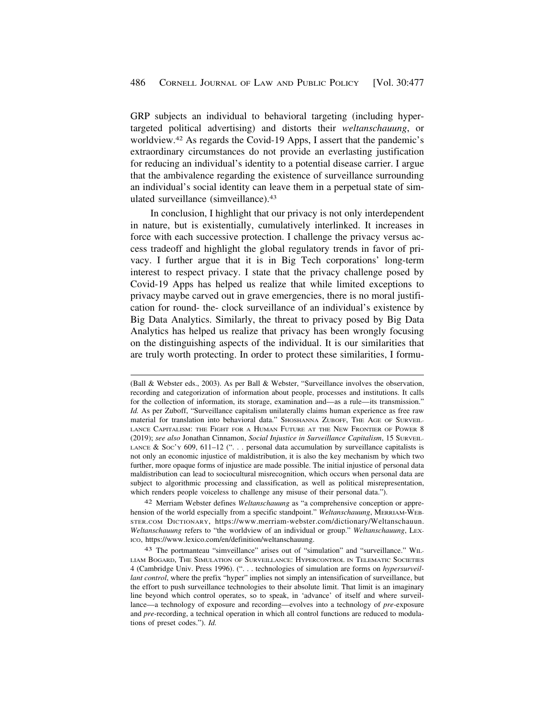GRP subjects an individual to behavioral targeting (including hypertargeted political advertising) and distorts their *weltanschauung*, or [worldview.42](https://worldview.42) As regards the Covid-19 Apps, I assert that the pandemic's extraordinary circumstances do not provide an everlasting justification for reducing an individual's identity to a potential disease carrier. I argue that the ambivalence regarding the existence of surveillance surrounding an individual's social identity can leave them in a perpetual state of simulated surveillance [\(simveillance\).43](https://simveillance).43)

In conclusion, I highlight that our privacy is not only interdependent in nature, but is existentially, cumulatively interlinked. It increases in force with each successive protection. I challenge the privacy versus access tradeoff and highlight the global regulatory trends in favor of privacy. I further argue that it is in Big Tech corporations' long-term interest to respect privacy. I state that the privacy challenge posed by Covid-19 Apps has helped us realize that while limited exceptions to privacy maybe carved out in grave emergencies, there is no moral justification for round- the- clock surveillance of an individual's existence by Big Data Analytics. Similarly, the threat to privacy posed by Big Data Analytics has helped us realize that privacy has been wrongly focusing on the distinguishing aspects of the individual. It is our similarities that are truly worth protecting. In order to protect these similarities, I formu-

42 Merriam Webster defines *Weltanschauung* as "a comprehensive conception or apprehension of the world especially from a specific standpoint." *Weltanschauung*, MERRIAM-WEB-[STER.COM](https://STER.COM) DICTIONARY, <https://www.merriam-webster.com/dictionary/Weltanschauun>. *Weltanschauung* refers to "the worldview of an individual or group." *Weltanschauung*, LEX-ICO, <https://www.lexico.com/en/definition/weltanschauung>.

<sup>(</sup>Ball & Webster eds., 2003). As per Ball & Webster, "Surveillance involves the observation, recording and categorization of information about people, processes and institutions. It calls for the collection of information, its storage, examination and—as a rule—its transmission." *Id.* As per Zuboff, "Surveillance capitalism unilaterally claims human experience as free raw material for translation into behavioral data." SHOSHANNA ZUBOFF, THE AGE OF SURVEIL-LANCE CAPITALISM: THE FIGHT FOR A HUMAN FUTURE AT THE NEW FRONTIER OF POWER 8 (2019); *see also* Jonathan Cinnamon, *Social Injustice in Surveillance Capitalism*, 15 SURVEIL-LANCE & Soc'y 609, 611–12 ("... personal data accumulation by surveillance capitalists is not only an economic injustice of maldistribution, it is also the key mechanism by which two further, more opaque forms of injustice are made possible. The initial injustice of personal data maldistribution can lead to sociocultural misrecognition, which occurs when personal data are subject to algorithmic processing and classification, as well as political misrepresentation, which renders people voiceless to challenge any misuse of their personal data.").

<sup>43</sup> The portmanteau "simveillance" arises out of "simulation" and "surveillance." WIL-LIAM BOGARD, THE SIMULATION OF SURVEILLANCE: HYPERCONTROL IN TELEMATIC SOCIETIES 4 (Cambridge Univ. Press 1996). (". . . technologies of simulation are forms on *hypersurveillant control*, where the prefix "hyper" implies not simply an intensification of surveillance, but the effort to push surveillance technologies to their absolute limit. That limit is an imaginary line beyond which control operates, so to speak, in 'advance' of itself and where surveillance—a technology of exposure and recording—evolves into a technology of *pre-*exposure and *pre-*recording, a technical operation in which all control functions are reduced to modulations of preset codes."). *Id.*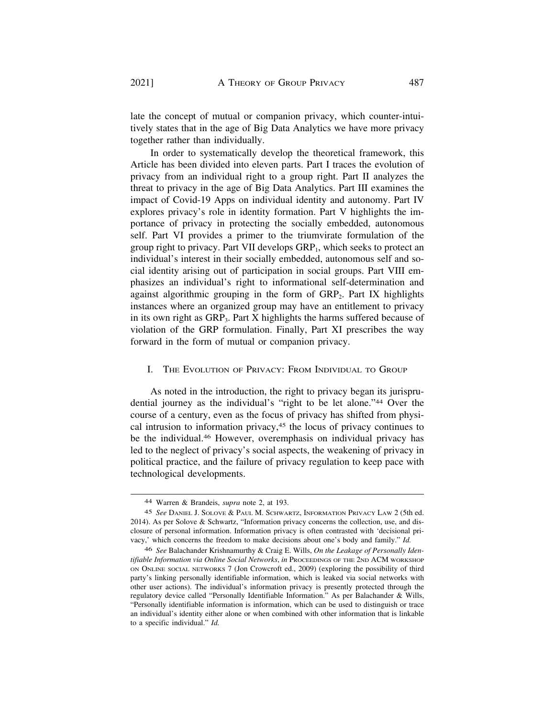late the concept of mutual or companion privacy, which counter-intuitively states that in the age of Big Data Analytics we have more privacy together rather than individually.

In order to systematically develop the theoretical framework, this Article has been divided into eleven parts. Part I traces the evolution of privacy from an individual right to a group right. Part II analyzes the threat to privacy in the age of Big Data Analytics. Part III examines the impact of Covid-19 Apps on individual identity and autonomy. Part IV explores privacy's role in identity formation. Part V highlights the importance of privacy in protecting the socially embedded, autonomous self. Part VI provides a primer to the triumvirate formulation of the group right to privacy. Part VII develops  $\text{GRP}_1$ , which seeks to protect an individual's interest in their socially embedded, autonomous self and social identity arising out of participation in social groups. Part VIII emphasizes an individual's right to informational self-determination and against algorithmic grouping in the form of  $GRP<sub>2</sub>$ . Part IX highlights instances where an organized group may have an entitlement to privacy in its own right as  $\text{GRP}_3$ . Part X highlights the harms suffered because of violation of the GRP formulation. Finally, Part XI prescribes the way forward in the form of mutual or companion privacy.

## I. THE EVOLUTION OF PRIVACY: FROM INDIVIDUAL TO GROUP

As noted in the introduction, the right to privacy began its jurisprudential journey as the individual's "right to be let alone."44 Over the course of a century, even as the focus of privacy has shifted from physical intrusion to information privacy,<sup>45</sup> the locus of privacy continues to be the [individual.46](https://individual.46) However, overemphasis on individual privacy has led to the neglect of privacy's social aspects, the weakening of privacy in political practice, and the failure of privacy regulation to keep pace with technological developments.

<sup>44</sup> Warren & Brandeis, *supra* note 2, at 193.

<sup>45</sup> *See* DANIEL J. SOLOVE & PAUL M. SCHWARTZ, INFORMATION PRIVACY LAW 2 (5th ed. 2014). As per Solove & Schwartz, "Information privacy concerns the collection, use, and disclosure of personal information. Information privacy is often contrasted with 'decisional privacy,' which concerns the freedom to make decisions about one's body and family." *Id.* 

<sup>46</sup> *See* Balachander Krishnamurthy & Craig E. Wills, *On the Leakage of Personally Identifiable Information via Online Social Networks*, *in* PROCEEDINGS OF THE 2ND ACM WORKSHOP ON ONLINE SOCIAL NETWORKS 7 (Jon Crowcroft ed., 2009) (exploring the possibility of third party's linking personally identifiable information, which is leaked via social networks with other user actions). The individual's information privacy is presently protected through the regulatory device called "Personally Identifiable Information." As per Balachander & Wills, "Personally identifiable information is information, which can be used to distinguish or trace an individual's identity either alone or when combined with other information that is linkable to a specific individual." *Id.*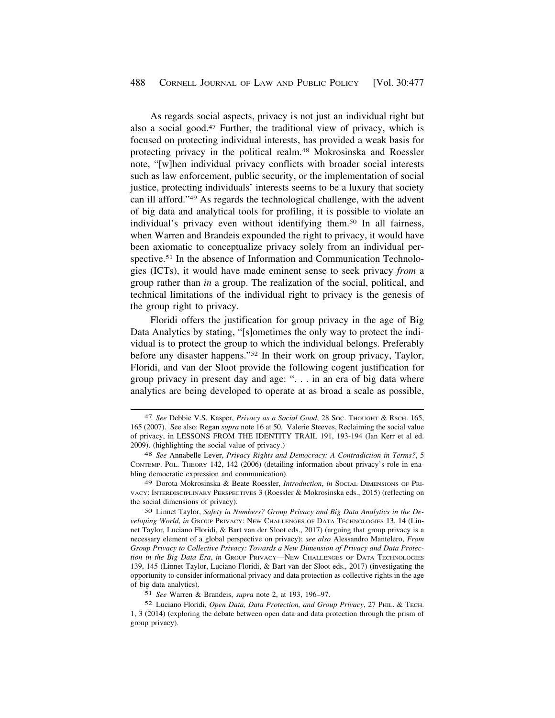As regards social aspects, privacy is not just an individual right but also a social good.47 Further, the traditional view of privacy, which is focused on protecting individual interests, has provided a weak basis for protecting privacy in the political [realm.48](https://realm.48) Mokrosinska and Roessler note, "[w]hen individual privacy conflicts with broader social interests such as law enforcement, public security, or the implementation of social justice, protecting individuals' interests seems to be a luxury that society can ill afford."49 As regards the technological challenge, with the advent of big data and analytical tools for profiling, it is possible to violate an individual's privacy even without identifying them.50 In all fairness, when Warren and Brandeis expounded the right to privacy, it would have been axiomatic to conceptualize privacy solely from an individual perspective.<sup>51</sup> In the absence of Information and Communication Technologies (ICTs), it would have made eminent sense to seek privacy *from* a group rather than *in* a group. The realization of the social, political, and technical limitations of the individual right to privacy is the genesis of the group right to privacy.

Floridi offers the justification for group privacy in the age of Big Data Analytics by stating, "[s]ometimes the only way to protect the individual is to protect the group to which the individual belongs. Preferably before any disaster happens."52 In their work on group privacy, Taylor, Floridi, and van der Sloot provide the following cogent justification for group privacy in present day and age: ". . . in an era of big data where analytics are being developed to operate at as broad a scale as possible,

<sup>47</sup> *See* Debbie V.S. Kasper, *Privacy as a Social Good*, 28 SOC. THOUGHT & RSCH. 165, 165 (2007). See also: Regan *supra* note 16 at 50. Valerie Steeves, Reclaiming the social value of privacy, in LESSONS FROM THE IDENTITY TRAIL 191, 193-194 (Ian Kerr et al ed. 2009). (highlighting the social value of privacy.)

<sup>48</sup> *See* Annabelle Lever, *Privacy Rights and Democracy: A Contradiction in Terms?*, 5 CONTEMP. POL. THEORY 142, 142 (2006) (detailing information about privacy's role in enabling democratic expression and communication).

<sup>49</sup> Dorota Mokrosinska & Beate Roessler, *Introduction*, *in* SOCIAL DIMENSIONS OF PRI-VACY: INTERDISCIPLINARY PERSPECTIVES 3 (Roessler & Mokrosinska eds., 2015) (reflecting on the social dimensions of privacy).

<sup>50</sup> Linnet Taylor, *Safety in Numbers? Group Privacy and Big Data Analytics in the Developing World*, *in* GROUP PRIVACY: NEW CHALLENGES OF DATA TECHNOLOGIES 13, 14 (Linnet Taylor, Luciano Floridi, & Bart van der Sloot eds., 2017) (arguing that group privacy is a necessary element of a global perspective on privacy); *see also* Alessandro Mantelero, *From Group Privacy to Collective Privacy: Towards a New Dimension of Privacy and Data Protection in the Big Data Era*, *in* GROUP PRIVACY—NEW CHALLENGES OF DATA TECHNOLOGIES 139, 145 (Linnet Taylor, Luciano Floridi, & Bart van der Sloot eds., 2017) (investigating the opportunity to consider informational privacy and data protection as collective rights in the age of big data analytics).

<sup>51</sup> *See* Warren & Brandeis, *supra* note 2, at 193, 196–97.

<sup>52</sup> Luciano Floridi, *Open Data, Data Protection, and Group Privacy*, 27 PHIL. & TECH. 1, 3 (2014) (exploring the debate between open data and data protection through the prism of group privacy).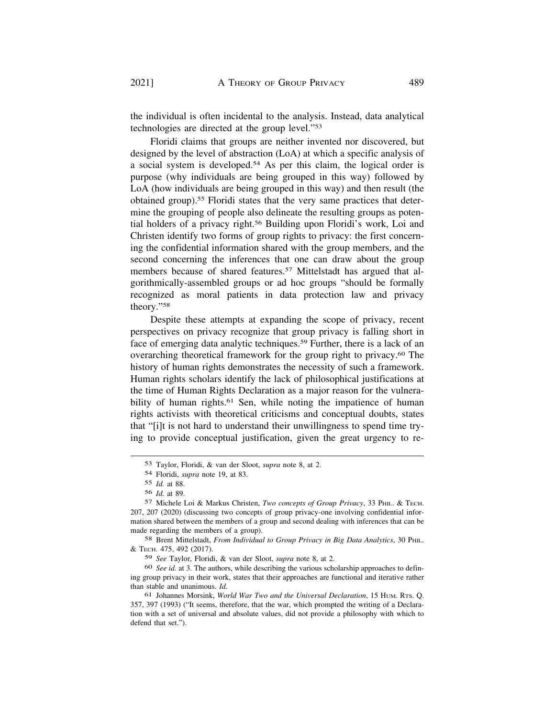the individual is often incidental to the analysis. Instead, data analytical technologies are directed at the group level."53

Floridi claims that groups are neither invented nor discovered, but designed by the level of abstraction (LoA) at which a specific analysis of a social system is [developed.54](https://developed.54) As per this claim, the logical order is purpose (why individuals are being grouped in this way) followed by LoA (how individuals are being grouped in this way) and then result (the obtained [group\).55](https://group).55) Floridi states that the very same practices that determine the grouping of people also delineate the resulting groups as potential holders of a privacy [right.56](https://right.56) Building upon Floridi's work, Loi and Christen identify two forms of group rights to privacy: the first concerning the confidential information shared with the group members, and the second concerning the inferences that one can draw about the group members because of shared features.<sup>57</sup> Mittelstadt has argued that algorithmically-assembled groups or ad hoc groups "should be formally recognized as moral patients in data protection law and privacy theory."58

Despite these attempts at expanding the scope of privacy, recent perspectives on privacy recognize that group privacy is falling short in face of emerging data analytic [techniques.59](https://techniques.59) Further, there is a lack of an overarching theoretical framework for the group right to [privacy.60](https://privacy.60) The history of human rights demonstrates the necessity of such a framework. Human rights scholars identify the lack of philosophical justifications at the time of Human Rights Declaration as a major reason for the vulnerability of human rights.<sup>61</sup> Sen, while noting the impatience of human rights activists with theoretical criticisms and conceptual doubts, states that "[i]t is not hard to understand their unwillingness to spend time trying to provide conceptual justification, given the great urgency to re-

58 Brent Mittelstadt, *From Individual to Group Privacy in Big Data Analytics*, 30 PHIL. & TECH. 475, 492 (2017).

59 *See* Taylor, Floridi, & van der Sloot, *supra* note 8, at 2.

60 *See id.* at 3. The authors, while describing the various scholarship approaches to defining group privacy in their work, states that their approaches are functional and iterative rather than stable and unanimous. *Id.* 

<sup>53</sup> Taylor, Floridi, & van der Sloot, *supra* note 8, at 2.

<sup>54</sup> Floridi, *supra* note 19, at 83.

<sup>55</sup> *Id.* at 88.

<sup>56</sup> *Id.* at 89.

<sup>57</sup> Michele Loi & Markus Christen, *Two concepts of Group Privacy*, 33 PHIL. & TECH. 207, 207 (2020) (discussing two concepts of group privacy-one involving confidential information shared between the members of a group and second dealing with inferences that can be made regarding the members of a group).

<sup>61</sup> Johannes Morsink, *World War Two and the Universal Declaration*, 15 HUM. RTS. Q. 357, 397 (1993) ("It seems, therefore, that the war, which prompted the writing of a Declaration with a set of universal and absolute values, did not provide a philosophy with which to defend that set.").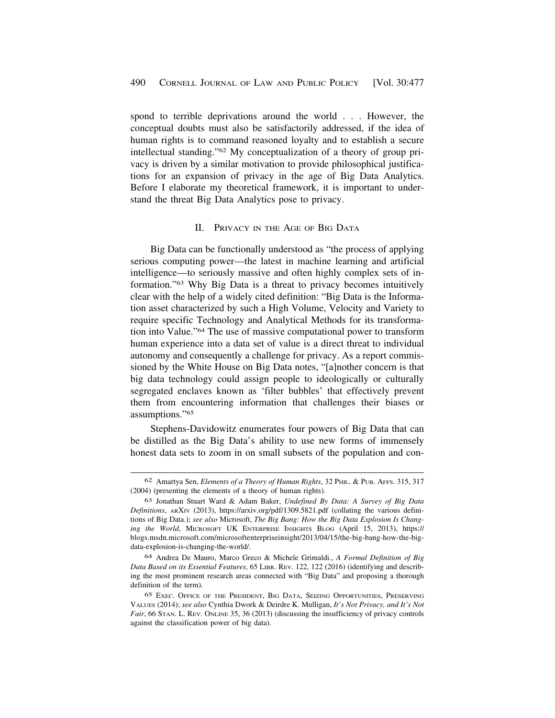spond to terrible deprivations around the world . . . However, the conceptual doubts must also be satisfactorily addressed, if the idea of human rights is to command reasoned loyalty and to establish a secure intellectual standing."62 My conceptualization of a theory of group privacy is driven by a similar motivation to provide philosophical justifications for an expansion of privacy in the age of Big Data Analytics. Before I elaborate my theoretical framework, it is important to understand the threat Big Data Analytics pose to privacy.

## II. PRIVACY IN THE AGE OF BIG DATA

Big Data can be functionally understood as "the process of applying serious computing power—the latest in machine learning and artificial intelligence—to seriously massive and often highly complex sets of information."63 Why Big Data is a threat to privacy becomes intuitively clear with the help of a widely cited definition: "Big Data is the Information asset characterized by such a High Volume, Velocity and Variety to require specific Technology and Analytical Methods for its transformation into Value."64 The use of massive computational power to transform human experience into a data set of value is a direct threat to individual autonomy and consequently a challenge for privacy. As a report commissioned by the White House on Big Data notes, "[a]nother concern is that big data technology could assign people to ideologically or culturally segregated enclaves known as 'filter bubbles' that effectively prevent them from encountering information that challenges their biases or assumptions."65

Stephens-Davidowitz enumerates four powers of Big Data that can be distilled as the Big Data's ability to use new forms of immensely honest data sets to zoom in on small subsets of the population and con-

<sup>62</sup> Amartya Sen, *Elements of a Theory of Human Rights*, 32 PHIL. & PUB. AFFS. 315, 317 (2004) (presenting the elements of a theory of human rights).

<sup>63</sup> Jonathan Stuart Ward & Adam Baker, *Undefined By Data: A Survey of Big Data Definitions*, ARXIV (2013), <https://arxiv.org/pdf/1309.5821.pdf> (collating the various definitions of Big Data.); *see also* Microsoft, *The Big Bang: How the Big Data Explosion Is Changing the World*, MICROSOFT UK ENTERPRISE INSIGHTS BLOG (April 15, 2013), https:// [blogs.msdn.microsoft.com/microsoftenterpriseinsight/2013/04/15/the-big-bang-how-the-big](https://blogs.msdn.microsoft.com/microsoftenterpriseinsight/2013/04/15/the-big-bang-how-the-big)data-explosion-is-changing-the-world/.

<sup>64</sup> Andrea De Mauro, Marco Greco & Michele Grimaldi., *A Formal Definition of Big Data Based on its Essential Features*, 65 LIBR. REV. 122, 122 (2016) (identifying and describing the most prominent research areas connected with "Big Data" and proposing a thorough definition of the term).

<sup>65</sup> EXEC. OFFICE OF THE PRESIDENT, BIG DATA, SEIZING OPPORTUNITIES, PRESERVING VALUES (2014); *see also* Cynthia Dwork & Deirdre K. Mulligan, *It's Not Privacy, and It's Not Fair*, 66 STAN. L. REV. ONLINE 35, 36 (2013) (discussing the insufficiency of privacy controls against the classification power of big data).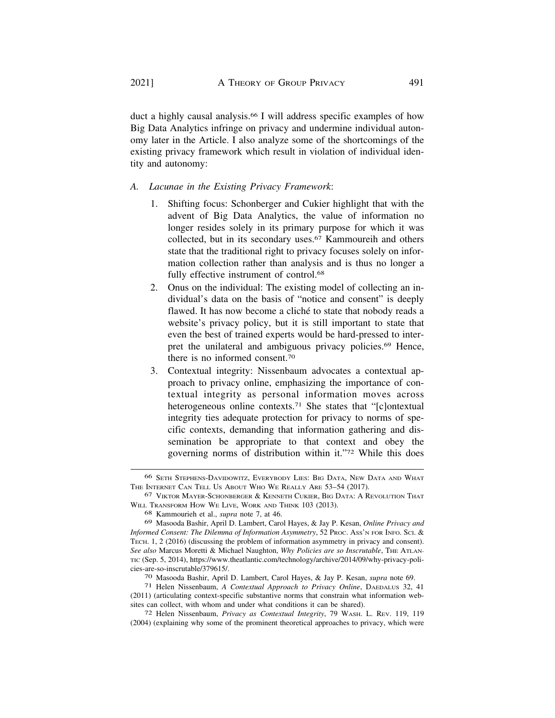duct a highly causal [analysis.66](https://analysis.66) I will address specific examples of how Big Data Analytics infringe on privacy and undermine individual autonomy later in the Article. I also analyze some of the shortcomings of the existing privacy framework which result in violation of individual identity and autonomy:

# *A. Lacunae in the Existing Privacy Framework*:

- 1. Shifting focus: Schonberger and Cukier highlight that with the advent of Big Data Analytics, the value of information no longer resides solely in its primary purpose for which it was collected, but in its secondary uses.67 Kammoureih and others state that the traditional right to privacy focuses solely on information collection rather than analysis and is thus no longer a fully effective instrument of control.<sup>68</sup>
- 2. Onus on the individual: The existing model of collecting an individual's data on the basis of "notice and consent" is deeply flawed. It has now become a cliché to state that nobody reads a website's privacy policy, but it is still important to state that even the best of trained experts would be hard-pressed to interpret the unilateral and ambiguous privacy [policies.69](https://policies.69) Hence, there is no informed [consent.70](https://consent.70)
- 3. Contextual integrity: Nissenbaum advocates a contextual approach to privacy online, emphasizing the importance of contextual integrity as personal information moves across heterogeneous online contexts.<sup>71</sup> She states that "[c]ontextual integrity ties adequate protection for privacy to norms of specific contexts, demanding that information gathering and dissemination be appropriate to that context and obey the governing norms of distribution within it."72 While this does

<sup>66</sup> SETH STEPHENS-DAVIDOWITZ, EVERYBODY LIES: BIG DATA, NEW DATA AND WHAT THE INTERNET CAN TELL US ABOUT WHO WE REALLY ARE 53-54 (2017).

<sup>67</sup> VIKTOR MAYER-SCHONBERGER & KENNETH CUKIER, BIG DATA: A REVOLUTION THAT WILL TRANSFORM HOW WE LIVE, WORK AND THINK 103 (2013).

<sup>68</sup> Kammourieh et al., *supra* note 7, at 46.

<sup>69</sup> Masooda Bashir, April D. Lambert, Carol Hayes, & Jay P. Kesan, *Online Privacy and Informed Consent: The Dilemma of Information Asymmetry*, 52 PROC. ASS'N FOR INFO. SCI. & TECH. 1, 2 (2016) (discussing the problem of information asymmetry in privacy and consent). *See also* Marcus Moretti & Michael Naughton, *Why Policies are so Inscrutable*, THE ATLANTIC (Sep. 5, 2014), <https://www.theatlantic.com/technology/archive/2014/09/why-privacy-poli>-cies-are-so-inscrutable/379615/.

<sup>&</sup>lt;sup>70</sup> Masooda Bashir, April D. Lambert, Carol Hayes, & Jay P. Kesan, *supra* note 69. <sup>71</sup> Helen Nissenbaum, *A Contextual Approach to Privacy Online*, DAEDALUS 32, 41

<sup>(2011) (</sup>articulating context-specific substantive norms that constrain what information websites can collect, with whom and under what conditions it can be shared). 72 Helen Nissenbaum, *Privacy as Contextual Integrity*, 79 WASH. L. REV. 119, 119

<sup>(2004) (</sup>explaining why some of the prominent theoretical approaches to privacy, which were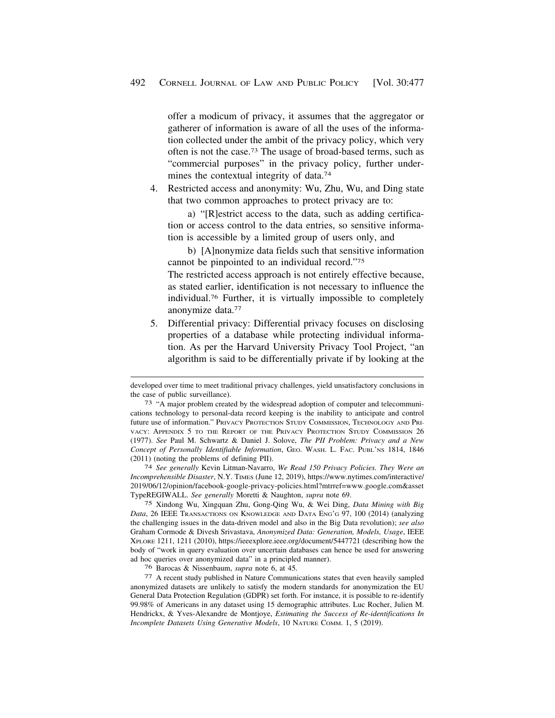offer a modicum of privacy, it assumes that the aggregator or gatherer of information is aware of all the uses of the information collected under the ambit of the privacy policy, which very often is not the case.73 The usage of broad-based terms, such as "commercial purposes" in the privacy policy, further undermines the contextual integrity of data.<sup>74</sup>

4. Restricted access and anonymity: Wu, Zhu, Wu, and Ding state that two common approaches to protect privacy are to:

a) "[R]estrict access to the data, such as adding certification or access control to the data entries, so sensitive information is accessible by a limited group of users only, and

b) [A]nonymize data fields such that sensitive information cannot be pinpointed to an individual record."75

The restricted access approach is not entirely effective because, as stated earlier, identification is not necessary to influence the [individual.76](https://individual.76) Further, it is virtually impossible to completely anonymize data.77

5. Differential privacy: Differential privacy focuses on disclosing properties of a database while protecting individual information. As per the Harvard University Privacy Tool Project, "an algorithm is said to be differentially private if by looking at the

*Incomprehensible Disaster*, N.Y. TIMES (June 12, 2019), [https://www.nytimes.com/interactive/](https://www.nytimes.com/interactive) 2019/06/12/opinion/facebook-google-privacy-policies.html?mtrref=www.google.com&asset TypeREGIWALL. *See generally* Moretti & Naughton, *supra* note 69.

75 Xindong Wu, Xingquan Zhu, Gong-Qing Wu, & Wei Ding, *Data Mining with Big Data*, 26 IEEE TRANSACTIONS ON KNOWLEDGE AND DATA ENG'G 97, 100 (2014) (analyzing the challenging issues in the data-driven model and also in the Big Data revolution); *see also*  Graham Cormode & Divesh Srivastava, *Anonymized Data: Generation, Models, Usage*, IEEE XPLORE 1211, 1211 (2010),<https://ieeexplore.ieee.org/document/5447721>(describing how the body of "work in query evaluation over uncertain databases can hence be used for answering ad hoc queries over anonymized data" in a principled manner).

76 Barocas & Nissenbaum, *supra* note 6, at 45. 77 A recent study published in Nature Communications states that even heavily sampled anonymized datasets are unlikely to satisfy the modern standards for anonymization the EU General Data Protection Regulation (GDPR) set forth. For instance, it is possible to re-identify 99.98% of Americans in any dataset using 15 demographic attributes. Luc Rocher, Julien M. Hendrickx, & Yves-Alexandre de Montjoye, *Estimating the Success of Re-identifications In Incomplete Datasets Using Generative Models*, 10 NATURE COMM. 1, 5 (2019).

developed over time to meet traditional privacy challenges, yield unsatisfactory conclusions in the case of public surveillance).<br>
<sup>73</sup> "A major problem created by the widespread adoption of computer and telecommuni-

cations technology to personal-data record keeping is the inability to anticipate and control future use of information." PRIVACY PROTECTION STUDY COMMISSION, TECHNOLOGY AND PRI-VACY: APPENDIX 5 TO THE REPORT OF THE PRIVACY PROTECTION STUDY COMMISSION 26 (1977). *See* Paul M. Schwartz & Daniel J. Solove, *The PII Problem: Privacy and a New Concept of Personally Identifiable Information*, GEO. WASH. L. FAC. PUBL'NS 1814, 1846 (2011) (noting the problems of defining PII). 74 *See generally* Kevin Litman-Navarro, *We Read 150 Privacy Policies. They Were an*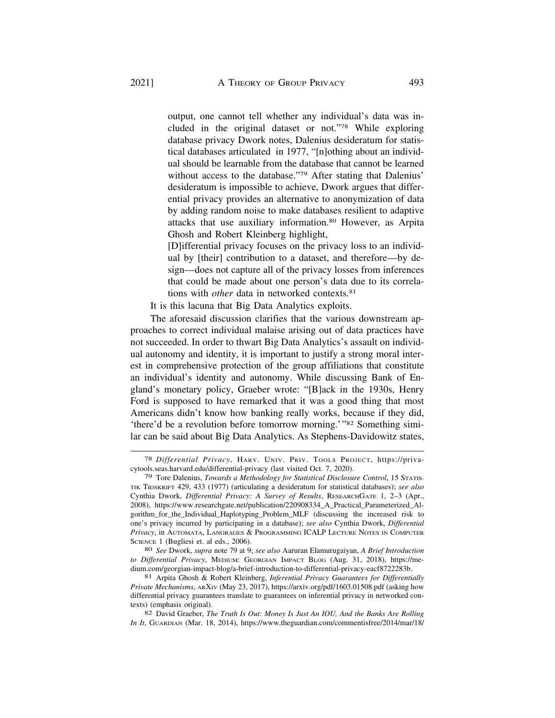output, one cannot tell whether any individual's data was included in the original dataset or not."78 While exploring database privacy Dwork notes, Dalenius desideratum for statistical databases articulated in 1977, "[n]othing about an individual should be learnable from the database that cannot be learned without access to the database."<sup>79</sup> After stating that Dalenius' desideratum is impossible to achieve, Dwork argues that differential privacy provides an alternative to anonymization of data by adding random noise to make databases resilient to adaptive attacks that use auxiliary [information.80](https://information.80) However, as Arpita Ghosh and Robert Kleinberg highlight,

[D]ifferential privacy focuses on the privacy loss to an individual by [their] contribution to a dataset, and therefore—by design—does not capture all of the privacy losses from inferences that could be made about one person's data due to its correlations with *other* data in networked contexts.<sup>81</sup>

It is this lacuna that Big Data Analytics exploits.

The aforesaid discussion clarifies that the various downstream approaches to correct individual malaise arising out of data practices have not succeeded. In order to thwart Big Data Analytics's assault on individual autonomy and identity, it is important to justify a strong moral interest in comprehensive protection of the group affiliations that constitute an individual's identity and autonomy. While discussing Bank of England's monetary policy, Graeber wrote: "[B]ack in the 1930s, Henry Ford is supposed to have remarked that it was a good thing that most Americans didn't know how banking really works, because if they did, 'there'd be a revolution before tomorrow morning.'"82 Something similar can be said about Big Data Analytics. As Stephens-Davidowitz states,

*to Differential Privacy*, MEDIUM: GEORGIAN IMPACT BLOG (Aug. 31, 2018), <https://me>[dium.com/georgian-impact-blog/a-brief-introduction-to-differential-privacy-eacf8722283b](https://dium.com/georgian-impact-blog/a-brief-introduction-to-differential-privacy-eacf8722283b). [81](https://dium.com/georgian-impact-blog/a-brief-introduction-to-differential-privacy-eacf8722283b) Arpita Ghosh & Robert Kleinberg, *Inferential Privacy Guarantees for Differentially* 

*In It*, GUARDIAN (Mar. 18, 2014), [https://www.theguardian.com/commentisfree/2014/mar/18/](https://www.theguardian.com/commentisfree/2014/mar/18)

<sup>78</sup> *Differential Privacy*, HARV. UNIV. PRIV. TOOLS PROJECT, <https://priva>[cytools.seas.harvard.edu/differential-privacy](https://cytools.seas.harvard.edu/differential-privacy) (last visited Oct. 7, 2020).

<sup>79</sup> Tore Dalenius, *Towards a Methodology for Statistical Disclosure Control*, 15 STATIS-TIK TIDSKRIFT 429, 433 (1977) (articulating a desideratum for statistical databases); *see also*  Cynthia Dwork, *Differential Privacy: A Survey of Results*, RESEARCHGATE 1, 2–3 (Apr., 2008), [https://www.researchgate.net/publication/220908334\\_A\\_Practical\\_Parameterized\\_Al](https://www.researchgate.net/publication/220908334_A_Practical_Parameterized_Al)gorithm\_for\_the\_Individual\_Haplotyping\_Problem\_MLF (discussing the increased risk to one's privacy incurred by participating in a database); *see also* Cynthia Dwork, *Differential Privacy*, in AUTOMATA, LANGRAGES & PROGRAMMING ICALP LECTURE NOTES IN COMPUTER SCIENCE 1 (Bugliesi et. al eds., 2006). 80 *See* Dwork, *supra* note 79 at 9; *see also* Aaruran Elamurugaiyan, *A Brief Introduction* 

*Private Mechanisms*, ARXIV (May 23, 2017), <https://arxiv.org/pdf/1603.01508.pdf> (asking how differential privacy guarantees translate to guarantees on inferential privacy in networked contexts) (emphasis original). 82 David Graeber, *The Truth Is Out: Money Is Just An IOU, And the Banks Are Rolling*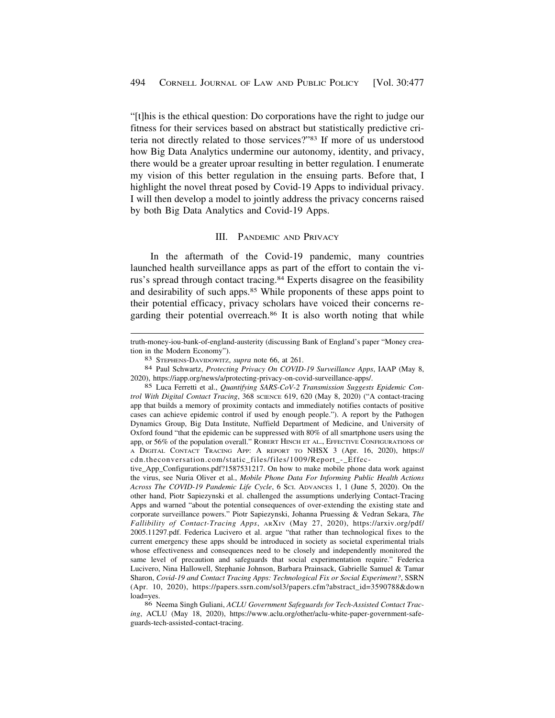"[t]his is the ethical question: Do corporations have the right to judge our fitness for their services based on abstract but statistically predictive criteria not directly related to those services?"83 If more of us understood how Big Data Analytics undermine our autonomy, identity, and privacy, there would be a greater uproar resulting in better regulation. I enumerate my vision of this better regulation in the ensuing parts. Before that, I highlight the novel threat posed by Covid-19 Apps to individual privacy. I will then develop a model to jointly address the privacy concerns raised by both Big Data Analytics and Covid-19 Apps.

## III. PANDEMIC AND PRIVACY

In the aftermath of the Covid-19 pandemic, many countries launched health surveillance apps as part of the effort to contain the virus's spread through contact [tracing.84](https://tracing.84) Experts disagree on the feasibility and desirability of such apps.<sup>85</sup> While proponents of these apps point to their potential efficacy, privacy scholars have voiced their concerns regarding their potential overreach.<sup>86</sup> It is also worth noting that while

tion in the Modern Economy"). 83 STEPHENS-DAVIDOWITZ, *supra* note 66, at 261. 84 Paul Schwartz, *Protecting Privacy On COVID-19 Surveillance Apps*, IAAP (May 8, 2020), <https://iapp.org/news/a/protecting-privacy-on-covid-surveillance-apps>/.

truth-money-iou-bank-of-england-austerity (discussing Bank of England's paper "Money crea-

<sup>85</sup> Luca Ferretti et al., *Quantifying SARS-CoV-2 Transmission Suggests Epidemic Control With Digital Contact Tracing*, 368 SCIENCE 619, 620 (May 8, 2020) ("A contact-tracing app that builds a memory of proximity contacts and immediately notifies contacts of positive cases can achieve epidemic control if used by enough people."). A report by the Pathogen Dynamics Group, Big Data Institute, Nuffield Department of Medicine, and University of Oxford found "that the epidemic can be suppressed with 80% of all smartphone users using the app, or 56% of the population overall." ROBERT HINCH ET AL., EFFECTIVE CONFIGURATIONS OF A DIGITAL CONTACT TRACING APP: A REPORT TO NHSX 3 (Apr. 16, 2020), https:// [cdn.theconversation.com/static\\_files/files/1009/Report\\_-\\_Effec](https://cdn.theconversation.com/static_files/files/1009/Report_-_Effec)-

tive\_App\_Configurations.pdf?1587531217. On how to make mobile phone data work against the virus, see Nuria Oliver et al., *Mobile Phone Data For Informing Public Health Actions Across The COVID-19 Pandemic Life Cycle*, 6 SCI. ADVANCES 1, 1 (June 5, 2020). On the other hand, Piotr Sapiezynski et al. challenged the assumptions underlying Contact-Tracing Apps and warned "about the potential consequences of over-extending the existing state and corporate surveillance powers." Piotr Sapiezynski, Johanna Pruessing & Vedran Sekara, *The Fallibility of Contact-Tracing Apps*, ARXIV (May 27, 2020), <https://arxiv.org/pdf>/ 2005.11297.pdf. Federica Lucivero et al. argue "that rather than technological fixes to the current emergency these apps should be introduced in society as societal experimental trials whose effectiveness and consequences need to be closely and independently monitored the same level of precaution and safeguards that social experimentation require." Federica Lucivero, Nina Hallowell, Stephanie Johnson, Barbara Prainsack, Gabrielle Samuel & Tamar Sharon, *Covid-19 and Contact Tracing Apps: Technological Fix or Social Experiment?*, SSRN (Apr. 10, 2020), [https://papers.ssrn.com/sol3/papers.cfm?abstract\\_id=3590788&down](https://papers.ssrn.com/sol3/papers.cfm?abstract_id=3590788&down) load=yes.

<sup>86</sup> Neema Singh Guliani, *ACLU Government Safeguards for Tech-Assisted Contact Tracing*, ACLU (May 18, 2020), <https://www.aclu.org/other/aclu-white-paper-government-safe>guards-tech-assisted-contact-tracing.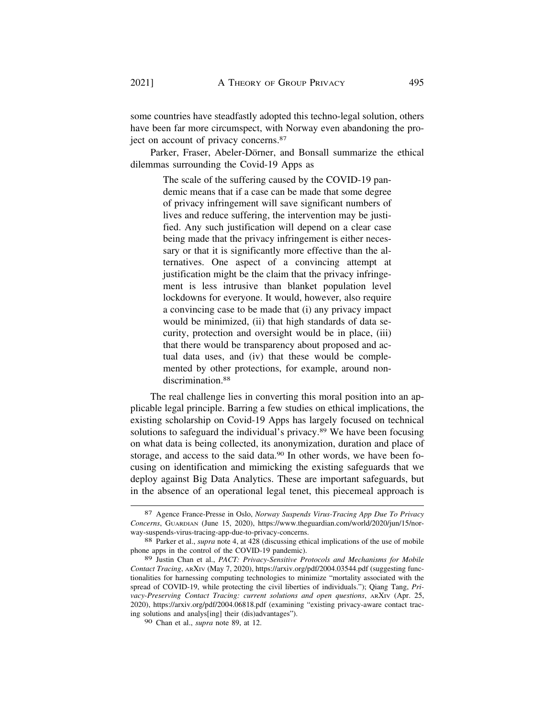some countries have steadfastly adopted this techno-legal solution, others have been far more circumspect, with Norway even abandoning the project on account of privacy [concerns.87](https://concerns.87)

Parker, Fraser, Abeler-Dörner, and Bonsall summarize the ethical dilemmas surrounding the Covid-19 Apps as

> The scale of the suffering caused by the COVID-19 pandemic means that if a case can be made that some degree of privacy infringement will save significant numbers of lives and reduce suffering, the intervention may be justified. Any such justification will depend on a clear case being made that the privacy infringement is either necessary or that it is significantly more effective than the alternatives. One aspect of a convincing attempt at justification might be the claim that the privacy infringement is less intrusive than blanket population level lockdowns for everyone. It would, however, also require a convincing case to be made that (i) any privacy impact would be minimized, (ii) that high standards of data security, protection and oversight would be in place, (iii) that there would be transparency about proposed and actual data uses, and (iv) that these would be complemented by other protections, for example, around nondiscrimination.<sup>88</sup>

The real challenge lies in converting this moral position into an applicable legal principle. Barring a few studies on ethical implications, the existing scholarship on Covid-19 Apps has largely focused on technical solutions to safeguard the individual's privacy.<sup>89</sup> We have been focusing on what data is being collected, its anonymization, duration and place of storage, and access to the said data.<sup>90</sup> In other words, we have been focusing on identification and mimicking the existing safeguards that we deploy against Big Data Analytics. These are important safeguards, but in the absence of an operational legal tenet, this piecemeal approach is

90 Chan et al., *supra* note 89, at 12.

<sup>87</sup> Agence France-Presse in Oslo, *Norway Suspends Virus-Tracing App Due To Privacy Concerns*, GUARDIAN (June 15, 2020), <https://www.theguardian.com/world/2020/jun/15/nor>way-suspends-virus-tracing-app-due-to-privacy-concerns. 88 Parker et al., *supra* note 4, at 428 (discussing ethical implications of the use of mobile

phone apps in the control of the COVID-19 pandemic).

<sup>89</sup> Justin Chan et al., *PACT: Privacy-Sensitive Protocols and Mechanisms for Mobile Contact Tracing*, ARXIV (May 7, 2020), <https://arxiv.org/pdf/2004.03544.pdf> (suggesting functionalities for harnessing computing technologies to minimize "mortality associated with the spread of COVID-19, while protecting the civil liberties of individuals."); Qiang Tang, *Privacy-Preserving Contact Tracing: current solutions and open questions*, ARXIV (Apr. 25, 2020), <https://arxiv.org/pdf/2004.06818.pdf>(examining "existing privacy-aware contact tracing solutions and analys[ing] their (dis)advantages").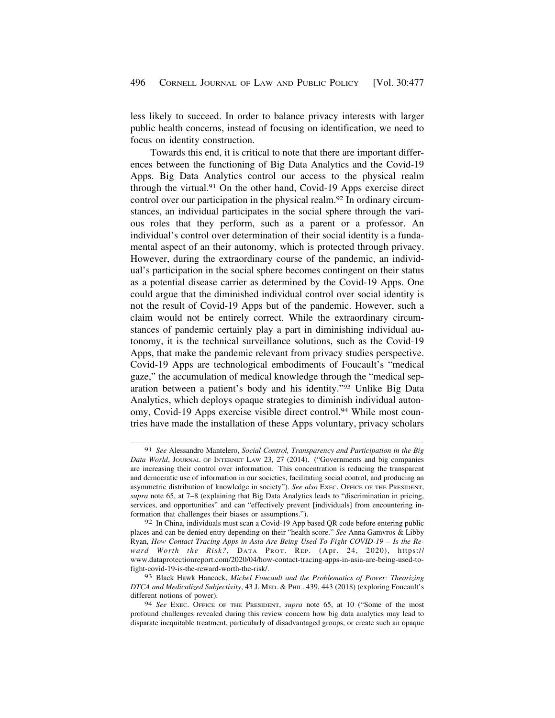less likely to succeed. In order to balance privacy interests with larger public health concerns, instead of focusing on identification, we need to focus on identity construction.

Towards this end, it is critical to note that there are important differences between the functioning of Big Data Analytics and the Covid-19 Apps. Big Data Analytics control our access to the physical realm through the virtual.<sup>91</sup> On the other hand, Covid-19 Apps exercise direct control over our participation in the physical [realm.92](https://realm.92) In ordinary circumstances, an individual participates in the social sphere through the various roles that they perform, such as a parent or a professor. An individual's control over determination of their social identity is a fundamental aspect of an their autonomy, which is protected through privacy. However, during the extraordinary course of the pandemic, an individual's participation in the social sphere becomes contingent on their status as a potential disease carrier as determined by the Covid-19 Apps. One could argue that the diminished individual control over social identity is not the result of Covid-19 Apps but of the pandemic. However, such a claim would not be entirely correct. While the extraordinary circumstances of pandemic certainly play a part in diminishing individual autonomy, it is the technical surveillance solutions, such as the Covid-19 Apps, that make the pandemic relevant from privacy studies perspective. Covid-19 Apps are technological embodiments of Foucault's "medical gaze," the accumulation of medical knowledge through the "medical separation between a patient's body and his identity."93 Unlike Big Data Analytics, which deploys opaque strategies to diminish individual autonomy, Covid-19 Apps exercise visible direct control.<sup>94</sup> While most countries have made the installation of these Apps voluntary, privacy scholars

<sup>91</sup> *See* Alessandro Mantelero, *Social Control, Transparency and Participation in the Big Data World*, JOURNAL OF INTERNET LAW 23, 27 (2014). ("Governments and big companies are increasing their control over information. This concentration is reducing the transparent and democratic use of information in our societies, facilitating social control, and producing an asymmetric distribution of knowledge in society"). *See also* EXEC. OFFICE OF THE PRESIDENT, *supra* note 65, at 7–8 (explaining that Big Data Analytics leads to "discrimination in pricing, services, and opportunities" and can "effectively prevent [individuals] from encountering information that challenges their biases or assumptions.").

<sup>92</sup> In China, individuals must scan a Covid-19 App based QR code before entering public places and can be denied entry depending on their "health score." *See* Anna Gamvros & Libby Ryan, *How Contact Tracing Apps in Asia Are Being Used To Fight COVID-19 – Is the Reward Worth the Risk?*, DATA PROT. REP. (Apr. 24, 2020), https:// <www.dataprotectionreport.com/2020/04/how-contact-tracing-apps-in-asia-are-being-used-to>fight-covid-19-is-the-reward-worth-the-risk/.

<sup>93</sup> Black Hawk Hancock, *Michel Foucault and the Problematics of Power: Theorizing DTCA and Medicalized Subjectivity*, 43 J. MED. & PHIL. 439, 443 (2018) (exploring Foucault's different notions of power).

<sup>94</sup> *See* EXEC. OFFICE OF THE PRESIDENT, *supra* note 65, at 10 ("Some of the most profound challenges revealed during this review concern how big data analytics may lead to disparate inequitable treatment, particularly of disadvantaged groups, or create such an opaque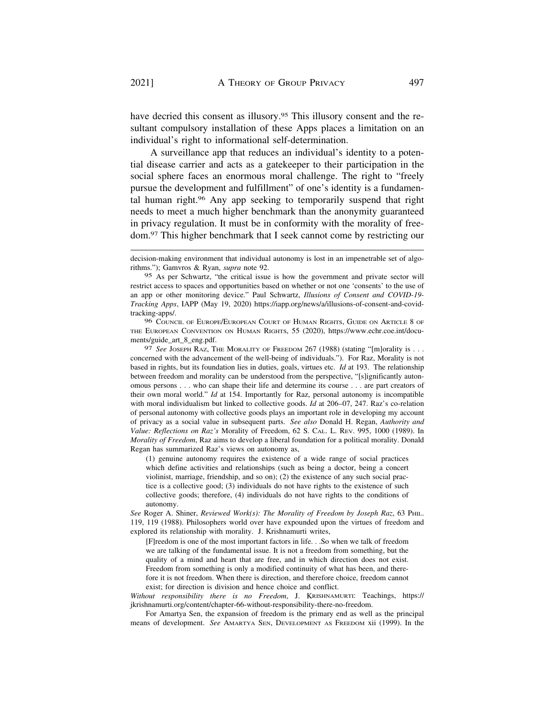have decried this consent as illusory.<sup>95</sup> This illusory consent and the resultant compulsory installation of these Apps places a limitation on an individual's right to informational self-determination.

A surveillance app that reduces an individual's identity to a potential disease carrier and acts as a gatekeeper to their participation in the social sphere faces an enormous moral challenge. The right to "freely pursue the development and fulfillment" of one's identity is a fundamental human [right.96](https://right.96) Any app seeking to temporarily suspend that right needs to meet a much higher benchmark than the anonymity guaranteed in privacy regulation. It must be in conformity with the morality of freedom.97 This higher benchmark that I seek cannot come by restricting our

96 COUNCIL OF EUROPE/EUROPEAN COURT OF HUMAN RIGHTS, GUIDE ON ARTICLE 8 OF THE EUROPEAN CONVENTION ON HUMAN RIGHTS, 55 (2020), <https://www.echr.coe.int/docu>ments/guide\_art\_8\_eng.pdf.

97 *See* JOSEPH RAZ, THE MORALITY OF FREEDOM 267 (1988) (stating "[m]orality is . . . concerned with the advancement of the well-being of individuals."). For Raz, Morality is not based in rights, but its foundation lies in duties, goals, virtues etc. *Id* at 193. The relationship between freedom and morality can be understood from the perspective, "[s]ignificantly autonomous persons . . . who can shape their life and determine its course . . . are part creators of their own moral world." *Id* at 154. Importantly for Raz, personal autonomy is incompatible with moral individualism but linked to collective goods. *Id* at 206–07, 247. Raz's co-relation of personal autonomy with collective goods plays an important role in developing my account of privacy as a social value in subsequent parts. *See also* Donald H. Regan, *Authority and Value: Reflections on Raz's* Morality of Freedom, 62 S. CAL. L. REV. 995, 1000 (1989). In *Morality of Freedom*, Raz aims to develop a liberal foundation for a political morality. Donald Regan has summarized Raz's views on autonomy as,

(1) genuine autonomy requires the existence of a wide range of social practices which define activities and relationships (such as being a doctor, being a concert violinist, marriage, friendship, and so on); (2) the existence of any such social practice is a collective good; (3) individuals do not have rights to the existence of such collective goods; therefore, (4) individuals do not have rights to the conditions of autonomy.

*See* Roger A. Shiner, *Reviewed Work(s): The Morality of Freedom by Joseph Raz*, 63 PHIL. 119, 119 (1988). Philosophers world over have expounded upon the virtues of freedom and explored its relationship with morality. J. Krishnamurti writes,

[F]reedom is one of the most important factors in life. . .So when we talk of freedom we are talking of the fundamental issue. It is not a freedom from something, but the quality of a mind and heart that are free, and in which direction does not exist. Freedom from something is only a modified continuity of what has been, and therefore it is not freedom. When there is direction, and therefore choice, freedom cannot exist; for direction is division and hence choice and conflict.

*Without responsibility there is no Freedom*, J. KRISHNAMURTI: Teachings, https:// [jkrishnamurti.org/content/chapter-66-without-responsibility-there-no-freedom.](https://jkrishnamurti.org/content/chapter-66-without-responsibility-there-no-freedom)

For Amartya Sen, the expansion of freedom is the primary end as well as the principal means of development. *See* AMARTYA SEN, DEVELOPMENT AS FREEDOM xii (1999). In the

decision-making environment that individual autonomy is lost in an impenetrable set of algorithms."); Gamvros & Ryan, *supra* note 92.

<sup>95</sup> As per Schwartz, "the critical issue is how the government and private sector will restrict access to spaces and opportunities based on whether or not one 'consents' to the use of an app or other monitoring device." Paul Schwartz, *Illusions of Consent and COVID-19- Tracking Apps*, IAPP (May 19, 2020) <https://iapp.org/news/a/illusions-of-consent-and-covid>tracking-apps/.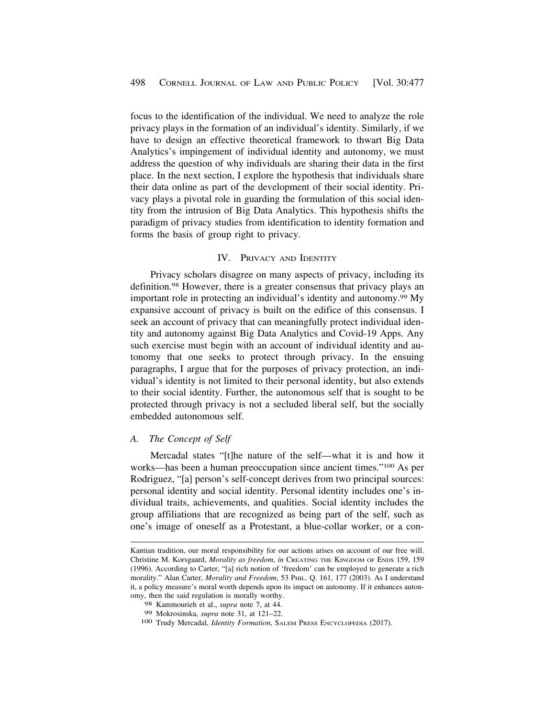focus to the identification of the individual. We need to analyze the role privacy plays in the formation of an individual's identity. Similarly, if we have to design an effective theoretical framework to thwart Big Data Analytics's impingement of individual identity and autonomy, we must address the question of why individuals are sharing their data in the first place. In the next section, I explore the hypothesis that individuals share their data online as part of the development of their social identity. Privacy plays a pivotal role in guarding the formulation of this social identity from the intrusion of Big Data Analytics. This hypothesis shifts the paradigm of privacy studies from identification to identity formation and forms the basis of group right to privacy.

## IV. PRIVACY AND IDENTITY

Privacy scholars disagree on many aspects of privacy, including its [definition.98](https://definition.98) However, there is a greater consensus that privacy plays an important role in protecting an individual's identity and [autonomy.99](https://autonomy.99) My expansive account of privacy is built on the edifice of this consensus. I seek an account of privacy that can meaningfully protect individual identity and autonomy against Big Data Analytics and Covid-19 Apps. Any such exercise must begin with an account of individual identity and autonomy that one seeks to protect through privacy. In the ensuing paragraphs, I argue that for the purposes of privacy protection, an individual's identity is not limited to their personal identity, but also extends to their social identity. Further, the autonomous self that is sought to be protected through privacy is not a secluded liberal self, but the socially embedded autonomous self.

## *A. The Concept of Self*

Mercadal states "[t]he nature of the self—what it is and how it works—has been a human preoccupation since ancient times."100 As per Rodriguez, "[a] person's self-concept derives from two principal sources: personal identity and social identity. Personal identity includes one's individual traits, achievements, and qualities. Social identity includes the group affiliations that are recognized as being part of the self, such as one's image of oneself as a Protestant, a blue-collar worker, or a con-

Kantian tradition, our moral responsibility for our actions arises on account of our free will. Christine M. Korsgaard, *Morality as freedom*, *in* CREATING THE KINGDOM OF ENDS 159, 159 (1996). According to Carter, "[a] rich notion of 'freedom' can be employed to generate a rich morality." Alan Carter, *Morality and Freedom*, 53 PHIL. Q. 161, 177 (2003). As I understand it, a policy measure's moral worth depends upon its impact on autonomy. If it enhances autonomy, then the said regulation is morally worthy.

<sup>98</sup> Kammourieh et al., *supra* note 7, at 44.

<sup>99</sup> Mokrosinska, *supra* note 31, at 121–22. 100 Trudy Mercadal, *Identity Formation*, SALEM PRESS ENCYCLOPEDIA (2017).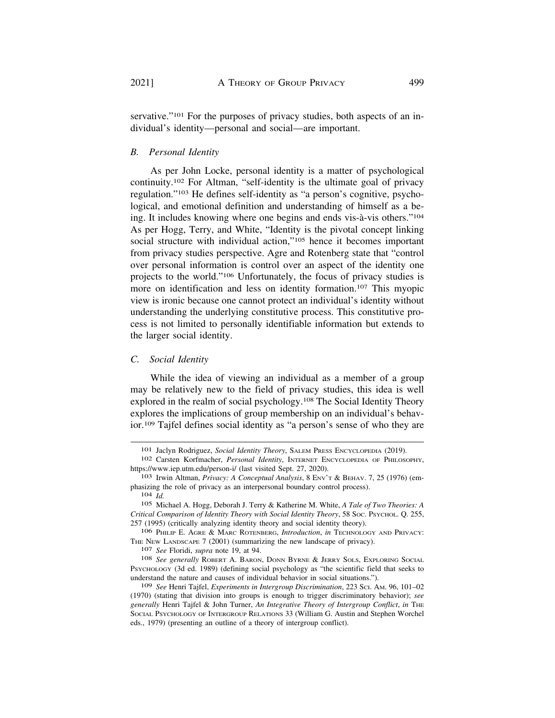servative."<sup>101</sup> For the purposes of privacy studies, both aspects of an individual's identity—personal and social—are important.

# *B. Personal Identity*

As per John Locke, personal identity is a matter of psychological continuity.102 For Altman, "self-identity is the ultimate goal of privacy regulation."103 He defines self-identity as "a person's cognitive, psychological, and emotional definition and understanding of himself as a being. It includes knowing where one begins and ends vis-à-vis others."<sup>104</sup> As per Hogg, Terry, and White, "Identity is the pivotal concept linking social structure with individual action,"<sup>105</sup> hence it becomes important from privacy studies perspective. Agre and Rotenberg state that "control over personal information is control over an aspect of the identity one projects to the world."106 Unfortunately, the focus of privacy studies is more on identification and less on identity formation.107 This myopic view is ironic because one cannot protect an individual's identity without understanding the underlying constitutive process. This constitutive process is not limited to personally identifiable information but extends to the larger social identity.

# *C. Social Identity*

While the idea of viewing an individual as a member of a group may be relatively new to the field of privacy studies, this idea is well explored in the realm of social psychology.108 The Social Identity Theory explores the implications of group membership on an individual's behavior.109 Tajfel defines social identity as "a person's sense of who they are

106 PHILIP E. AGRE & MARC ROTENBERG, *Introduction*, *in* TECHNOLOGY AND PRIVACY: THE NEW LANDSCAPE 7 (2001) (summarizing the new landscape of privacy).<br>
<sup>107</sup> *See* Floridi, *supra* note 19, at 94.<br>
<sup>108</sup> *See generally* ROBERT A. BARON, DONN BYRNE & JERRY SOLS, EXPLORING SOCIAL

<sup>101</sup> Jaclyn Rodriguez, *Social Identity Theory*, SALEM PRESS ENCYCLOPEDIA (2019). 102 Carsten Korfmacher, *Personal Identity*, INTERNET ENCYCLOPEDIA OF PHILOSOPHY,

<https://www.iep.utm.edu/person-i>/ (last visited Sept. 27, 2020). [103](https://www.iep.utm.edu/person-i) Irwin Altman, *Privacy: A Conceptual Analysis*, 8 ENV'T & BEHAV. 7, 25 (1976) (em-

phasizing the role of privacy as an interpersonal boundary control process). 104 *Id.* 

<sup>105</sup> Michael A. Hogg, Deborah J. Terry & Katherine M. White, *A Tale of Two Theories: A Critical Comparison of Identity Theory with Social Identity Theory*, 58 SOC. PSYCHOL. Q. 255, 257 (1995) (critically analyzing identity theory and social identity theory).

PSYCHOLOGY (3d ed. 1989) (defining social psychology as "the scientific field that seeks to understand the nature and causes of individual behavior in social situations.").

<sup>109</sup> *See* Henri Tajfel, *Experiments in Intergroup Discrimination*, 223 SCI. AM. 96, 101–02 (1970) (stating that division into groups is enough to trigger discriminatory behavior); *see generally* Henri Tajfel & John Turner, *An Integrative Theory of Intergroup Conflict*, *in* THE SOCIAL PSYCHOLOGY OF INTERGROUP RELATIONS 33 (William G. Austin and Stephen Worchel eds., 1979) (presenting an outline of a theory of intergroup conflict).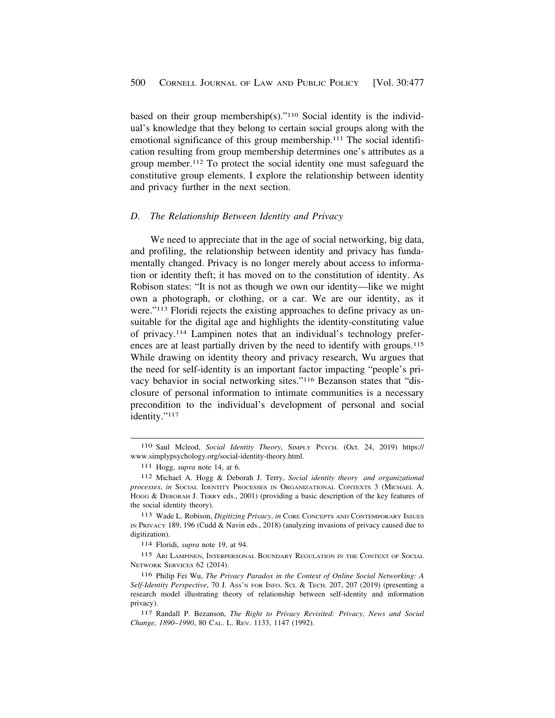based on their group membership(s)."110 Social identity is the individual's knowledge that they belong to certain social groups along with the emotional significance of this group membership.<sup>111</sup> The social identification resulting from group membership determines one's attributes as a group member.112 To protect the social identity one must safeguard the constitutive group elements. I explore the relationship between identity and privacy further in the next section.

## *D. The Relationship Between Identity and Privacy*

We need to appreciate that in the age of social networking, big data, and profiling, the relationship between identity and privacy has fundamentally changed. Privacy is no longer merely about access to information or identity theft; it has moved on to the constitution of identity. As Robison states: "It is not as though we own our identity—like we might own a photograph, or clothing, or a car. We are our identity, as it were."<sup>113</sup> Floridi rejects the existing approaches to define privacy as unsuitable for the digital age and highlights the identity-constituting value of privacy.114 Lampinen notes that an individual's technology preferences are at least partially driven by the need to identify with groups.<sup>115</sup> While drawing on identity theory and privacy research, Wu argues that the need for self-identity is an important factor impacting "people's privacy behavior in social networking sites."116 Bezanson states that "disclosure of personal information to intimate communities is a necessary precondition to the individual's development of personal and social identity."117

113 Wade L. Robison, *Digitizing Privacy*, *in* CORE CONCEPTS AND CONTEMPORARY ISSUES IN PRIVACY 189, 196 (Cudd & Navin eds., 2018) (analyzing invasions of privacy caused due to digitization).

114 Floridi, *supra* note 19, at 94.

115 ARI LAMPINEN, INTERPERSONAL BOUNDARY REGULATION IN THE CONTEXT OF SOCIAL NETWORK SERVICES 62 (2014).

<sup>110</sup> Saul Mcleod, *Social Identity Theory*, SIMPLY PSYCH. (Oct. 24, 2019) https:// [www.simplypsychology.org/social-identity-theory.html.](www.simplypsychology.org/social-identity-theory.html)

<sup>111</sup> Hogg, *supra* note 14, at 6.

<sup>112</sup> Michael A. Hogg & Deborah J. Terry, *Social identity theory and organizational processes*, *in* SOCIAL IDENTITY PROCESSES IN ORGANIZATIONAL CONTEXTS 3 (MICHAEL A. HOGG & DEBORAH J. TERRY eds., 2001) (providing a basic description of the key features of the social identity theory).

<sup>116</sup> Philip Fei Wu, *The Privacy Paradox in the Context of Online Social Networking: A Self-Identity Perspective*, 70 J. ASS'N FOR INFO. SCI. & TECH. 207, 207 (2019) (presenting a research model illustrating theory of relationship between self-identity and information privacy).

<sup>117</sup> Randall P. Bezanson, *The Right to Privacy Revisited: Privacy, News and Social Change, 1890–1990*, 80 CAL. L. REV. 1133, 1147 (1992).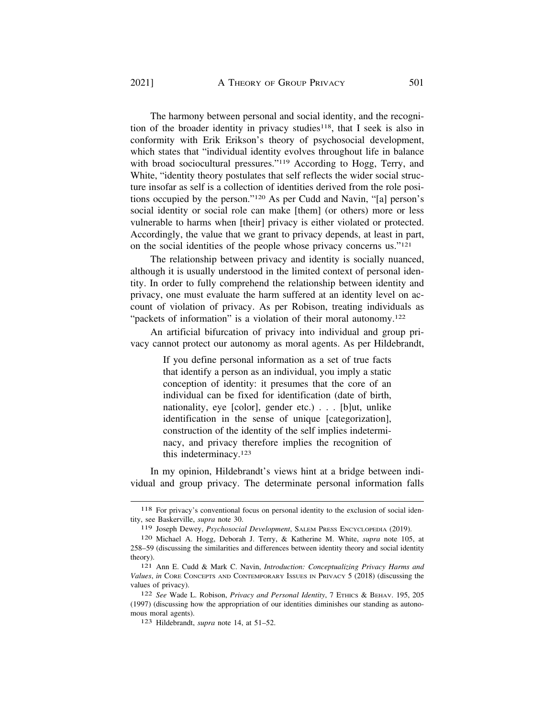The harmony between personal and social identity, and the recognition of the broader identity in privacy studies<sup>118</sup>, that I seek is also in conformity with Erik Erikson's theory of psychosocial development, which states that "individual identity evolves throughout life in balance with broad sociocultural pressures."<sup>119</sup> According to Hogg, Terry, and White, "identity theory postulates that self reflects the wider social structure insofar as self is a collection of identities derived from the role positions occupied by the person."120 As per Cudd and Navin, "[a] person's social identity or social role can make [them] (or others) more or less vulnerable to harms when [their] privacy is either violated or protected. Accordingly, the value that we grant to privacy depends, at least in part, on the social identities of the people whose privacy concerns us."121

The relationship between privacy and identity is socially nuanced, although it is usually understood in the limited context of personal identity. In order to fully comprehend the relationship between identity and privacy, one must evaluate the harm suffered at an identity level on account of violation of privacy. As per Robison, treating individuals as "packets of information" is a violation of their moral autonomy.<sup>122</sup>

An artificial bifurcation of privacy into individual and group privacy cannot protect our autonomy as moral agents. As per Hildebrandt,

> If you define personal information as a set of true facts that identify a person as an individual, you imply a static conception of identity: it presumes that the core of an individual can be fixed for identification (date of birth, nationality, eye [color], gender etc.) . . . [b]ut, unlike identification in the sense of unique [categorization], construction of the identity of the self implies indeterminacy, and privacy therefore implies the recognition of this indeterminacy.123

In my opinion, Hildebrandt's views hint at a bridge between individual and group privacy. The determinate personal information falls

<sup>118</sup> For privacy's conventional focus on personal identity to the exclusion of social identity, see Baskerville, *supra* note 30.

<sup>119</sup> Joseph Dewey, *Psychosocial Development*, SALEM PRESS ENCYCLOPEDIA (2019).

<sup>120</sup> Michael A. Hogg, Deborah J. Terry, & Katherine M. White, *supra* note 105, at 258–59 (discussing the similarities and differences between identity theory and social identity theory).

<sup>121</sup> Ann E. Cudd & Mark C. Navin, *Introduction: Conceptualizing Privacy Harms and Values*, *in* CORE CONCEPTS AND CONTEMPORARY ISSUES IN PRIVACY 5 (2018) (discussing the values of privacy).

<sup>122</sup> *See* Wade L. Robison, *Privacy and Personal Identity*, 7 ETHICS & BEHAV. 195, 205 (1997) (discussing how the appropriation of our identities diminishes our standing as autonomous moral agents).

<sup>123</sup> Hildebrandt, *supra* note 14, at 51–52.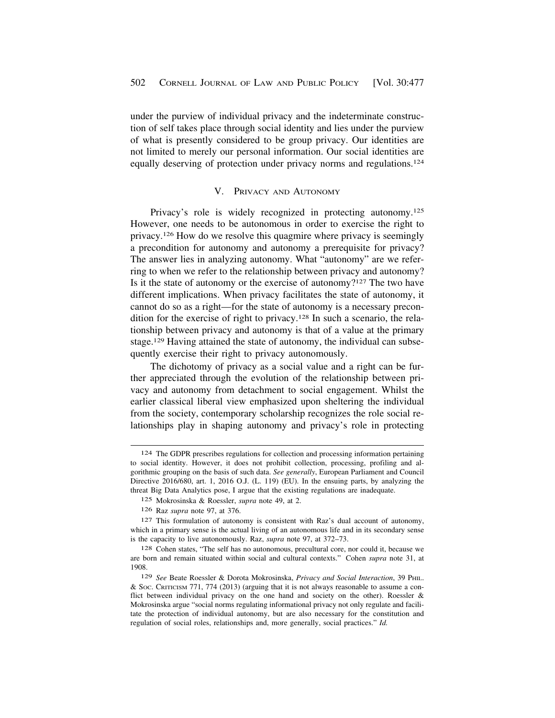under the purview of individual privacy and the indeterminate construction of self takes place through social identity and lies under the purview of what is presently considered to be group privacy. Our identities are not limited to merely our personal information. Our social identities are equally deserving of protection under privacy norms and regulations.124

## V. PRIVACY AND AUTONOMY

Privacy's role is widely recognized in protecting autonomy.<sup>125</sup> However, one needs to be autonomous in order to exercise the right to privacy.126 How do we resolve this quagmire where privacy is seemingly a precondition for autonomy and autonomy a prerequisite for privacy? The answer lies in analyzing autonomy. What "autonomy" are we referring to when we refer to the relationship between privacy and autonomy? Is it the state of autonomy or the exercise of autonomy?127 The two have different implications. When privacy facilitates the state of autonomy, it cannot do so as a right—for the state of autonomy is a necessary precondition for the exercise of right to privacy.128 In such a scenario, the relationship between privacy and autonomy is that of a value at the primary stage.<sup>129</sup> Having attained the state of autonomy, the individual can subsequently exercise their right to privacy autonomously.

The dichotomy of privacy as a social value and a right can be further appreciated through the evolution of the relationship between privacy and autonomy from detachment to social engagement. Whilst the earlier classical liberal view emphasized upon sheltering the individual from the society, contemporary scholarship recognizes the role social relationships play in shaping autonomy and privacy's role in protecting

<sup>124</sup> The GDPR prescribes regulations for collection and processing information pertaining to social identity. However, it does not prohibit collection, processing, profiling and algorithmic grouping on the basis of such data. *See generally*, European Parliament and Council Directive 2016/680, art. 1, 2016 O.J. (L. 119) (EU). In the ensuing parts, by analyzing the threat Big Data Analytics pose, I argue that the existing regulations are inadequate.

<sup>125</sup> Mokrosinska & Roessler, *supra* note 49, at 2.

<sup>126</sup> Raz *supra* note 97, at 376.

<sup>127</sup> This formulation of autonomy is consistent with Raz's dual account of autonomy, which in a primary sense is the actual living of an autonomous life and in its secondary sense is the capacity to live autonomously. Raz, *supra* note 97, at 372–73.

<sup>128</sup> Cohen states, "The self has no autonomous, precultural core, nor could it, because we are born and remain situated within social and cultural contexts." Cohen *supra* note 31, at 1908.

<sup>129</sup> *See* Beate Roessler & Dorota Mokrosinska, *Privacy and Social Interaction*, 39 PHIL. & SOC. CRITICISM 771, 774 (2013) (arguing that it is not always reasonable to assume a conflict between individual privacy on the one hand and society on the other). Roessler  $\&$ Mokrosinska argue "social norms regulating informational privacy not only regulate and facilitate the protection of individual autonomy, but are also necessary for the constitution and regulation of social roles, relationships and, more generally, social practices." *Id.*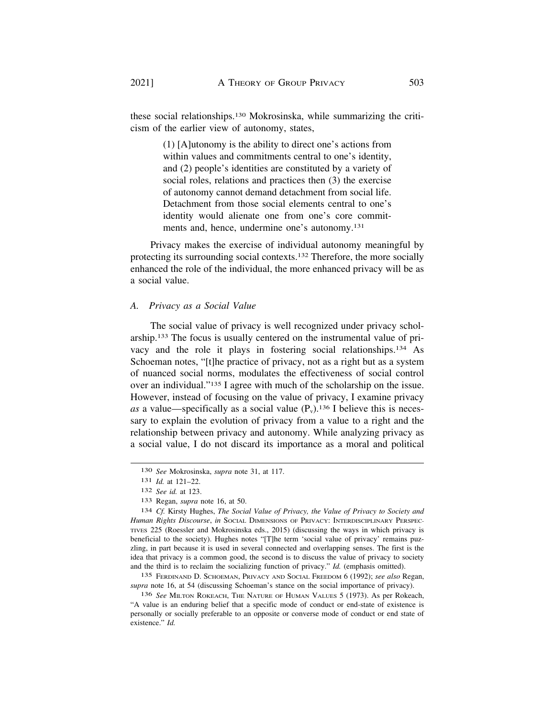these social relationships.130 Mokrosinska, while summarizing the criticism of the earlier view of autonomy, states,

> (1) [A]utonomy is the ability to direct one's actions from within values and commitments central to one's identity, and (2) people's identities are constituted by a variety of social roles, relations and practices then (3) the exercise of autonomy cannot demand detachment from social life. Detachment from those social elements central to one's identity would alienate one from one's core commitments and, hence, undermine one's autonomy.<sup>131</sup>

Privacy makes the exercise of individual autonomy meaningful by protecting its surrounding social contexts.132 Therefore, the more socially enhanced the role of the individual, the more enhanced privacy will be as a social value.

## *A. Privacy as a Social Value*

The social value of privacy is well recognized under privacy scholarship.133 The focus is usually centered on the instrumental value of privacy and the role it plays in fostering social relationships.134 As Schoeman notes, "[t]he practice of privacy, not as a right but as a system of nuanced social norms, modulates the effectiveness of social control over an individual."135 I agree with much of the scholarship on the issue. However, instead of focusing on the value of privacy, I examine privacy as a value—specifically as a social value  $(P_v)$ .<sup>136</sup> I believe this is necessary to explain the evolution of privacy from a value to a right and the relationship between privacy and autonomy. While analyzing privacy as a social value, I do not discard its importance as a moral and political

135 FERDINAND D. SCHOEMAN, PRIVACY AND SOCIAL FREEDOM 6 (1992); *see also* Regan, *supra* note 16, at 54 (discussing Schoeman's stance on the social importance of privacy).

<sup>130</sup> *See* Mokrosinska, *supra* note 31, at 117.

<sup>131</sup> *Id.* at 121–22.

<sup>132</sup> *See id.* at 123.

<sup>133</sup> Regan, *supra* note 16, at 50.

<sup>134</sup> *Cf.* Kirsty Hughes, *The Social Value of Privacy, the Value of Privacy to Society and Human Rights Discourse*, *in* SOCIAL DIMENSIONS OF PRIVACY: INTERDISCIPLINARY PERSPEC-TIVES 225 (Roessler and Mokrosinska eds., 2015) (discussing the ways in which privacy is beneficial to the society). Hughes notes "[T]he term 'social value of privacy' remains puzzling, in part because it is used in several connected and overlapping senses. The first is the idea that privacy is a common good, the second is to discuss the value of privacy to society and the third is to reclaim the socializing function of privacy." *Id.* (emphasis omitted).

<sup>136</sup> *See* MILTON ROKEACH, THE NATURE OF HUMAN VALUES 5 (1973). As per Rokeach, "A value is an enduring belief that a specific mode of conduct or end-state of existence is personally or socially preferable to an opposite or converse mode of conduct or end state of existence." *Id.*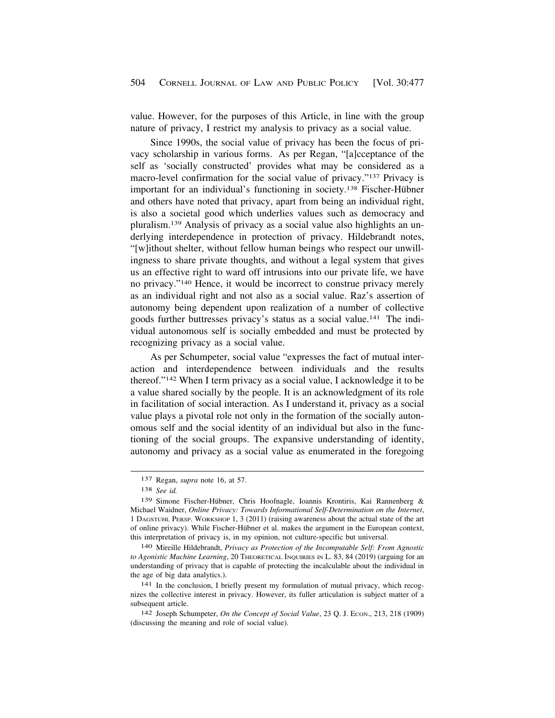value. However, for the purposes of this Article, in line with the group nature of privacy, I restrict my analysis to privacy as a social value.

Since 1990s, the social value of privacy has been the focus of privacy scholarship in various forms. As per Regan, "[a]cceptance of the self as 'socially constructed' provides what may be considered as a macro-level confirmation for the social value of privacy."137 Privacy is important for an individual's functioning in society.<sup>138</sup> Fischer-Hübner and others have noted that privacy, apart from being an individual right, is also a societal good which underlies values such as democracy and pluralism.139 Analysis of privacy as a social value also highlights an underlying interdependence in protection of privacy. Hildebrandt notes, "[w]ithout shelter, without fellow human beings who respect our unwillingness to share private thoughts, and without a legal system that gives us an effective right to ward off intrusions into our private life, we have no privacy."140 Hence, it would be incorrect to construe privacy merely as an individual right and not also as a social value. Raz's assertion of autonomy being dependent upon realization of a number of collective goods further buttresses privacy's status as a social value.141 The individual autonomous self is socially embedded and must be protected by recognizing privacy as a social value.

As per Schumpeter, social value "expresses the fact of mutual interaction and interdependence between individuals and the results thereof."142 When I term privacy as a social value, I acknowledge it to be a value shared socially by the people. It is an acknowledgment of its role in facilitation of social interaction. As I understand it, privacy as a social value plays a pivotal role not only in the formation of the socially autonomous self and the social identity of an individual but also in the functioning of the social groups. The expansive understanding of identity, autonomy and privacy as a social value as enumerated in the foregoing

141 In the conclusion, I briefly present my formulation of mutual privacy, which recognizes the collective interest in privacy. However, its fuller articulation is subject matter of a subsequent article.

142 Joseph Schumpeter, *On the Concept of Social Value*, 23 Q. J. ECON., 213, 218 (1909) (discussing the meaning and role of social value).

<sup>137</sup> Regan, *supra* note 16, at 57.

<sup>138</sup> *See id.* 

<sup>139</sup> Simone Fischer-Hübner, Chris Hoofnagle, Ioannis Krontiris, Kai Rannenberg & Michael Waidner, *Online Privacy: Towards Informational Self-Determination on the Internet*, 1 DAGSTUHL PERSP. WORKSHOP 1, 3 (2011) (raising awareness about the actual state of the art of online privacy). While Fischer-Hübner et al. makes the argument in the European context, this interpretation of privacy is, in my opinion, not culture-specific but universal.

<sup>140</sup> Mireille Hildebrandt, *Privacy as Protection of the Incomputable Self: From Agnostic*  to Agonistic Machine Learning, 20 THEORETICAL INQUIRIES IN L. 83, 84 (2019) (arguing for an understanding of privacy that is capable of protecting the incalculable about the individual in the age of big data analytics.).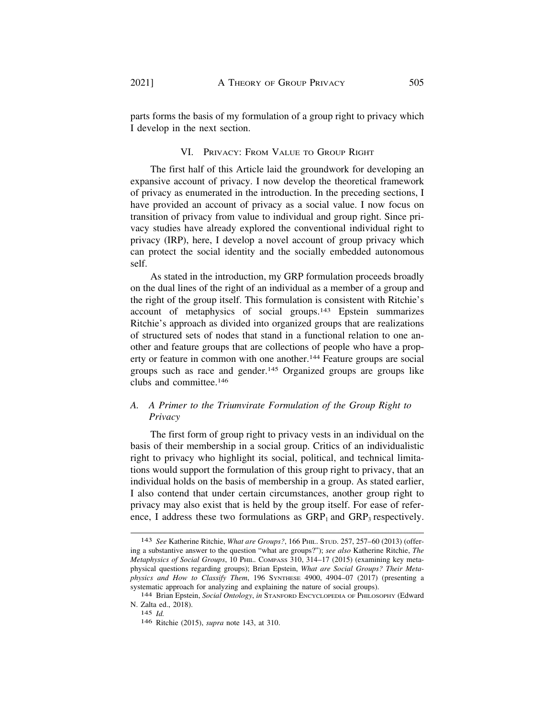parts forms the basis of my formulation of a group right to privacy which I develop in the next section.

# VI. PRIVACY: FROM VALUE TO GROUP RIGHT

The first half of this Article laid the groundwork for developing an expansive account of privacy. I now develop the theoretical framework of privacy as enumerated in the introduction. In the preceding sections, I have provided an account of privacy as a social value. I now focus on transition of privacy from value to individual and group right. Since privacy studies have already explored the conventional individual right to privacy (IRP), here, I develop a novel account of group privacy which can protect the social identity and the socially embedded autonomous self.

As stated in the introduction, my GRP formulation proceeds broadly on the dual lines of the right of an individual as a member of a group and the right of the group itself. This formulation is consistent with Ritchie's account of metaphysics of social groups.143 Epstein summarizes Ritchie's approach as divided into organized groups that are realizations of structured sets of nodes that stand in a functional relation to one another and feature groups that are collections of people who have a property or feature in common with one another.144 Feature groups are social groups such as race and gender.145 Organized groups are groups like clubs and committee.146

# *A. A Primer to the Triumvirate Formulation of the Group Right to Privacy*

The first form of group right to privacy vests in an individual on the basis of their membership in a social group. Critics of an individualistic right to privacy who highlight its social, political, and technical limitations would support the formulation of this group right to privacy, that an individual holds on the basis of membership in a group. As stated earlier, I also contend that under certain circumstances, another group right to privacy may also exist that is held by the group itself. For ease of reference, I address these two formulations as  $\text{GRP}_1$  and  $\text{GRP}_3$  respectively.

<sup>143</sup> *See* Katherine Ritchie, *What are Groups?*, 166 PHIL. STUD. 257, 257–60 (2013) (offering a substantive answer to the question "what are groups?"); *see also* Katherine Ritchie, *The Metaphysics of Social Groups*, 10 PHIL. COMPASS 310, 314–17 (2015) (examining key metaphysical questions regarding groups); Brian Epstein, *What are Social Groups? Their Metaphysics and How to Classify Them*, 196 SYNTHESE 4900, 4904–07 (2017) (presenting a systematic approach for analyzing and explaining the nature of social groups). 144 Brian Epstein, *Social Ontology*, *in* STANFORD ENCYCLOPEDIA OF PHILOSOPHY (Edward

N. Zalta ed., 2018).

<sup>145</sup> *Id.* 

<sup>146</sup> Ritchie (2015), *supra* note 143, at 310.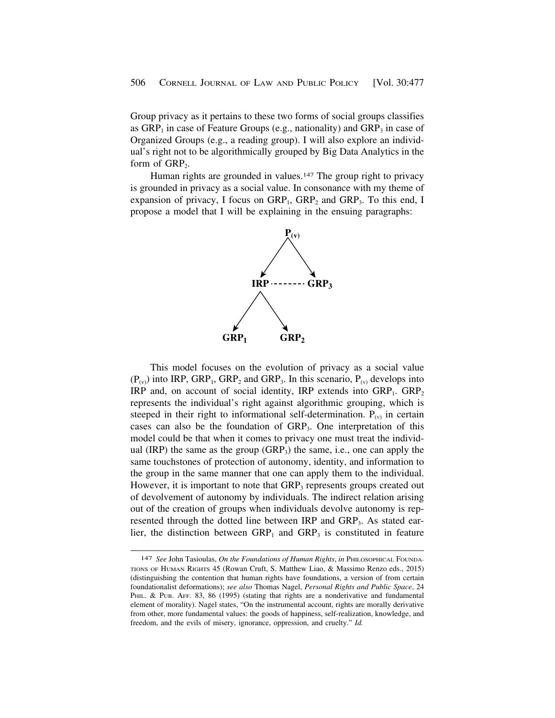Group privacy as it pertains to these two forms of social groups classifies as  $GRP<sub>1</sub>$  in case of Feature Groups (e.g., nationality) and  $GRP<sub>3</sub>$  in case of Organized Groups (e.g., a reading group). I will also explore an individual's right not to be algorithmically grouped by Big Data Analytics in the form of  $GRP<sub>2</sub>$ .

Human rights are grounded in values.<sup>147</sup> The group right to privacy is grounded in privacy as a social value. In consonance with my theme of expansion of privacy, I focus on  $\text{GRP}_1$ ,  $\text{GRP}_2$  and  $\text{GRP}_3$ . To this end, I propose a model that I will be explaining in the ensuing paragraphs:



This model focuses on the evolution of privacy as a social value  $(P_{(v)})$  into IRP, GRP<sub>1</sub>, GRP<sub>2</sub> and GRP<sub>3</sub>. In this scenario,  $P_{(v)}$  develops into IRP and, on account of social identity, IRP extends into  $\text{GRP}_1$ .  $\text{GRP}_2$ represents the individual's right against algorithmic grouping, which is steeped in their right to informational self-determination.  $P_{(v)}$  in certain cases can also be the foundation of GRP<sub>3</sub>. One interpretation of this model could be that when it comes to privacy one must treat the individual (IRP) the same as the group  $(GRP_3)$  the same, i.e., one can apply the same touchstones of protection of autonomy, identity, and information to the group in the same manner that one can apply them to the individual. However, it is important to note that  $\text{GRP}_3$  represents groups created out of devolvement of autonomy by individuals. The indirect relation arising out of the creation of groups when individuals devolve autonomy is represented through the dotted line between IRP and  $\rm{GRP_3}$ . As stated earlier, the distinction between  $\text{GRP}_1$  and  $\text{GRP}_3$  is constituted in feature

<sup>147</sup> *See* John Tasioulas, *On the Foundations of Human Rights*, *in* PHILOSOPHICAL FOUNDA-TIONS OF HUMAN RIGHTS 45 (Rowan Cruft, S. Matthew Liao, & Massimo Renzo eds., 2015) (distinguishing the contention that human rights have foundations, a version of from certain foundationalist deformations); *see also* Thomas Nagel, *Personal Rights and Public Space*, 24 PHIL. & PUB. AFF. 83, 86 (1995) (stating that rights are a nonderivative and fundamental element of morality). Nagel states, "On the instrumental account, rights are morally derivative from other, more fundamental values: the goods of happiness, self-realization, knowledge, and freedom, and the evils of misery, ignorance, oppression, and cruelty." *Id.*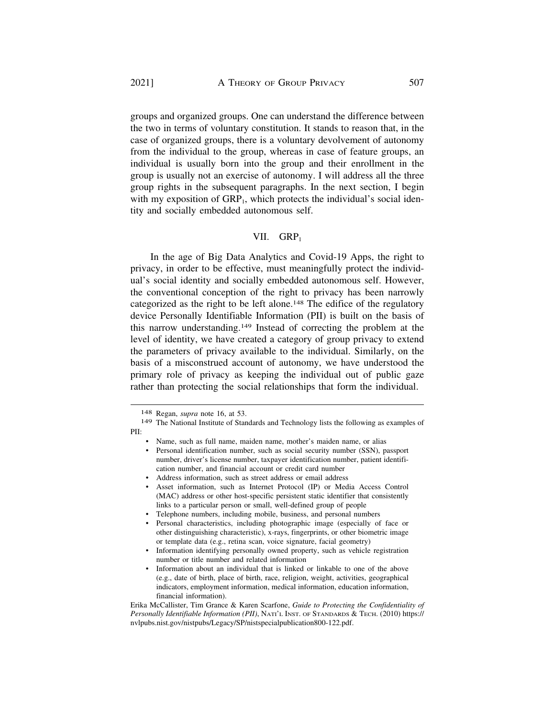groups and organized groups. One can understand the difference between the two in terms of voluntary constitution. It stands to reason that, in the case of organized groups, there is a voluntary devolvement of autonomy from the individual to the group, whereas in case of feature groups, an individual is usually born into the group and their enrollment in the group is usually not an exercise of autonomy. I will address all the three group rights in the subsequent paragraphs. In the next section, I begin with my exposition of  $\text{GRP}_1$ , which protects the individual's social identity and socially embedded autonomous self.

## VII. GRP<sub>1</sub>

In the age of Big Data Analytics and Covid-19 Apps, the right to privacy, in order to be effective, must meaningfully protect the individual's social identity and socially embedded autonomous self. However, the conventional conception of the right to privacy has been narrowly categorized as the right to be left alone.148 The edifice of the regulatory device Personally Identifiable Information (PII) is built on the basis of this narrow understanding.149 Instead of correcting the problem at the level of identity, we have created a category of group privacy to extend the parameters of privacy available to the individual. Similarly, on the basis of a misconstrued account of autonomy, we have understood the primary role of privacy as keeping the individual out of public gaze rather than protecting the social relationships that form the individual.

- Personal characteristics, including photographic image (especially of face or other distinguishing characteristic), x-rays, fingerprints, or other biometric image or template data (e.g., retina scan, voice signature, facial geometry)
- Information identifying personally owned property, such as vehicle registration number or title number and related information
- Information about an individual that is linked or linkable to one of the above (e.g., date of birth, place of birth, race, religion, weight, activities, geographical indicators, employment information, medical information, education information, financial information).

Erika McCallister, Tim Grance & Karen Scarfone, *Guide to Protecting the Confidentiality of Personally Identifiable Information (PII)*, NATI'L INST. OF STANDARDS & TECH. (2010) https:// [nvlpubs.nist.gov/nistpubs/Legacy/SP/nistspecialpublication800-122.pdf](https://nvlpubs.nist.gov/nistpubs/Legacy/SP/nistspecialpublication800-122.pdf).

<sup>148</sup> Regan, *supra* note 16, at 53.

<sup>149</sup> The National Institute of Standards and Technology lists the following as examples of PII:

<sup>•</sup> Name, such as full name, maiden name, mother's maiden name, or alias

<sup>•</sup> Personal identification number, such as social security number (SSN), passport number, driver's license number, taxpayer identification number, patient identification number, and financial account or credit card number

<sup>•</sup> Address information, such as street address or email address

<sup>•</sup> Asset information, such as Internet Protocol (IP) or Media Access Control (MAC) address or other host-specific persistent static identifier that consistently links to a particular person or small, well-defined group of people

<sup>•</sup> Telephone numbers, including mobile, business, and personal numbers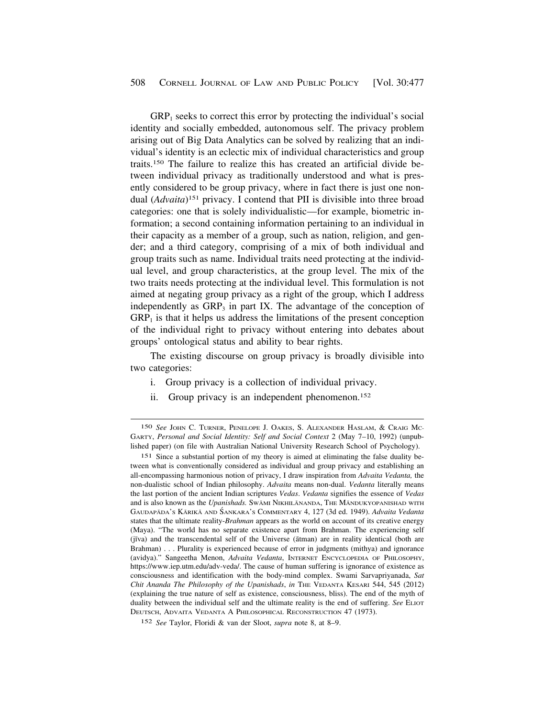$GRP<sub>1</sub>$  seeks to correct this error by protecting the individual's social identity and socially embedded, autonomous self. The privacy problem arising out of Big Data Analytics can be solved by realizing that an individual's identity is an eclectic mix of individual characteristics and group traits.150 The failure to realize this has created an artificial divide between individual privacy as traditionally understood and what is presently considered to be group privacy, where in fact there is just one nondual (*Advaita*)151 privacy. I contend that PII is divisible into three broad categories: one that is solely individualistic—for example, biometric information; a second containing information pertaining to an individual in their capacity as a member of a group, such as nation, religion, and gender; and a third category, comprising of a mix of both individual and group traits such as name. Individual traits need protecting at the individual level, and group characteristics, at the group level. The mix of the two traits needs protecting at the individual level. This formulation is not aimed at negating group privacy as a right of the group, which I address independently as  $\text{GRP}_3$  in part IX. The advantage of the conception of  $GRP<sub>1</sub>$  is that it helps us address the limitations of the present conception of the individual right to privacy without entering into debates about groups' ontological status and ability to bear rights.

The existing discourse on group privacy is broadly divisible into two categories:

- i. Group privacy is a collection of individual privacy.
- ii. Group privacy is an independent phenomenon.152

<sup>150</sup> *See* JOHN C. TURNER, PENELOPE J. OAKES, S. ALEXANDER HASLAM, & CRAIG MC-GARTY, *Personal and Social Identity: Self and Social Context* 2 (May 7–10, 1992) (unpublished paper) (on file with Australian National University Research School of Psychology).

<sup>151</sup> Since a substantial portion of my theory is aimed at eliminating the false duality between what is conventionally considered as individual and group privacy and establishing an all-encompassing harmonious notion of privacy, I draw inspiration from *Advaita Vedanta,* the non-dualistic school of Indian philosophy. *Advaita* means non-dual. *Vedanta* literally means the last portion of the ancient Indian scriptures *Vedas*. *Vedanta* signifies the essence of *Vedas*  and is also known as the *Upanishads*. Swāmi Nikhilānanda, The Māndukyopanishad with GAUDAPĀDA'S KĀRIKĀ AND ŚANKARA'S COMMENTARY 4, 127 (3d ed. 1949). *Advaita Vedanta* states that the ultimate reality-*Brahman* appears as the world on account of its creative energy (Maya). "The world has no separate existence apart from Brahman. The experiencing self  $(i\bar{v}va)$  and the transcendental self of the Universe ( $\bar{a}t$  and  $\bar{a}t$ ) are in reality identical (both are Brahman) . . . Plurality is experienced because of error in judgments (mithya) and ignorance (avidya)." Sangeetha Menon, *Advaita Vedanta*, INTERNET ENCYCLOPEDIA OF PHILOSOPHY, [https://www.iep.utm.edu/adv-veda/](https://www.iep.utm.edu/adv-veda). The cause of human suffering is ignorance of existence as consciousness and identification with the body-mind complex. Swami Sarvapriyanada, *Sat Chit Ananda The Philosophy of the Upanishads*, *in* THE VEDANTA KESARI 544, 545 (2012) (explaining the true nature of self as existence, consciousness, bliss). The end of the myth of duality between the individual self and the ultimate reality is the end of suffering. *See* ELIOT DEUTSCH, ADVAITA VEDANTA A PHILOSOPHICAL RECONSTRUCTION 47 (1973).

<sup>152</sup> *See* Taylor, Floridi & van der Sloot, *supra* note 8, at 8–9.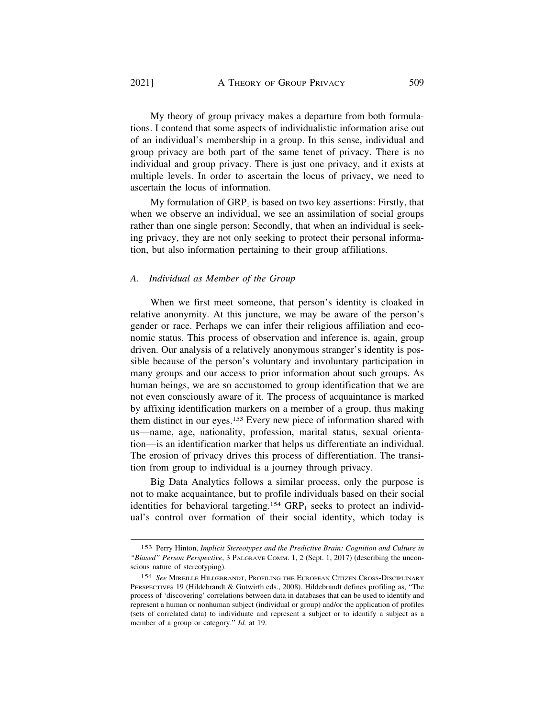My theory of group privacy makes a departure from both formulations. I contend that some aspects of individualistic information arise out of an individual's membership in a group. In this sense, individual and group privacy are both part of the same tenet of privacy. There is no individual and group privacy. There is just one privacy, and it exists at multiple levels. In order to ascertain the locus of privacy, we need to ascertain the locus of information.

My formulation of  $\text{GRP}_1$  is based on two key assertions: Firstly, that when we observe an individual, we see an assimilation of social groups rather than one single person; Secondly, that when an individual is seeking privacy, they are not only seeking to protect their personal information, but also information pertaining to their group affiliations.

## *A. Individual as Member of the Group*

When we first meet someone, that person's identity is cloaked in relative anonymity. At this juncture, we may be aware of the person's gender or race. Perhaps we can infer their religious affiliation and economic status. This process of observation and inference is, again, group driven. Our analysis of a relatively anonymous stranger's identity is possible because of the person's voluntary and involuntary participation in many groups and our access to prior information about such groups. As human beings, we are so accustomed to group identification that we are not even consciously aware of it. The process of acquaintance is marked by affixing identification markers on a member of a group, thus making them distinct in our eyes.153 Every new piece of information shared with us—name, age, nationality, profession, marital status, sexual orientation—is an identification marker that helps us differentiate an individual. The erosion of privacy drives this process of differentiation. The transition from group to individual is a journey through privacy.

Big Data Analytics follows a similar process, only the purpose is not to make acquaintance, but to profile individuals based on their social identities for behavioral targeting.<sup>154</sup> GRP<sub>1</sub> seeks to protect an individual's control over formation of their social identity, which today is

<sup>153</sup> Perry Hinton, *Implicit Stereotypes and the Predictive Brain: Cognition and Culture in "Biased" Person Perspective*, 3 PALGRAVE COMM. 1, 2 (Sept. 1, 2017) (describing the unconscious nature of stereotyping).

<sup>154</sup> *See* MIREILLE HILDEBRANDT, PROFILING THE EUROPEAN CITIZEN CROSS-DISCIPLINARY PERSPECTIVES 19 (Hildebrandt & Gutwirth eds., 2008). Hildebrandt defines profiling as, "The process of 'discovering' correlations between data in databases that can be used to identify and represent a human or nonhuman subject (individual or group) and/or the application of profiles (sets of correlated data) to individuate and represent a subject or to identify a subject as a member of a group or category." *Id.* at 19.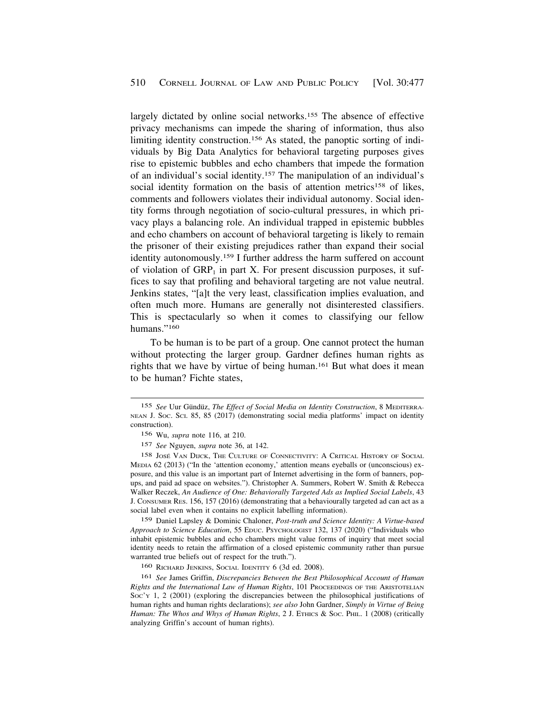largely dictated by online social networks.<sup>155</sup> The absence of effective privacy mechanisms can impede the sharing of information, thus also limiting identity construction.156 As stated, the panoptic sorting of individuals by Big Data Analytics for behavioral targeting purposes gives rise to epistemic bubbles and echo chambers that impede the formation of an individual's social identity.157 The manipulation of an individual's social identity formation on the basis of attention metrics<sup>158</sup> of likes, comments and followers violates their individual autonomy. Social identity forms through negotiation of socio-cultural pressures, in which privacy plays a balancing role. An individual trapped in epistemic bubbles and echo chambers on account of behavioral targeting is likely to remain the prisoner of their existing prejudices rather than expand their social identity autonomously.<sup>159</sup> I further address the harm suffered on account of violation of  $\text{GRP}_1$  in part X. For present discussion purposes, it suffices to say that profiling and behavioral targeting are not value neutral. Jenkins states, "[a]t the very least, classification implies evaluation, and often much more. Humans are generally not disinterested classifiers. This is spectacularly so when it comes to classifying our fellow humans."160

To be human is to be part of a group. One cannot protect the human without protecting the larger group. Gardner defines human rights as rights that we have by virtue of being human.161 But what does it mean to be human? Fichte states,

157 *See* Nguyen, *supra* note 36, at 142.

158 JOSÉ VAN DIJCK, THE CULTURE OF CONNECTIVITY: A CRITICAL HISTORY OF SOCIAL MEDIA 62 (2013) ("In the 'attention economy,' attention means eyeballs or (unconscious) exposure, and this value is an important part of Internet advertising in the form of banners, popups, and paid ad space on websites."). Christopher A. Summers, Robert W. Smith & Rebecca Walker Reczek, *An Audience of One: Behaviorally Targeted Ads as Implied Social Labels*, 43 J. CONSUMER RES. 156, 157 (2016) (demonstrating that a behaviourally targeted ad can act as a social label even when it contains no explicit labelling information).

159 Daniel Lapsley & Dominic Chaloner, *Post-truth and Science Identity: A Virtue-based Approach to Science Education*, 55 EDUC. PSYCHOLOGIST 132, 137 (2020) ("Individuals who inhabit epistemic bubbles and echo chambers might value forms of inquiry that meet social identity needs to retain the affirmation of a closed epistemic community rather than pursue warranted true beliefs out of respect for the truth.").

160 RICHARD JENKINS, SOCIAL IDENTITY 6 (3d ed. 2008).

161 *See* James Griffin, *Discrepancies Between the Best Philosophical Account of Human Rights and the International Law of Human Rights*, 101 PROCEEDINGS OF THE ARISTOTELIAN SOC'Y 1, 2 (2001) (exploring the discrepancies between the philosophical justifications of human rights and human rights declarations); *see also* John Gardner, *Simply in Virtue of Being Human: The Whos and Whys of Human Rights*, 2 J. ETHICS & Soc. PHIL. 1 (2008) (critically analyzing Griffin's account of human rights).

<sup>155</sup> *See* Uur Gündüz, *The Effect of Social Media on Identity Construction*, 8 MEDITERRA-NEAN J. SOC. SCI. 85, 85 (2017) (demonstrating social media platforms' impact on identity construction).

<sup>156</sup> Wu, *supra* note 116, at 210.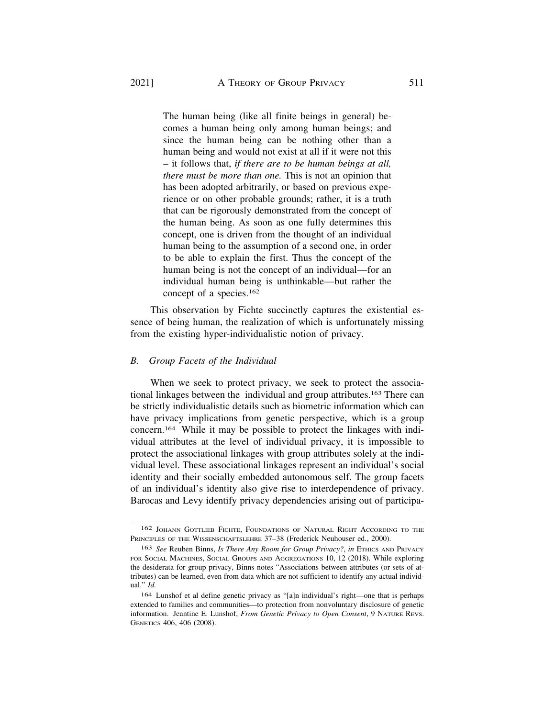The human being (like all finite beings in general) becomes a human being only among human beings; and since the human being can be nothing other than a human being and would not exist at all if it were not this – it follows that, *if there are to be human beings at all, there must be more than one.* This is not an opinion that has been adopted arbitrarily, or based on previous experience or on other probable grounds; rather, it is a truth that can be rigorously demonstrated from the concept of the human being. As soon as one fully determines this concept, one is driven from the thought of an individual human being to the assumption of a second one, in order to be able to explain the first. Thus the concept of the human being is not the concept of an individual—for an individual human being is unthinkable—but rather the

This observation by Fichte succinctly captures the existential essence of being human, the realization of which is unfortunately missing from the existing hyper-individualistic notion of privacy.

## *B. Group Facets of the Individual*

concept of a species.162

When we seek to protect privacy, we seek to protect the associational linkages between the individual and group attributes.163 There can be strictly individualistic details such as biometric information which can have privacy implications from genetic perspective, which is a group concern.164 While it may be possible to protect the linkages with individual attributes at the level of individual privacy, it is impossible to protect the associational linkages with group attributes solely at the individual level. These associational linkages represent an individual's social identity and their socially embedded autonomous self. The group facets of an individual's identity also give rise to interdependence of privacy. Barocas and Levy identify privacy dependencies arising out of participa-

<sup>162</sup> JOHANN GOTTLIEB FICHTE, FOUNDATIONS OF NATURAL RIGHT ACCORDING TO THE PRINCIPLES OF THE WISSENSCHAFTSLEHRE 37–38 (Frederick Neuhouser ed., 2000).

<sup>163</sup> *See* Reuben Binns, *Is There Any Room for Group Privacy?*, *in* ETHICS AND PRIVACY FOR SOCIAL MACHINES, SOCIAL GROUPS AND AGGREGATIONS 10, 12 (2018). While exploring the desiderata for group privacy, Binns notes "Associations between attributes (or sets of attributes) can be learned, even from data which are not sufficient to identify any actual individual." *Id.* 

<sup>164</sup> Lunshof et al define genetic privacy as "[a]n individual's right—one that is perhaps extended to families and communities—to protection from nonvoluntary disclosure of genetic information. Jeantine E. Lunshof, *From Genetic Privacy to Open Consent*, 9 NATURE REVS. GENETICS 406, 406 (2008).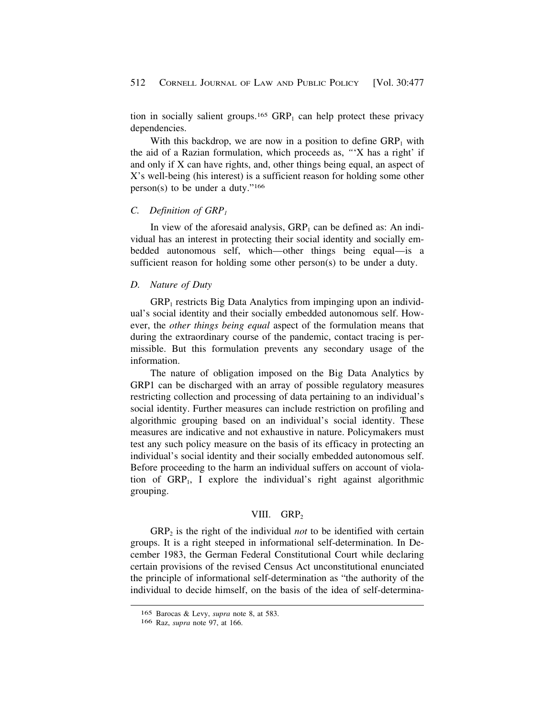tion in socially salient groups.<sup>165</sup> GRP<sub>1</sub> can help protect these privacy dependencies.

With this backdrop, we are now in a position to define  $\text{GRP}_1$  with the aid of a Razian formulation, which proceeds as, *"*'X has a right' if and only if X can have rights, and, other things being equal, an aspect of X's well-being (his interest) is a sufficient reason for holding some other person(s) to be under a duty."<sup>166</sup>

## *C. Definition of GRP1*

In view of the aforesaid analysis,  $GRP<sub>1</sub>$  can be defined as: An individual has an interest in protecting their social identity and socially embedded autonomous self, which—other things being equal—is a sufficient reason for holding some other person(s) to be under a duty.

## *D. Nature of Duty*

 $GRP<sub>1</sub>$  restricts Big Data Analytics from impinging upon an individual's social identity and their socially embedded autonomous self. However, the *other things being equal* aspect of the formulation means that during the extraordinary course of the pandemic, contact tracing is permissible. But this formulation prevents any secondary usage of the information.

The nature of obligation imposed on the Big Data Analytics by GRP1 can be discharged with an array of possible regulatory measures restricting collection and processing of data pertaining to an individual's social identity. Further measures can include restriction on profiling and algorithmic grouping based on an individual's social identity. These measures are indicative and not exhaustive in nature. Policymakers must test any such policy measure on the basis of its efficacy in protecting an individual's social identity and their socially embedded autonomous self. Before proceeding to the harm an individual suffers on account of violation of  $GRP_1$ , I explore the individual's right against algorithmic grouping.

## VIII. GRP<sub>2</sub>

GRP<sub>2</sub> is the right of the individual *not* to be identified with certain groups. It is a right steeped in informational self-determination. In December 1983, the German Federal Constitutional Court while declaring certain provisions of the revised Census Act unconstitutional enunciated the principle of informational self-determination as "the authority of the individual to decide himself, on the basis of the idea of self-determina-

<sup>165</sup> Barocas & Levy, *supra* note 8, at 583.

<sup>166</sup> Raz, *supra* note 97, at 166.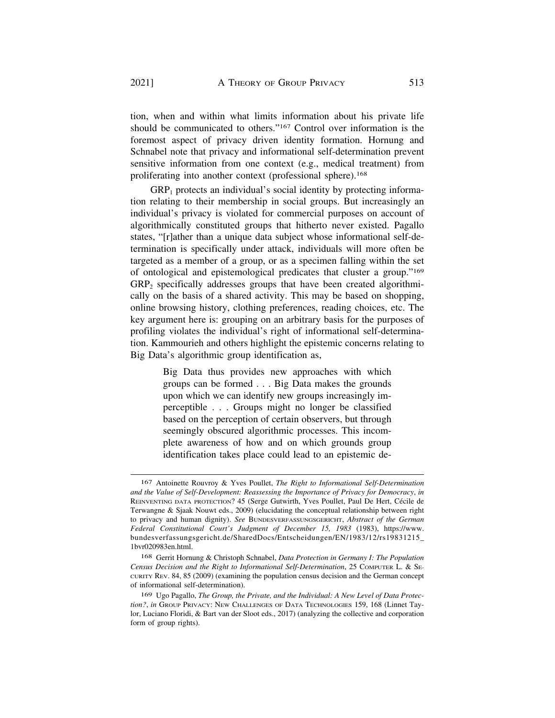tion, when and within what limits information about his private life should be communicated to others."167 Control over information is the foremost aspect of privacy driven identity formation. Hornung and Schnabel note that privacy and informational self-determination prevent sensitive information from one context (e.g., medical treatment) from proliferating into another context (professional sphere).<sup>168</sup>

 $\text{GRP}_1$  protects an individual's social identity by protecting information relating to their membership in social groups. But increasingly an individual's privacy is violated for commercial purposes on account of algorithmically constituted groups that hitherto never existed. Pagallo states, "[r]ather than a unique data subject whose informational self-determination is specifically under attack, individuals will more often be targeted as a member of a group, or as a specimen falling within the set of ontological and epistemological predicates that cluster a group."169  $GRP<sub>2</sub>$  specifically addresses groups that have been created algorithmically on the basis of a shared activity. This may be based on shopping, online browsing history, clothing preferences, reading choices, etc. The key argument here is: grouping on an arbitrary basis for the purposes of profiling violates the individual's right of informational self-determination. Kammourieh and others highlight the epistemic concerns relating to Big Data's algorithmic group identification as,

> Big Data thus provides new approaches with which groups can be formed . . . Big Data makes the grounds upon which we can identify new groups increasingly imperceptible . . . Groups might no longer be classified based on the perception of certain observers, but through seemingly obscured algorithmic processes. This incomplete awareness of how and on which grounds group identification takes place could lead to an epistemic de-

<sup>167</sup> Antoinette Rouvroy & Yves Poullet, *The Right to Informational Self-Determination and the Value of Self-Development: Reassessing the Importance of Privacy for Democracy*, *in*  REINVENTING DATA PROTECTION? 45 (Serge Gutwirth, Yves Poullet, Paul De Hert, Cécile de Terwangne & Sjaak Nouwt eds., 2009) (elucidating the conceptual relationship between right to privacy and human dignity). *See* BUNDESVERFASSUNGSGERICHT, *Abstract of the German Federal Constitutional Court's Judgment of December 15, 1983* (1983), [https://www.](https://www) bundesverfassungsgericht.de/SharedDocs/Entscheidungen/EN/1983/12/rs19831215\_ 1bvr020983en.html.

<sup>168</sup> Gerrit Hornung & Christoph Schnabel, *Data Protection in Germany I: The Population Census Decision and the Right to Informational Self-Determination*, 25 COMPUTER L. & SE-CURITY REV. 84, 85 (2009) (examining the population census decision and the German concept of informational self-determination).

<sup>169</sup> Ugo Pagallo, *The Group, the Private, and the Individual: A New Level of Data Protection?*, *in* GROUP PRIVACY: NEW CHALLENGES OF DATA TECHNOLOGIES 159, 168 (Linnet Taylor, Luciano Floridi, & Bart van der Sloot eds., 2017) (analyzing the collective and corporation form of group rights).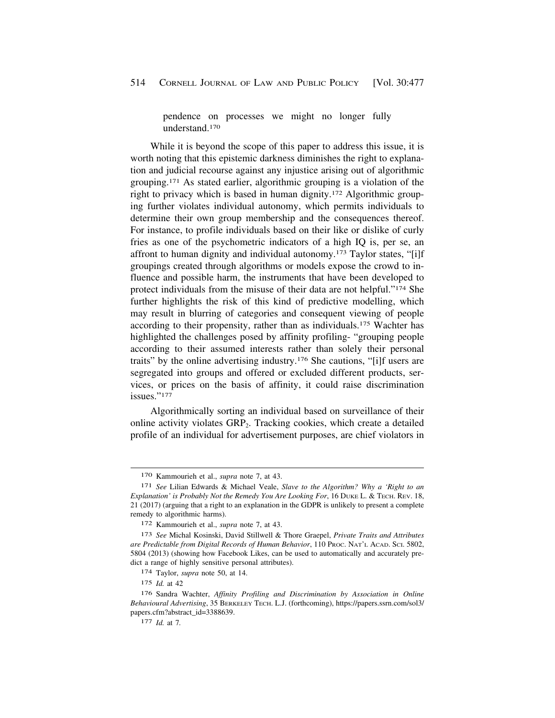pendence on processes we might no longer fully understand.170

While it is beyond the scope of this paper to address this issue, it is worth noting that this epistemic darkness diminishes the right to explanation and judicial recourse against any injustice arising out of algorithmic grouping.171 As stated earlier, algorithmic grouping is a violation of the right to privacy which is based in human dignity.172 Algorithmic grouping further violates individual autonomy, which permits individuals to determine their own group membership and the consequences thereof. For instance, to profile individuals based on their like or dislike of curly fries as one of the psychometric indicators of a high IQ is, per se, an affront to human dignity and individual autonomy.173 Taylor states, "[i]f groupings created through algorithms or models expose the crowd to influence and possible harm, the instruments that have been developed to protect individuals from the misuse of their data are not helpful."174 She further highlights the risk of this kind of predictive modelling, which may result in blurring of categories and consequent viewing of people according to their propensity, rather than as individuals.175 Wachter has highlighted the challenges posed by affinity profiling- "grouping people according to their assumed interests rather than solely their personal traits" by the online advertising industry.176 She cautions, "[i]f users are segregated into groups and offered or excluded different products, services, or prices on the basis of affinity, it could raise discrimination issues."177

Algorithmically sorting an individual based on surveillance of their online activity violates  $\text{GRP}_2$ . Tracking cookies, which create a detailed profile of an individual for advertisement purposes, are chief violators in

<sup>170</sup> Kammourieh et al., *supra* note 7, at 43.

<sup>171</sup> *See* Lilian Edwards & Michael Veale, *Slave to the Algorithm? Why a 'Right to an Explanation' is Probably Not the Remedy You Are Looking For*, 16 DUKE L. & TECH. REV. 18, 21 (2017) (arguing that a right to an explanation in the GDPR is unlikely to present a complete remedy to algorithmic harms).

<sup>172</sup> Kammourieh et al., *supra* note 7, at 43.

<sup>173</sup> *See* Michal Kosinski, David Stillwell & Thore Graepel, *Private Traits and Attributes are Predictable from Digital Records of Human Behavior*, 110 PROC. NAT'L ACAD. SCI. 5802, 5804 (2013) (showing how Facebook Likes, can be used to automatically and accurately predict a range of highly sensitive personal attributes).

<sup>174</sup> Taylor, *supra* note 50, at 14.

<sup>175</sup> *Id.* at 42

<sup>176</sup> Sandra Wachter, *Affinity Profiling and Discrimination by Association in Online Behavioural Advertising*, 35 BERKELEY TECH. L.J. (forthcoming), [https://papers.ssrn.com/sol3/](https://papers.ssrn.com/sol3) papers.cfm?abstract\_id=3388639.

<sup>177</sup> *Id.* at 7*.*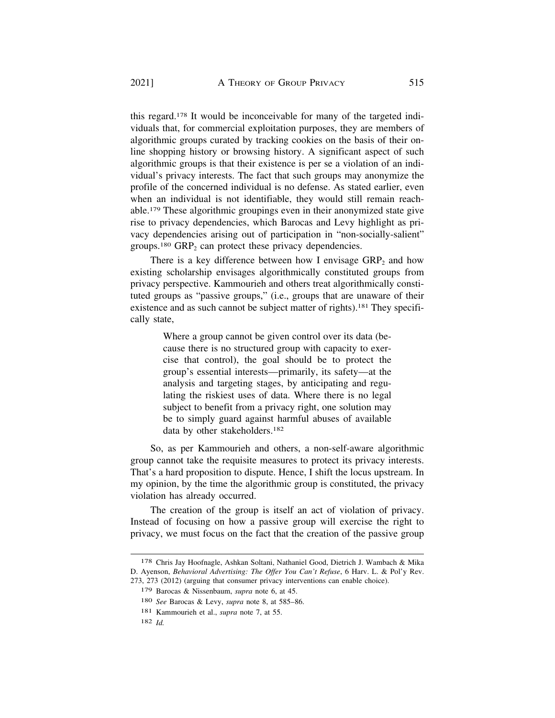this regard.178 It would be inconceivable for many of the targeted individuals that, for commercial exploitation purposes, they are members of algorithmic groups curated by tracking cookies on the basis of their online shopping history or browsing history. A significant aspect of such algorithmic groups is that their existence is per se a violation of an individual's privacy interests. The fact that such groups may anonymize the profile of the concerned individual is no defense. As stated earlier, even when an individual is not identifiable, they would still remain reachable.179 These algorithmic groupings even in their anonymized state give rise to privacy dependencies, which Barocas and Levy highlight as privacy dependencies arising out of participation in "non-socially-salient" groups.<sup>180</sup> GRP<sub>2</sub> can protect these privacy dependencies.

There is a key difference between how I envisage  $GRP<sub>2</sub>$  and how existing scholarship envisages algorithmically constituted groups from privacy perspective. Kammourieh and others treat algorithmically constituted groups as "passive groups," (i.e., groups that are unaware of their existence and as such cannot be subject matter of rights).<sup>181</sup> They specifically state,

> Where a group cannot be given control over its data (because there is no structured group with capacity to exercise that control), the goal should be to protect the group's essential interests—primarily, its safety—at the analysis and targeting stages, by anticipating and regulating the riskiest uses of data. Where there is no legal subject to benefit from a privacy right, one solution may be to simply guard against harmful abuses of available data by other stakeholders.<sup>182</sup>

So, as per Kammourieh and others, a non-self-aware algorithmic group cannot take the requisite measures to protect its privacy interests. That's a hard proposition to dispute. Hence, I shift the locus upstream. In my opinion, by the time the algorithmic group is constituted, the privacy violation has already occurred.

The creation of the group is itself an act of violation of privacy. Instead of focusing on how a passive group will exercise the right to privacy, we must focus on the fact that the creation of the passive group

<sup>178</sup> Chris Jay Hoofnagle, Ashkan Soltani, Nathaniel Good, Dietrich J. Wambach & Mika D. Ayenson, *Behavioral Advertising: The Offer You Can't Refuse*, 6 Harv. L. & Pol'y Rev. 273, 273 (2012) (arguing that consumer privacy interventions can enable choice).

<sup>179</sup> Barocas & Nissenbaum, *supra* note 6, at 45.

<sup>180</sup> *See* Barocas & Levy, *supra* note 8, at 585–86.

<sup>181</sup> Kammourieh et al., *supra* note 7, at 55.

<sup>182</sup> *Id.*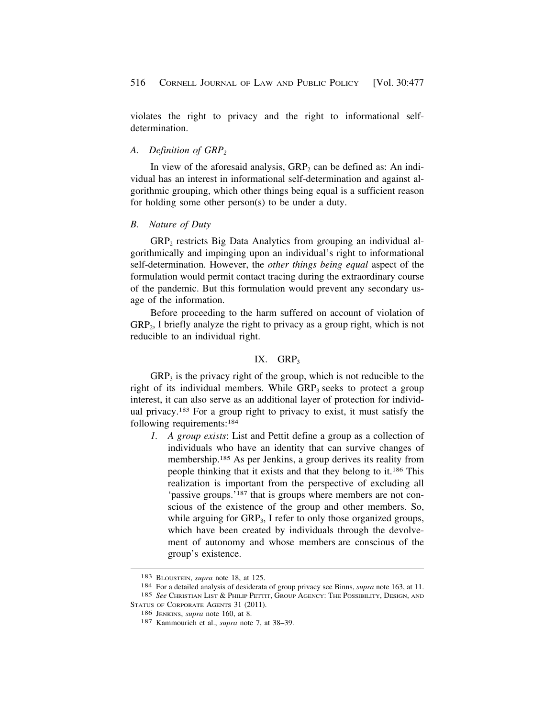violates the right to privacy and the right to informational selfdetermination.

## *A. Definition of GRP<sub>2</sub>*

In view of the aforesaid analysis,  $GRP<sub>2</sub>$  can be defined as: An individual has an interest in informational self-determination and against algorithmic grouping, which other things being equal is a sufficient reason for holding some other person(s) to be under a duty.

## *B. Nature of Duty*

 $GRP<sub>2</sub>$  restricts Big Data Analytics from grouping an individual algorithmically and impinging upon an individual's right to informational self-determination. However, the *other things being equal* aspect of the formulation would permit contact tracing during the extraordinary course of the pandemic. But this formulation would prevent any secondary usage of the information.

Before proceeding to the harm suffered on account of violation of  $GRP<sub>2</sub>$ , I briefly analyze the right to privacy as a group right, which is not reducible to an individual right.

## IX. GRP3

 $GRP<sub>3</sub>$  is the privacy right of the group, which is not reducible to the right of its individual members. While  $\text{GRP}_3$  seeks to protect a group interest, it can also serve as an additional layer of protection for individual privacy.183 For a group right to privacy to exist, it must satisfy the following requirements:184

*1. A group exists*: List and Pettit define a group as a collection of individuals who have an identity that can survive changes of membership.185 As per Jenkins, a group derives its reality from people thinking that it exists and that they belong to it.186 This realization is important from the perspective of excluding all 'passive groups.'187 that is groups where members are not conscious of the existence of the group and other members. So, while arguing for GRP<sub>3</sub>, I refer to only those organized groups, which have been created by individuals through the devolvement of autonomy and whose members are conscious of the group's existence.

<sup>183</sup> BLOUSTEIN, *supra* note 18, at 125. 184 For a detailed analysis of desiderata of group privacy see Binns, *supra* note 163, at 11.

<sup>185</sup> *See* CHRISTIAN LIST & PHILIP PETTIT, GROUP AGENCY: THE POSSIBILITY, DESIGN, AND STATUS OF CORPORATE AGENTS 31 (2011).

<sup>186</sup> JENKINS, *supra* note 160, at 8. 187 Kammourieh et al., *supra* note 7, at 38–39.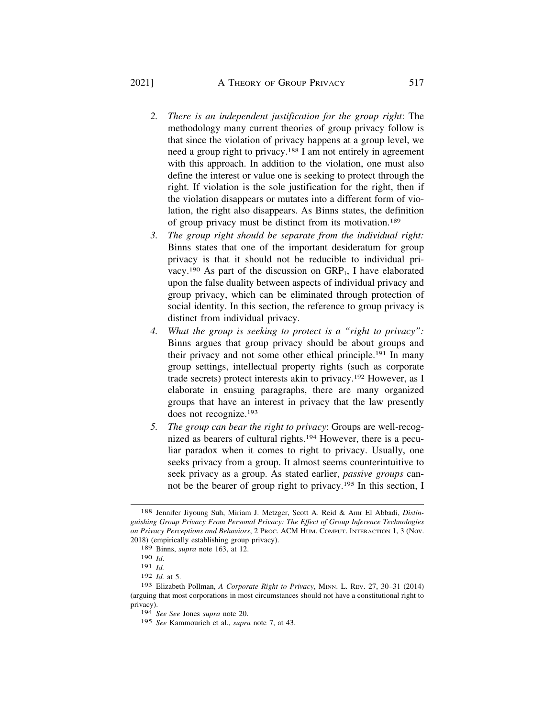- *2. There is an independent justification for the group right*: The methodology many current theories of group privacy follow is that since the violation of privacy happens at a group level, we need a group right to privacy.188 I am not entirely in agreement with this approach. In addition to the violation, one must also define the interest or value one is seeking to protect through the right. If violation is the sole justification for the right, then if the violation disappears or mutates into a different form of violation, the right also disappears. As Binns states, the definition of group privacy must be distinct from its motivation.189
- *3. The group right should be separate from the individual right:*  Binns states that one of the important desideratum for group privacy is that it should not be reducible to individual privacy.<sup>190</sup> As part of the discussion on  $\text{GRP}_1$ , I have elaborated upon the false duality between aspects of individual privacy and group privacy, which can be eliminated through protection of social identity. In this section, the reference to group privacy is distinct from individual privacy.
- *4. What the group is seeking to protect is a "right to privacy":*  Binns argues that group privacy should be about groups and their privacy and not some other ethical principle.191 In many group settings, intellectual property rights (such as corporate trade secrets) protect interests akin to privacy.192 However, as I elaborate in ensuing paragraphs, there are many organized groups that have an interest in privacy that the law presently does not recognize.193
- *5. The group can bear the right to privacy*: Groups are well-recognized as bearers of cultural rights.194 However, there is a peculiar paradox when it comes to right to privacy. Usually, one seeks privacy from a group. It almost seems counterintuitive to seek privacy as a group. As stated earlier, *passive groups* cannot be the bearer of group right to privacy.195 In this section, I

<sup>188</sup> Jennifer Jiyoung Suh, Miriam J. Metzger, Scott A. Reid & Amr El Abbadi, *Distinguishing Group Privacy From Personal Privacy: The Effect of Group Inference Technologies on Privacy Perceptions and Behaviors*, 2 PROC. ACM HUM. COMPUT. INTERACTION 1, 3 (Nov. 2018) (empirically establishing group privacy).

<sup>189</sup> Binns, *supra* note 163, at 12.

<sup>190</sup>*Id*. 191 *Id.* 

<sup>192</sup> *Id.* at 5.

<sup>193</sup> Elizabeth Pollman, *A Corporate Right to Privacy*, MINN. L. REV. 27, 30–31 (2014) (arguing that most corporations in most circumstances should not have a constitutional right to privacy).

<sup>194</sup> *See See* Jones *supra* note 20.

<sup>195</sup> *See* Kammourieh et al., *supra* note 7, at 43.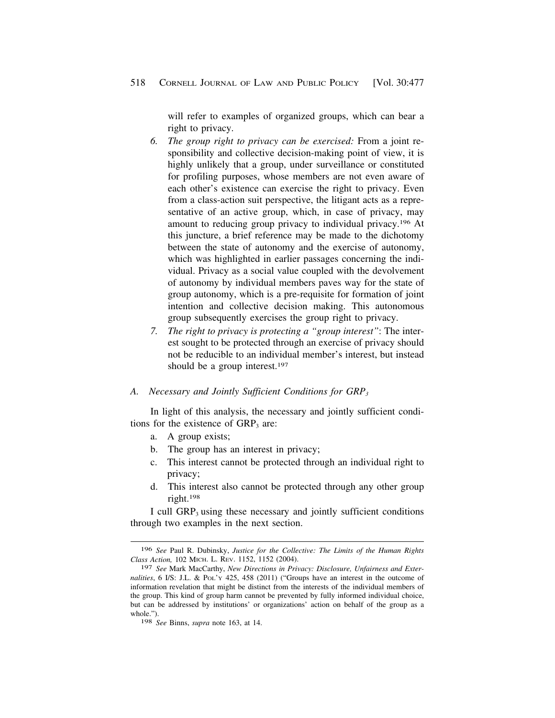will refer to examples of organized groups, which can bear a right to privacy.

- *6. The group right to privacy can be exercised:* From a joint responsibility and collective decision-making point of view, it is highly unlikely that a group, under surveillance or constituted for profiling purposes, whose members are not even aware of each other's existence can exercise the right to privacy. Even from a class-action suit perspective, the litigant acts as a representative of an active group, which, in case of privacy, may amount to reducing group privacy to individual privacy.196 At this juncture, a brief reference may be made to the dichotomy between the state of autonomy and the exercise of autonomy, which was highlighted in earlier passages concerning the individual. Privacy as a social value coupled with the devolvement of autonomy by individual members paves way for the state of group autonomy, which is a pre-requisite for formation of joint intention and collective decision making. This autonomous group subsequently exercises the group right to privacy.
- *7. The right to privacy is protecting a "group interest"*: The interest sought to be protected through an exercise of privacy should not be reducible to an individual member's interest, but instead should be a group interest.<sup>197</sup>

# *A. Necessary and Jointly Sufficient Conditions for GRP3*

In light of this analysis, the necessary and jointly sufficient conditions for the existence of  $\text{GRP}_3$  are:

- a. A group exists;
- b. The group has an interest in privacy;
- c. This interest cannot be protected through an individual right to privacy;
- d. This interest also cannot be protected through any other group right.198

I cull  $\text{GRP}_3$  using these necessary and jointly sufficient conditions through two examples in the next section.

<sup>196</sup> *See* Paul R. Dubinsky, *Justice for the Collective: The Limits of the Human Rights Class Action,* 102 MICH. L. REV. 1152, 1152 (2004).

<sup>197</sup> *See* Mark MacCarthy, *New Directions in Privacy: Disclosure, Unfairness and Externalities*, 6 I/S: J.L. & POL'Y 425, 458 (2011) ("Groups have an interest in the outcome of information revelation that might be distinct from the interests of the individual members of the group. This kind of group harm cannot be prevented by fully informed individual choice, but can be addressed by institutions' or organizations' action on behalf of the group as a whole.").

<sup>198</sup> *See* Binns, *supra* note 163, at 14.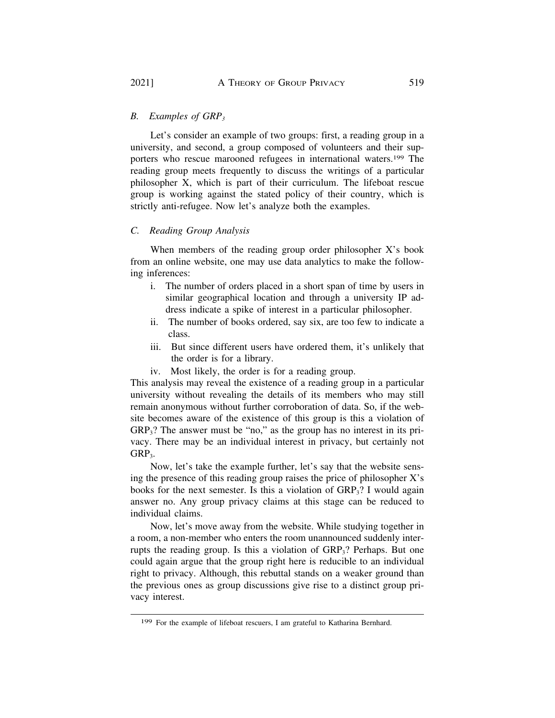# <span id="page-42-0"></span>*B. Examples of GRP3*

Let's consider an example of two groups: first, a reading group in a university, and second, a group composed of volunteers and their supporters who rescue marooned refugees in international waters.199 The reading group meets frequently to discuss the writings of a particular philosopher X, which is part of their curriculum. The lifeboat rescue group is working against the stated policy of their country, which is strictly anti-refugee. Now let's analyze both the examples.

# *C. Reading Group Analysis*

When members of the reading group order philosopher X's book from an online website, one may use data analytics to make the following inferences:

- i. The number of orders placed in a short span of time by users in similar geographical location and through a university IP address indicate a spike of interest in a particular philosopher.
- ii. The number of books ordered, say six, are too few to indicate a class.
- iii. But since different users have ordered them, it's unlikely that the order is for a library.
- iv. Most likely, the order is for a reading group.

This analysis may reveal the existence of a reading group in a particular university without revealing the details of its members who may still remain anonymous without further corroboration of data. So, if the website becomes aware of the existence of this group is this a violation of  $GRP<sub>3</sub>$ ? The answer must be "no," as the group has no interest in its privacy. There may be an individual interest in privacy, but certainly not GRP<sub>3</sub>.

Now, let's take the example further, let's say that the website sensing the presence of this reading group raises the price of philosopher X's books for the next semester. Is this a violation of  $\text{GRP}_3$ ? I would again answer no. Any group privacy claims at this stage can be reduced to individual claims.

Now, let's move away from the website. While studying together in a room, a non-member who enters the room unannounced suddenly interrupts the reading group. Is this a violation of  $\text{GRP}_3$ ? Perhaps. But one could again argue that the group right here is reducible to an individual right to privacy. Although, this rebuttal stands on a weaker ground than the previous ones as group discussions give rise to a distinct group privacy interest.

<sup>199</sup> For the example of lifeboat rescuers, I am grateful to Katharina Bernhard.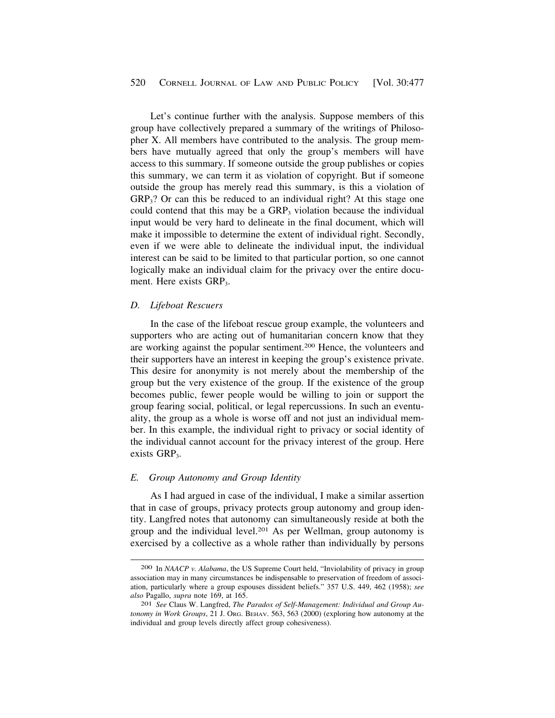Let's continue further with the analysis. Suppose members of this group have collectively prepared a summary of the writings of Philosopher X. All members have contributed to the analysis. The group members have mutually agreed that only the group's members will have access to this summary. If someone outside the group publishes or copies this summary, we can term it as violation of copyright. But if someone outside the group has merely read this summary, is this a violation of  $GRP<sub>3</sub>$ ? Or can this be reduced to an individual right? At this stage one could contend that this may be a  $\text{GRP}_3$  violation because the individual input would be very hard to delineate in the final document, which will make it impossible to determine the extent of individual right. Secondly, even if we were able to delineate the individual input, the individual interest can be said to be limited to that particular portion, so one cannot logically make an individual claim for the privacy over the entire document. Here exists GRP<sub>3</sub>.

## *D. Lifeboat Rescuers*

In the case of the lifeboat rescue group example, the volunteers and supporters who are acting out of humanitarian concern know that they are working against the popular sentiment.200 Hence, the volunteers and their supporters have an interest in keeping the group's existence private. This desire for anonymity is not merely about the membership of the group but the very existence of the group. If the existence of the group becomes public, fewer people would be willing to join or support the group fearing social, political, or legal repercussions. In such an eventuality, the group as a whole is worse off and not just an individual member. In this example, the individual right to privacy or social identity of the individual cannot account for the privacy interest of the group. Here exists  $\text{GRP}_3$ .

## *E. Group Autonomy and Group Identity*

As I had argued in case of the individual, I make a similar assertion that in case of groups, privacy protects group autonomy and group identity. Langfred notes that autonomy can simultaneously reside at both the group and the individual level.201 As per Wellman, group autonomy is exercised by a collective as a whole rather than individually by persons

<sup>200</sup> In *NAACP v. Alabama*, the US Supreme Court held, "Inviolability of privacy in group association may in many circumstances be indispensable to preservation of freedom of association, particularly where a group espouses dissident beliefs." 357 U.S. 449, 462 (1958); *see also* Pagallo, *supra* note 169, at 165. 201 *See* Claus W. Langfred, *The Paradox of Self-Management: Individual and Group Au-*

*tonomy in Work Groups*, 21 J. ORG. BEHAV. 563, 563 (2000) (exploring how autonomy at the individual and group levels directly affect group cohesiveness).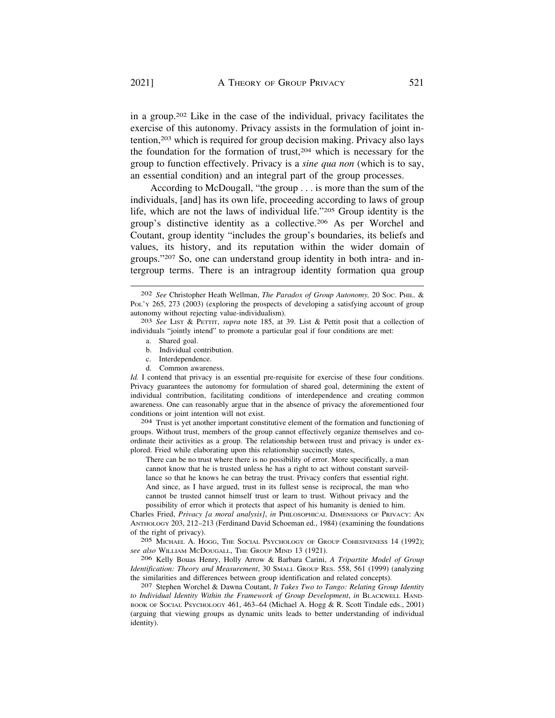in a group.202 Like in the case of the individual, privacy facilitates the exercise of this autonomy. Privacy assists in the formulation of joint intention,203 which is required for group decision making. Privacy also lays the foundation for the formation of trust, $204$  which is necessary for the group to function effectively. Privacy is a *sine qua non* (which is to say, an essential condition) and an integral part of the group processes.

According to McDougall, "the group . . . is more than the sum of the individuals, [and] has its own life, proceeding according to laws of group life, which are not the laws of individual life."205 Group identity is the group's distinctive identity as a collective.206 As per Worchel and Coutant, group identity "includes the group's boundaries, its beliefs and values, its history, and its reputation within the wider domain of groups."207 So, one can understand group identity in both intra- and intergroup terms. There is an intragroup identity formation qua group

- a. Shared goal.
- b. Individual contribution.
- c. Interdependence.
- d. Common awareness.

*Id.* I contend that privacy is an essential pre-requisite for exercise of these four conditions. Privacy guarantees the autonomy for formulation of shared goal, determining the extent of individual contribution, facilitating conditions of interdependence and creating common awareness. One can reasonably argue that in the absence of privacy the aforementioned four conditions or joint intention will not exist.<br>
<sup>204</sup> Trust is yet another important constitutive element of the formation and functioning of

groups. Without trust, members of the group cannot effectively organize themselves and coordinate their activities as a group. The relationship between trust and privacy is under explored. Fried while elaborating upon this relationship succinctly states,

There can be no trust where there is no possibility of error. More specifically, a man cannot know that he is trusted unless he has a right to act without constant surveillance so that he knows he can betray the trust. Privacy confers that essential right. And since, as I have argued, trust in its fullest sense is reciprocal, the man who cannot be trusted cannot himself trust or learn to trust. Without privacy and the possibility of error which it protects that aspect of his humanity is denied to him.

Charles Fried, *Privacy [a moral analysis]*, *in* PHILOSOPHICAL DIMENSIONS OF PRIVACY: AN ANTHOLOGY 203, 212–213 (Ferdinand David Schoeman ed., 1984) (examining the foundations of the right of privacy).

205 MICHAEL A. HOGG, THE SOCIAL PSYCHOLOGY OF GROUP COHESIVENESS 14 (1992); *see also* WILLIAM MCDOUGALL, THE GROUP MIND 13 (1921).

206 Kelly Bouas Henry, Holly Arrow & Barbara Carini, *A Tripartite Model of Group Identification: Theory and Measurement*, 30 SMALL GROUP RES. 558, 561 (1999) (analyzing the similarities and differences between group identification and related concepts). 207 Stephen Worchel & Dawna Coutant, *It Takes Two to Tango: Relating Group Identity* 

*to Individual Identity Within the Framework of Group Development*, *in* BLACKWELL HAND-BOOK OF SOCIAL PSYCHOLOGY 461, 463–64 (Michael A. Hogg & R. Scott Tindale eds., 2001) (arguing that viewing groups as dynamic units leads to better understanding of individual identity).

<sup>202</sup> *See* Christopher Heath Wellman, *The Paradox of Group Autonomy,* 20 SOC. PHIL. & Poly 265, 273 (2003) (exploring the prospects of developing a satisfying account of group autonomy without rejecting value-individualism). 203 *See* LIST & PETTIT, *supra* note 185, at 39. List & Pettit posit that a collection of

individuals "jointly intend" to promote a particular goal if four conditions are met: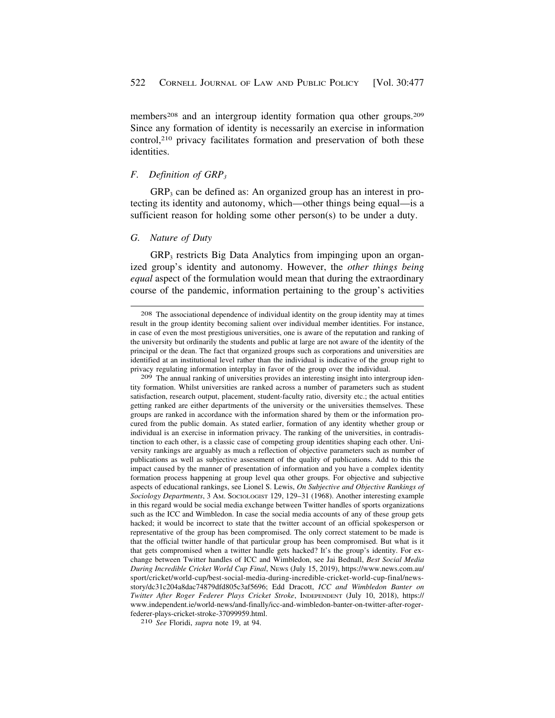members<sup>208</sup> and an intergroup identity formation qua other groups.<sup>209</sup> Since any formation of identity is necessarily an exercise in information control,210 privacy facilitates formation and preservation of both these identities.

## *F. Definition of GRP3*

 $GRP<sub>3</sub>$  can be defined as: An organized group has an interest in protecting its identity and autonomy, which—other things being equal—is a sufficient reason for holding some other person(s) to be under a duty.

## *G. Nature of Duty*

 $GRP<sub>3</sub>$  restricts Big Data Analytics from impinging upon an organized group's identity and autonomy. However, the *other things being equal* aspect of the formulation would mean that during the extraordinary course of the pandemic, information pertaining to the group's activities

<sup>208</sup> The associational dependence of individual identity on the group identity may at times result in the group identity becoming salient over individual member identities. For instance, in case of even the most prestigious universities, one is aware of the reputation and ranking of the university but ordinarily the students and public at large are not aware of the identity of the principal or the dean. The fact that organized groups such as corporations and universities are identified at an institutional level rather than the individual is indicative of the group right to privacy regulating information interplay in favor of the group over the individual.

<sup>209</sup> The annual ranking of universities provides an interesting insight into intergroup identity formation. Whilst universities are ranked across a number of parameters such as student satisfaction, research output, placement, student-faculty ratio, diversity etc.; the actual entities getting ranked are either departments of the university or the universities themselves. These groups are ranked in accordance with the information shared by them or the information procured from the public domain. As stated earlier, formation of any identity whether group or individual is an exercise in information privacy. The ranking of the universities, in contradistinction to each other, is a classic case of competing group identities shaping each other. University rankings are arguably as much a reflection of objective parameters such as number of publications as well as subjective assessment of the quality of publications. Add to this the impact caused by the manner of presentation of information and you have a complex identity formation process happening at group level qua other groups. For objective and subjective aspects of educational rankings, see Lionel S. Lewis, *On Subjective and Objective Rankings of Sociology Departments*, 3 AM. SOCIOLOGIST 129, 129–31 (1968). Another interesting example in this regard would be social media exchange between Twitter handles of sports organizations such as the ICC and Wimbledon. In case the social media accounts of any of these group gets hacked; it would be incorrect to state that the twitter account of an official spokesperson or representative of the group has been compromised. The only correct statement to be made is that the official twitter handle of that particular group has been compromised. But what is it that gets compromised when a twitter handle gets hacked? It's the group's identity. For exchange between Twitter handles of ICC and Wimbledon, see Jai Bednall, *Best Social Media During Incredible Cricket World Cup Final*, NEWS (July 15, 2019), [https://www.news.com.au/](https://www.news.com.au) sport/cricket/world-cup/best-social-media-during-incredible-cricket-world-cup-final/newsstory/dc31c204a8dac74879dfd805c3af5696; Edd Dracott, *ICC and Wimbledon Banter on Twitter After Roger Federer Plays Cricket Stroke*, INDEPENDENT (July 10, 2018), https:// <www.independent.ie/world-news/and-finally/icc-and-wimbledon-banter-on-twitter-after-roger>federer-plays-cricket-stroke-37099959.html. 210 *See* Floridi, *supra* note 19, at 94.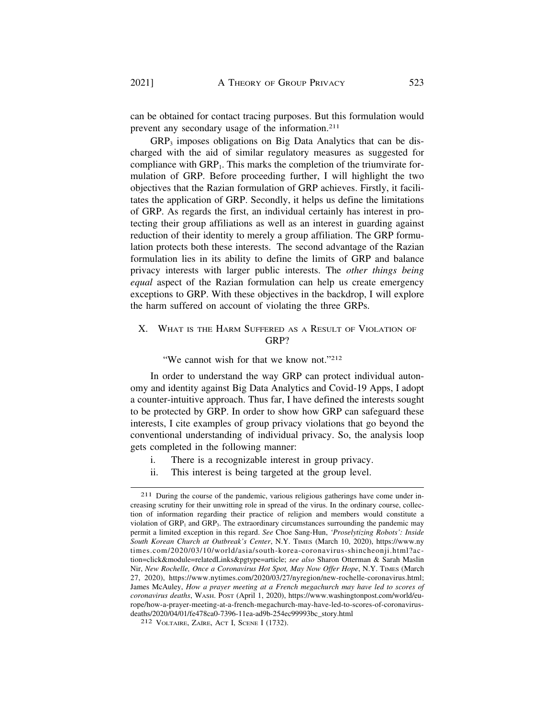can be obtained for contact tracing purposes. But this formulation would prevent any secondary usage of the information.211

 $GRP<sub>3</sub>$  imposes obligations on Big Data Analytics that can be discharged with the aid of similar regulatory measures as suggested for compliance with  $\text{GRP}_1$ . This marks the completion of the triumvirate formulation of GRP. Before proceeding further, I will highlight the two objectives that the Razian formulation of GRP achieves. Firstly, it facilitates the application of GRP. Secondly, it helps us define the limitations of GRP. As regards the first, an individual certainly has interest in protecting their group affiliations as well as an interest in guarding against reduction of their identity to merely a group affiliation. The GRP formulation protects both these interests. The second advantage of the Razian formulation lies in its ability to define the limits of GRP and balance privacy interests with larger public interests. The *other things being equal* aspect of the Razian formulation can help us create emergency exceptions to GRP. With these objectives in the backdrop, I will explore the harm suffered on account of violating the three GRPs.

# X. WHAT IS THE HARM SUFFERED AS A RESULT OF VIOLATION OF GRP?

"We cannot wish for that we know not."<sup>212</sup>

In order to understand the way GRP can protect individual autonomy and identity against Big Data Analytics and Covid-19 Apps, I adopt a counter-intuitive approach. Thus far, I have defined the interests sought to be protected by GRP. In order to show how GRP can safeguard these interests, I cite examples of group privacy violations that go beyond the conventional understanding of individual privacy. So, the analysis loop gets completed in the following manner:

- i. There is a recognizable interest in group privacy.
- ii. This interest is being targeted at the group level.

<sup>211</sup> During the course of the pandemic, various religious gatherings have come under increasing scrutiny for their unwitting role in spread of the virus. In the ordinary course, collection of information regarding their practice of religion and members would constitute a violation of  $\text{GRP}_1$  and  $\text{GRP}_3$ . The extraordinary circumstances surrounding the pandemic may permit a limited exception in this regard. *See* Choe Sang-Hun, *'Proselytizing Robots': Inside South Korean Church at Outbreak's Center*, N.Y. TIMES (March 10, 2020), <https://www.ny> times.com/2020/03/10/world/asia/south-korea-coronavirus-shincheonji.html?action=click&module=relatedLinks&pgtype=article; *see also* Sharon Otterman & Sarah Maslin Nir, *New Rochelle, Once a Coronavirus Hot Spot, May Now Offer Hope*, N.Y. TIMES (March 27, 2020), <https://www.nytimes.com/2020/03/27/nyregion/new-rochelle-coronavirus.html>; James McAuley, *How a prayer meeting at a French megachurch may have led to scores of coronavirus deaths*, WASH. POST (April 1, 2020), <https://www.washingtonpost.com/world/eu>rope/how-a-prayer-meeting-at-a-french-megachurch-may-have-led-to-scores-of-coronavirusdeaths/2020/04/01/fe478ca0-7396-11ea-ad9b-254ec99993bc\_story.html 212 VOLTAIRE, ZA¨IRE, ACT I, SCENE I (1732).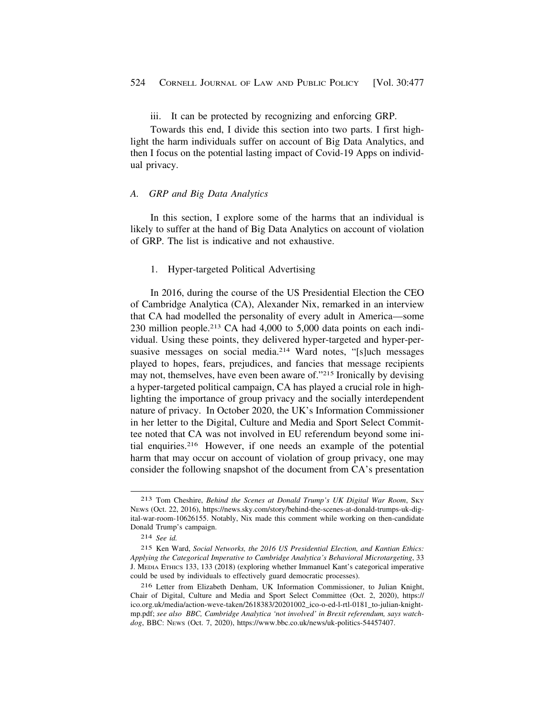iii. It can be protected by recognizing and enforcing GRP.

Towards this end, I divide this section into two parts. I first highlight the harm individuals suffer on account of Big Data Analytics, and then I focus on the potential lasting impact of Covid-19 Apps on individual privacy.

## *A. GRP and Big Data Analytics*

In this section, I explore some of the harms that an individual is likely to suffer at the hand of Big Data Analytics on account of violation of GRP. The list is indicative and not exhaustive.

## 1. Hyper-targeted Political Advertising

In 2016, during the course of the US Presidential Election the CEO of Cambridge Analytica (CA), Alexander Nix, remarked in an interview that CA had modelled the personality of every adult in America—some 230 million people.213 CA had 4,000 to 5,000 data points on each individual. Using these points, they delivered hyper-targeted and hyper-persuasive messages on social media.214 Ward notes, "[s]uch messages played to hopes, fears, prejudices, and fancies that message recipients may not, themselves, have even been aware of."215 Ironically by devising a hyper-targeted political campaign, CA has played a crucial role in highlighting the importance of group privacy and the socially interdependent nature of privacy. In October 2020, the UK's Information Commissioner in her letter to the Digital, Culture and Media and Sport Select Committee noted that CA was not involved in EU referendum beyond some initial enquiries.216 However, if one needs an example of the potential harm that may occur on account of violation of group privacy, one may consider the following snapshot of the document from CA's presentation

<sup>213</sup> Tom Cheshire, *Behind the Scenes at Donald Trump's UK Digital War Room*, SKY NEWS (Oct. 22, 2016), <https://news.sky.com/story/behind-the-scenes-at-donald-trumps-uk-dig>ital-war-room-10626155. Notably, Nix made this comment while working on then-candidate Donald Trump's campaign.

<sup>214</sup> *See id.* 

<sup>215</sup> Ken Ward, *Social Networks, the 2016 US Presidential Election, and Kantian Ethics: Applying the Categorical Imperative to Cambridge Analytica's Behavioral Microtargeting*, 33 J. MEDIA ETHICS 133, 133 (2018) (exploring whether Immanuel Kant's categorical imperative could be used by individuals to effectively guard democratic processes).

<sup>216</sup> Letter from Elizabeth Denham, UK Information Commissioner, to Julian Knight, Chair of Digital, Culture and Media and Sport Select Committee (Oct. 2, 2020), https:// ico.org.uk/media/action-weve-taken/2618383/20201002\_ico-o-ed-l-rtl-0181\_to-julian-knightmp.pdf; *see also BBC, Cambridge Analytica 'not involved' in Brexit referendum, says watchdog*, BBC: NEWS (Oct. 7, 2020), <https://www.bbc.co.uk/news/uk-politics-54457407>.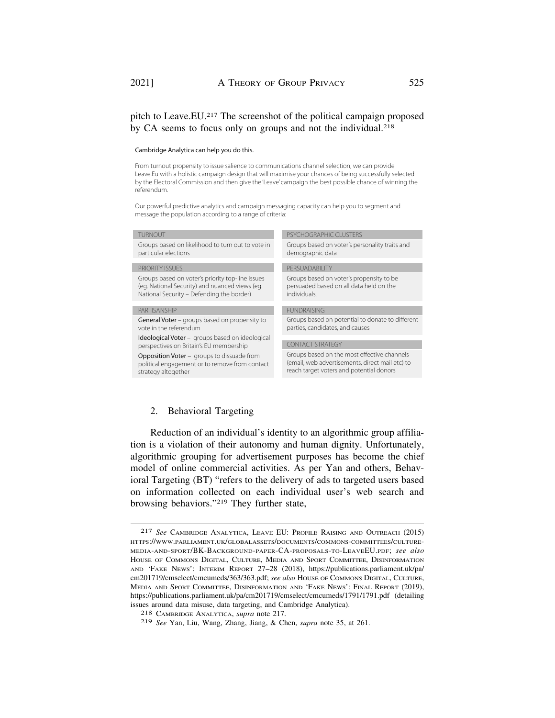# pitch to Leave.EU.217 The screenshot of the political campaign proposed by CA seems to focus only on groups and not the individual.<sup>218</sup>

### Cambridge Analytica can help you do this.

From turnout propensity to issue salience to communications channel selection, we can provide [Leave.Eu](https://Leave.Eu) with a holistic campaign design that will maximise your chances of being successfully selected by the Electoral Commission and then give the 'Leave' campaign the best possible chance of winning the referendum.

Our powerful predictive analytics and campaign messaging capacity can help you to segment and message the population according to a range of criteria:

Groups based on likelihood to turn out to vote in particular elections

### PRIORITY ISSUES

Groups based on voter's priority top-line issues (eg. National Security) and nuanced views (eg. National Security – Defending the border)

### PARTISANSHIP

General Voter – groups based on propensity to vote in the referendum

Ideological Voter – groups based on ideological perspectives on Britain's EU membership

Opposition Voter – groups to dissuade from political engagement or to remove from contact strategy altogether

#### PSYCHOGRAPHIC CLUSTERS

Groups based on voter's personality traits and demographic data

### PERSUADABILITY

Groups based on voter's propensity to be persuaded based on all data held on the individuals.

### FUNDRAISING

Groups based on potential to donate to diferent parties, candidates, and causes

### CONTACT STRATEGY

Groups based on the most efective channels (email, web advertisements, direct mail etc) to reach target voters and potential donors

# 2. Behavioral Targeting

Reduction of an individual's identity to an algorithmic group affiliation is a violation of their autonomy and human dignity. Unfortunately, algorithmic grouping for advertisement purposes has become the chief model of online commercial activities. As per Yan and others, Behavioral Targeting (BT) "refers to the delivery of ads to targeted users based on information collected on each individual user's web search and browsing behaviors."219 They further state,

<sup>217</sup> *See* CAMBRIDGE ANALYTICA, LEAVE EU: PROFILE RAISING AND OUTREACH (2015) <HTTPS://WWW.PARLIAMENT.UK/GLOBALASSETS/DOCUMENTS/COMMONS-COMMITTEES/CULTURE>-MEDIA-AND-SPORT/BK-BACKGROUND-PAPER-CA-PROPOSALS-TO-LEAVEEU.PDF; *see also*  HOUSE OF COMMONS DIGITAL, CULTURE, MEDIA AND SPORT COMMITTEE, DISINFORMATION AND 'FAKE NEWS': INTERIM REPORT 27–28 (2018), [https://publications.parliament.uk/pa/](https://publications.parliament.uk/pa) cm201719/cmselect/cmcumeds/363/363.pdf; *see also* HOUSE OF COMMONS DIGITAL, CULTURE, MEDIA AND SPORT COMMITTEE, DISINFORMATION AND 'FAKE NEWS': FINAL REPORT (2019), <https://publications.parliament.uk/pa/cm201719/cmselect/cmcumeds/1791/1791.pdf>(detailing issues around data misuse, data targeting, and Cambridge Analytica). 218 CAMBRIDGE ANALYTICA, *supra* note 217.

<sup>219</sup> *See* Yan, Liu, Wang, Zhang, Jiang, & Chen, *supra* note 35, at 261.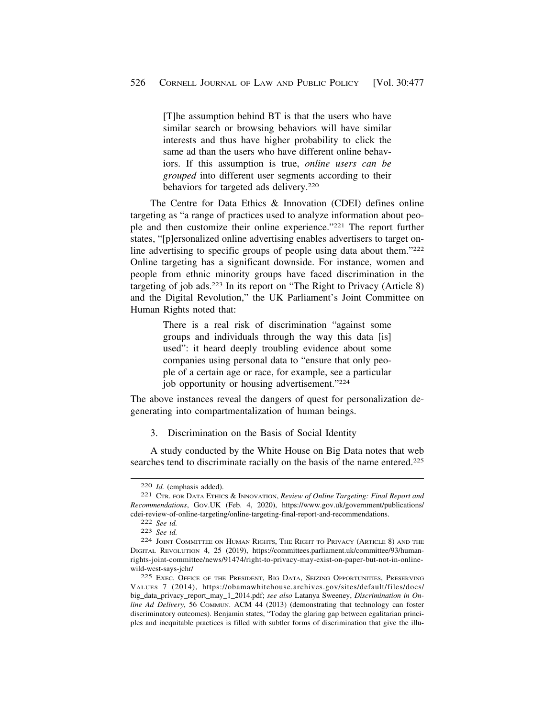[T]he assumption behind BT is that the users who have similar search or browsing behaviors will have similar interests and thus have higher probability to click the same ad than the users who have different online behaviors. If this assumption is true, *online users can be grouped* into different user segments according to their behaviors for targeted ads delivery.220

The Centre for Data Ethics & Innovation (CDEI) defines online targeting as "a range of practices used to analyze information about people and then customize their online experience."221 The report further states, "[p]ersonalized online advertising enables advertisers to target online advertising to specific groups of people using data about them."222 Online targeting has a significant downside. For instance, women and people from ethnic minority groups have faced discrimination in the targeting of job ads.223 In its report on "The Right to Privacy (Article 8) and the Digital Revolution," the UK Parliament's Joint Committee on Human Rights noted that:

> There is a real risk of discrimination "against some groups and individuals through the way this data [is] used": it heard deeply troubling evidence about some companies using personal data to "ensure that only people of a certain age or race, for example, see a particular job opportunity or housing advertisement."224

The above instances reveal the dangers of quest for personalization degenerating into compartmentalization of human beings.

3. Discrimination on the Basis of Social Identity

A study conducted by the White House on Big Data notes that web searches tend to discriminate racially on the basis of the name entered.<sup>225</sup>

<sup>220</sup> *Id.* (emphasis added).<br><sup>221</sup> CTR. FOR DATA ETHICS & INNOVATION, *Review of Online Targeting: Final Report and Recommendations*, GOV.UK (Feb. 4, 2020), [https://www.gov.uk/government/publications/](https://www.gov.uk/government/publications) cdei-review-of-online-targeting/online-targeting-final-report-and-recommendations. 222 *See id.* 223 *See id.* 224 JOINT COMMITTEE ON HUMAN RIGHTS, THE RIGHT TO PRIVACY (ARTICLE 8) AND THE

DIGITAL REVOLUTION 4, 25 (2019), <https://committees.parliament.uk/committee/93/human>rights-joint-committee/news/91474/right-to-privacy-may-exist-on-paper-but-not-in-onlinewild-west-says-jchr/

<sup>225</sup> EXEC. OFFICE OF THE PRESIDENT, BIG DATA, SEIZING OPPORTUNITIES, PRESERVING VALUES 7 (2014), <https://obamawhitehouse.archives.gov/sites/default/files/docs>/ big\_data\_privacy\_report\_may\_1\_2014.pdf; *see also* Latanya Sweeney, *Discrimination in Online Ad Delivery*, 56 COMMUN. ACM 44 (2013) (demonstrating that technology can foster discriminatory outcomes). Benjamin states, "Today the glaring gap between egalitarian principles and inequitable practices is filled with subtler forms of discrimination that give the illu-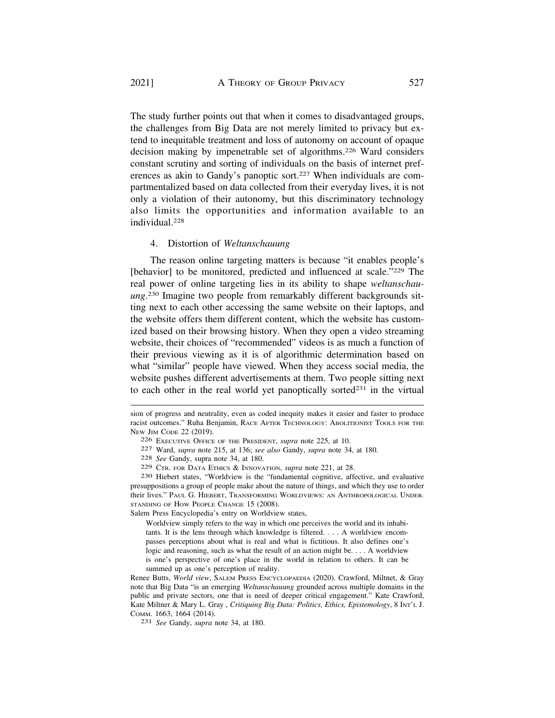The study further points out that when it comes to disadvantaged groups, the challenges from Big Data are not merely limited to privacy but extend to inequitable treatment and loss of autonomy on account of opaque decision making by impenetrable set of algorithms.226 Ward considers constant scrutiny and sorting of individuals on the basis of internet preferences as akin to Gandy's panoptic sort.227 When individuals are compartmentalized based on data collected from their everyday lives, it is not only a violation of their autonomy, but this discriminatory technology also limits the opportunities and information available to an individual.228

## 4. Distortion of *Weltanschauung*

The reason online targeting matters is because "it enables people's [behavior] to be monitored, predicted and influenced at scale."229 The real power of online targeting lies in its ability to shape *weltanschauung*. 230 Imagine two people from remarkably different backgrounds sitting next to each other accessing the same website on their laptops, and the website offers them different content, which the website has customized based on their browsing history. When they open a video streaming website, their choices of "recommended" videos is as much a function of their previous viewing as it is of algorithmic determination based on what "similar" people have viewed. When they access social media, the website pushes different advertisements at them. Two people sitting next to each other in the real world yet panoptically sorted<sup>231</sup> in the virtual

Salem Press Encyclopedia's entry on Worldview states,

sion of progress and neutrality, even as coded inequity makes it easier and faster to produce racist outcomes." Ruha Benjamin, RACE AFTER TECHNOLOGY: ABOLITIONIST TOOLS FOR THE NEW JIM CODE 22 (2019).

<sup>226</sup> EXECUTIVE OFFICE OF THE PRESIDENT, *supra* note 225, at 10. 227 Ward, *supra* note 215, at 136; *see also* Gandy, *supra* note 34, at 180. 228 *See* Gandy, supra note 34, at 180.

<sup>&</sup>lt;sup>230</sup> Hiebert states, "Worldview is the "fundamental cognitive, affective, and evaluative presuppositions a group of people make about the nature of things, and which they use to order their lives." PAUL G. HIEBERT, TRANSFORMING WORLDVIEWS: AN ANTHROPOLOGICAL UNDER-STANDING OF HOW PEOPLE CHANGE 15 (2008).

Worldview simply refers to the way in which one perceives the world and its inhabitants. It is the lens through which knowledge is filtered. . . . A worldview encompasses perceptions about what is real and what is fictitious. It also defines one's logic and reasoning, such as what the result of an action might be. . . . A worldview is one's perspective of one's place in the world in relation to others. It can be summed up as one's perception of reality.

Renee Butts, *World view*, SALEM PRESS ENCYCLOPAEDIA (2020). Crawford, Miltnet, & Gray note that Big Data "is an emerging *Weltanschauung* grounded across multiple domains in the public and private sectors, one that is need of deeper critical engagement." Kate Crawford, Kate Miltner & Mary L. Gray , *Critiquing Big Data: Politics, Ethics, Epistemology*, 8 INT'L J. COMM. 1663, 1664 (2014). 231 *See* Gandy, *supra* note 34, at 180.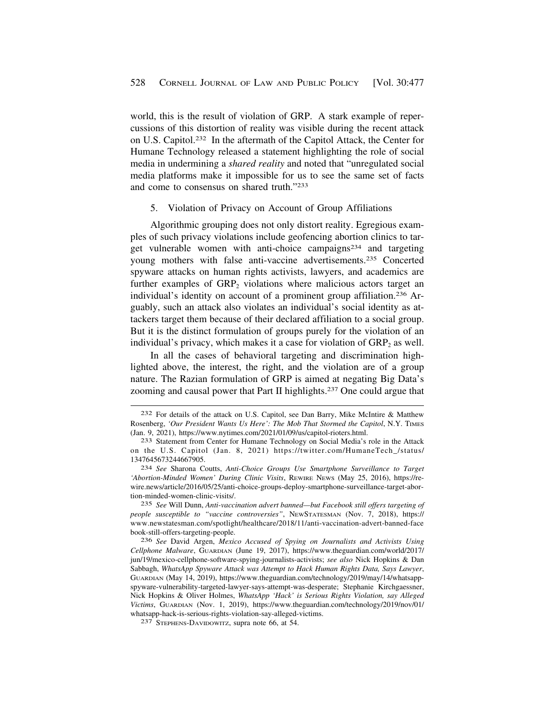world, this is the result of violation of GRP. A stark example of repercussions of this distortion of reality was visible during the recent attack on U.S. Capitol.232 In the aftermath of the Capitol Attack, the Center for Humane Technology released a statement highlighting the role of social media in undermining a *shared reality* and noted that "unregulated social media platforms make it impossible for us to see the same set of facts and come to consensus on shared truth."233

## 5. Violation of Privacy on Account of Group Affiliations

Algorithmic grouping does not only distort reality. Egregious examples of such privacy violations include geofencing abortion clinics to target vulnerable women with anti-choice campaigns234 and targeting young mothers with false anti-vaccine advertisements.235 Concerted spyware attacks on human rights activists, lawyers, and academics are further examples of  $GRP<sub>2</sub>$  violations where malicious actors target an individual's identity on account of a prominent group affiliation.236 Arguably, such an attack also violates an individual's social identity as attackers target them because of their declared affiliation to a social group. But it is the distinct formulation of groups purely for the violation of an individual's privacy, which makes it a case for violation of  $\text{GRP}_2$  as well.

In all the cases of behavioral targeting and discrimination highlighted above, the interest, the right, and the violation are of a group nature. The Razian formulation of GRP is aimed at negating Big Data's zooming and causal power that Part II highlights.<sup>237</sup> One could argue that

235 *See* Will Dunn, *Anti-vaccination advert banned—but Facebook still offers targeting of people susceptible to "vaccine controversies"*, NEWSTATESMAN (Nov. 7, 2018), https:// <www.newstatesman.com/spotlight/healthcare/2018/11/anti-vaccination-advert-banned-face> book-still-offers-targeting-people.

236 *See* David Argen, *Mexico Accused of Spying on Journalists and Activists Using Cellphone Malware*, GUARDIAN (June 19, 2017), [https://www.theguardian.com/world/2017/](https://www.theguardian.com/world/2017) jun/19/mexico-cellphone-software-spying-journalists-activists; *see also* Nick Hopkins & Dan Sabbagh, *WhatsApp Spyware Attack was Attempt to Hack Human Rights Data, Says Lawyer*, GUARDIAN (May 14, 2019), <https://www.theguardian.com/technology/2019/may/14/whatsapp>spyware-vulnerability-targeted-lawyer-says-attempt-was-desperate; Stephanie Kirchgaessner, Nick Hopkins & Oliver Holmes, *WhatsApp 'Hack' is Serious Rights Violation, say Alleged Victims*, GUARDIAN (Nov. 1, 2019), [https://www.theguardian.com/technology/2019/nov/01/](https://www.theguardian.com/technology/2019/nov/01) whatsapp-hack-is-serious-rights-violation-say-alleged-victims. 237 STEPHENS-DAVIDOWITZ, supra note 66, at 54.

<sup>232</sup> For details of the attack on U.S. Capitol, see Dan Barry, Mike McIntire & Matthew Rosenberg, *'Our President Wants Us Here': The Mob That Stormed the Capitol*, N.Y. TIMES (Jan. 9, 2021), <https://www.nytimes.com/2021/01/09/us/capitol-rioters.html>. 233 Statement from Center for Humane Technology on Social Media's role in the Attack

on the U.S. Capitol (Jan. 8, 2021) [https://twitter.com/HumaneTech\\_/status](https://twitter.com/HumaneTech_/status)/ 1347645673244667905. 234 *See* Sharona Coutts, *Anti-Choice Groups Use Smartphone Surveillance to Target* 

*<sup>&#</sup>x27;Abortion-Minded Women' During Clinic Visits*, REWIRE NEWS (May 25, 2016), <https://re>wire.news/article/2016/05/25/anti-choice-groups-deploy-smartphone-surveillance-target-abortion-minded-women-clinic-visits/.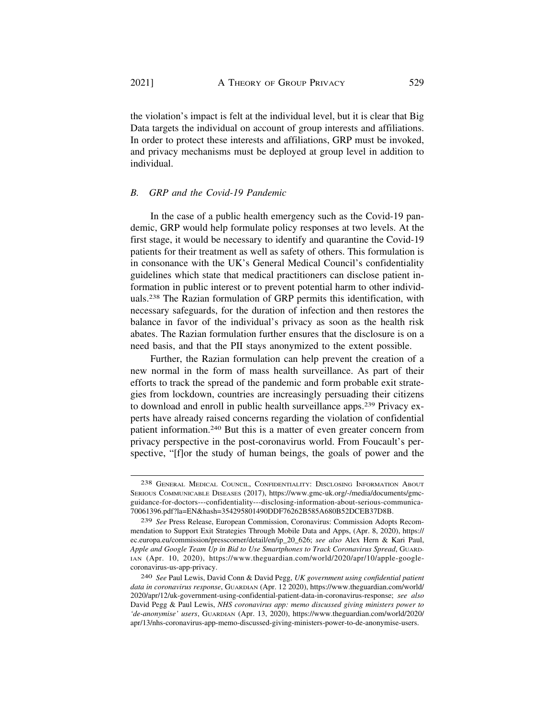the violation's impact is felt at the individual level, but it is clear that Big Data targets the individual on account of group interests and affiliations. In order to protect these interests and affiliations, GRP must be invoked, and privacy mechanisms must be deployed at group level in addition to individual.

## *B. GRP and the Covid-19 Pandemic*

In the case of a public health emergency such as the Covid-19 pandemic, GRP would help formulate policy responses at two levels. At the first stage, it would be necessary to identify and quarantine the Covid-19 patients for their treatment as well as safety of others. This formulation is in consonance with the UK's General Medical Council's confidentiality guidelines which state that medical practitioners can disclose patient information in public interest or to prevent potential harm to other individuals.238 The Razian formulation of GRP permits this identification, with necessary safeguards, for the duration of infection and then restores the balance in favor of the individual's privacy as soon as the health risk abates. The Razian formulation further ensures that the disclosure is on a need basis, and that the PII stays anonymized to the extent possible.

Further, the Razian formulation can help prevent the creation of a new normal in the form of mass health surveillance. As part of their efforts to track the spread of the pandemic and form probable exit strategies from lockdown, countries are increasingly persuading their citizens to download and enroll in public health surveillance apps.239 Privacy experts have already raised concerns regarding the violation of confidential patient information.240 But this is a matter of even greater concern from privacy perspective in the post-coronavirus world. From Foucault's perspective, "[f]or the study of human beings, the goals of power and the

<sup>238</sup> GENERAL MEDICAL COUNCIL, CONFIDENTIALITY: DISCLOSING INFORMATION ABOUT SERIOUS COMMUNICABLE DISEASES (2017), <https://www.gmc-uk.org/-/media/documents/gmc>guidance-for-doctors---confidentiality---disclosing-information-about-serious-communica-70061396.pdf?la=EN&hash=354295801490DDF76262B585A680B52DCEB37D8B.

<sup>239</sup> *See* Press Release, European Commission, Coronavirus: Commission Adopts Recommendation to Support Exit Strategies Through Mobile Data and Apps, (Apr. 8, 2020), https:// ec.europa.eu/commission/presscorner/detail/en/ip\_20\_626; *see also* Alex Hern & Kari Paul, *Apple and Google Team Up in Bid to Use Smartphones to Track Coronavirus Spread*, GUARD-IAN (Apr. 10, 2020), <https://www.theguardian.com/world/2020/apr/10/apple-google>coronavirus-us-app-privacy.

<sup>240</sup> *See* Paul Lewis, David Conn & David Pegg, *UK government using confidential patient data in coronavirus response*, GUARDIAN (Apr. 12 2020), [https://www.theguardian.com/world/](https://www.theguardian.com/world) 2020/apr/12/uk-government-using-confidential-patient-data-in-coronavirus-response; *see also*  David Pegg & Paul Lewis, *NHS coronavirus app: memo discussed giving ministers power to 'de-anonymise' users*, GUARDIAN (Apr. 13, 2020), [https://www.theguardian.com/world/2020/](https://www.theguardian.com/world/2020) apr/13/nhs-coronavirus-app-memo-discussed-giving-ministers-power-to-de-anonymise-users.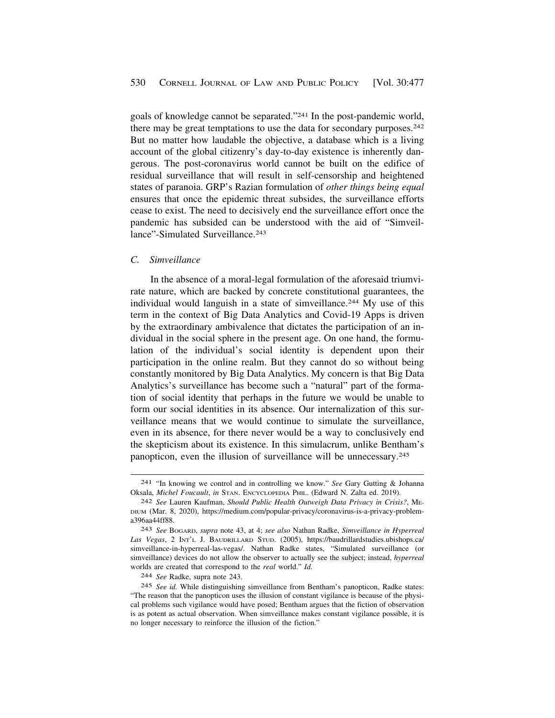goals of knowledge cannot be separated."241 In the post-pandemic world, there may be great temptations to use the data for secondary purposes.<sup>242</sup> But no matter how laudable the objective, a database which is a living account of the global citizenry's day-to-day existence is inherently dangerous. The post-coronavirus world cannot be built on the edifice of residual surveillance that will result in self-censorship and heightened states of paranoia. GRP's Razian formulation of *other things being equal*  ensures that once the epidemic threat subsides, the surveillance efforts cease to exist. The need to decisively end the surveillance effort once the pandemic has subsided can be understood with the aid of "Simveillance"-Simulated Surveillance<sup>243</sup>

### *C. Simveillance*

In the absence of a moral-legal formulation of the aforesaid triumvirate nature, which are backed by concrete constitutional guarantees, the individual would languish in a state of simveillance.244 My use of this term in the context of Big Data Analytics and Covid-19 Apps is driven by the extraordinary ambivalence that dictates the participation of an individual in the social sphere in the present age. On one hand, the formulation of the individual's social identity is dependent upon their participation in the online realm. But they cannot do so without being constantly monitored by Big Data Analytics. My concern is that Big Data Analytics's surveillance has become such a "natural" part of the formation of social identity that perhaps in the future we would be unable to form our social identities in its absence. Our internalization of this surveillance means that we would continue to simulate the surveillance, even in its absence, for there never would be a way to conclusively end the skepticism about its existence. In this simulacrum, unlike Bentham's panopticon, even the illusion of surveillance will be unnecessary.<sup>245</sup>

<sup>241 &</sup>quot;In knowing we control and in controlling we know." *See* Gary Gutting & Johanna Oksala, *Michel Foucault*, *in* STAN. ENCYCLOPEDIA PHIL. (Edward N. Zalta ed. 2019).

<sup>242</sup> *See* Lauren Kaufman, *Should Public Health Outweigh Data Privacy in Crisis?*, ME-DIUM (Mar. 8, 2020), <https://medium.com/popular-privacy/coronavirus-is-a-privacy-problem>a396aa44ff88.

<sup>243</sup> *See* BOGARD, *supra* note 43, at 4; *see also* Nathan Radke, *Simveillance in Hyperreal Las Vegas*, 2 INT'L J. BAUDRILLARD STUD. (2005), [https://baudrillardstudies.ubishops.ca/](https://baudrillardstudies.ubishops.ca) simveillance-in-hyperreal-las-vegas/. Nathan Radke states, "Simulated surveillance (or simveillance) devices do not allow the observer to actually see the subject; instead, *hyperreal*  worlds are created that correspond to the *real* world." *Id.* 

<sup>244</sup> *See* Radke, supra note 243.

<sup>245</sup> *See id.* While distinguishing simveillance from Bentham's panopticon, Radke states: "The reason that the panopticon uses the illusion of constant vigilance is because of the physical problems such vigilance would have posed; Bentham argues that the fiction of observation is as potent as actual observation. When simveillance makes constant vigilance possible, it is no longer necessary to reinforce the illusion of the fiction."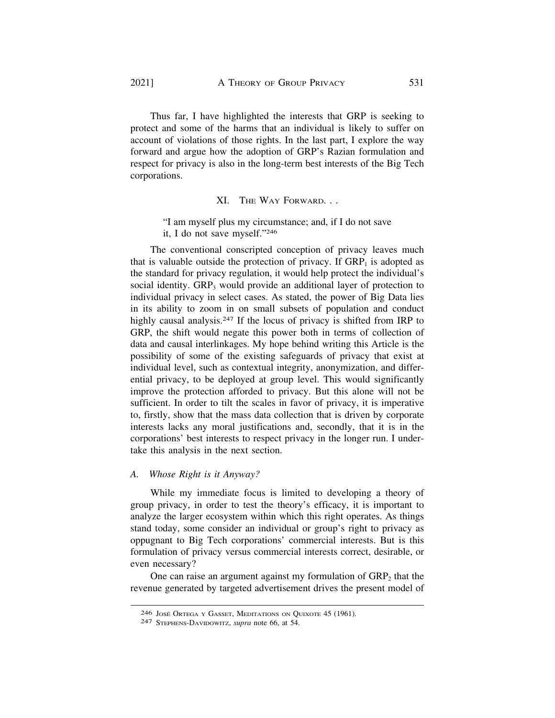Thus far, I have highlighted the interests that GRP is seeking to protect and some of the harms that an individual is likely to suffer on account of violations of those rights. In the last part, I explore the way forward and argue how the adoption of GRP's Razian formulation and respect for privacy is also in the long-term best interests of the Big Tech corporations.

## XI. THE WAY FORWARD. . .

"I am myself plus my circumstance; and, if I do not save it, I do not save myself."246

The conventional conscripted conception of privacy leaves much that is valuable outside the protection of privacy. If  $\text{GRP}_1$  is adopted as the standard for privacy regulation, it would help protect the individual's social identity.  $\text{GRP}_3$  would provide an additional layer of protection to individual privacy in select cases. As stated, the power of Big Data lies in its ability to zoom in on small subsets of population and conduct highly causal analysis.<sup>247</sup> If the locus of privacy is shifted from IRP to GRP, the shift would negate this power both in terms of collection of data and causal interlinkages. My hope behind writing this Article is the possibility of some of the existing safeguards of privacy that exist at individual level, such as contextual integrity, anonymization, and differential privacy, to be deployed at group level. This would significantly improve the protection afforded to privacy. But this alone will not be sufficient. In order to tilt the scales in favor of privacy, it is imperative to, firstly, show that the mass data collection that is driven by corporate interests lacks any moral justifications and, secondly, that it is in the corporations' best interests to respect privacy in the longer run. I undertake this analysis in the next section.

## *A. Whose Right is it Anyway?*

While my immediate focus is limited to developing a theory of group privacy, in order to test the theory's efficacy, it is important to analyze the larger ecosystem within which this right operates. As things stand today, some consider an individual or group's right to privacy as oppugnant to Big Tech corporations' commercial interests. But is this formulation of privacy versus commercial interests correct, desirable, or even necessary?

One can raise an argument against my formulation of  $\text{GRP}_2$  that the revenue generated by targeted advertisement drives the present model of

<sup>246</sup> JOSE´ ORTEGA Y GASSET, MEDITATIONS ON QUIXOTE 45 (1961). 247 STEPHENS-DAVIDOWITZ, *supra* note 66, at 54.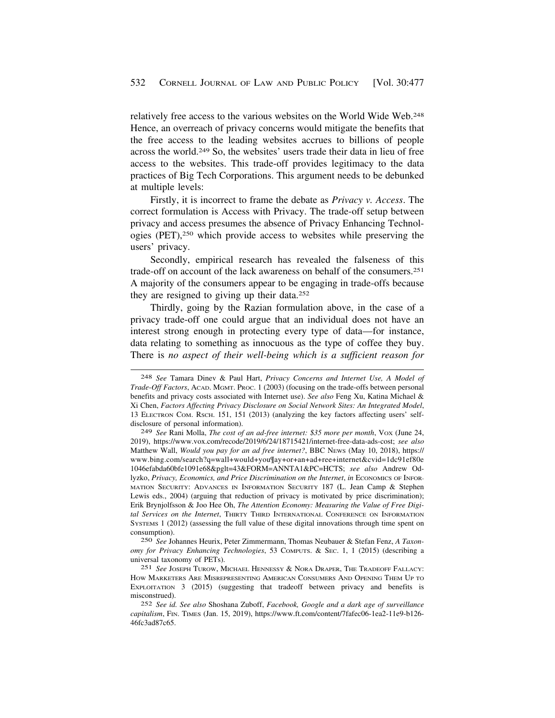relatively free access to the various websites on the World Wide Web.248 Hence, an overreach of privacy concerns would mitigate the benefits that the free access to the leading websites accrues to billions of people across the world.249 So, the websites' users trade their data in lieu of free access to the websites. This trade-off provides legitimacy to the data practices of Big Tech Corporations. This argument needs to be debunked at multiple levels:

Firstly, it is incorrect to frame the debate as *Privacy v. Access*. The correct formulation is Access with Privacy. The trade-off setup between privacy and access presumes the absence of Privacy Enhancing Technologies (PET),<sup>250</sup> which provide access to websites while preserving the users' privacy.

Secondly, empirical research has revealed the falseness of this trade-off on account of the lack awareness on behalf of the consumers.251 A majority of the consumers appear to be engaging in trade-offs because they are resigned to giving up their data.252

Thirdly, going by the Razian formulation above, in the case of a privacy trade-off one could argue that an individual does not have an interest strong enough in protecting every type of data—for instance, data relating to something as innocuous as the type of coffee they buy. There is *no aspect of their well-being which is a sufficient reason for* 

250 *See* Johannes Heurix, Peter Zimmermann, Thomas Neubauer & Stefan Fenz, *A Taxonomy for Privacy Enhancing Technologies*, 53 COMPUTS. & SEC. 1, 1 (2015) (describing a universal taxonomy of PETs).

<sup>248</sup> *See* Tamara Dinev & Paul Hart, *Privacy Concerns and Internet Use, A Model of Trade-Off Factors*, ACAD. MGMT. PROC. 1 (2003) (focusing on the trade-offs between personal benefits and privacy costs associated with Internet use). *See also* Feng Xu, Katina Michael & Xi Chen, *Factors Affecting Privacy Disclosure on Social Network Sites: An Integrated Model*, 13 ELECTRON COM. RSCH. 151, 151 (2013) (analyzing the key factors affecting users' selfdisclosure of personal information).

<sup>249</sup> *See* Rani Molla, *The cost of an ad-free internet: \$35 more per month*, VOX (June 24, 2019), <https://www.vox.com/recode/2019/6/24/18715421/internet-free-data-ads-cost>; *see also*  Matthew Wall, *Would you pay for an ad free internet?*, BBC NEWS (May 10, 2018), https:// [www.bing.com/search?q=wall+would+you¶ay+or+an+ad+ree+internet&cvid=1dc91ef80e](www.bing.com/search?q=wall+would+you�ay+or+an+ad+ree+internet&cvid=1dc91ef80e)  1046efabda60bfe1091e68&pglt=43&FORM=ANNTA1&PC=HCTS; *see also* Andrew Odlyzko, Privacy, Economics, and Price Discrimination on the Internet, in ECONOMICS OF INFOR-MATION SECURITY: ADVANCES IN INFORMATION SECURITY 187 (L. Jean Camp & Stephen Lewis eds., 2004) (arguing that reduction of privacy is motivated by price discrimination); Erik Brynjolfsson & Joo Hee Oh, *The Attention Economy: Measuring the Value of Free Digital Services on the Internet*, THIRTY THIRD INTERNATIONAL CONFERENCE ON INFORMATION SYSTEMS 1 (2012) (assessing the full value of these digital innovations through time spent on consumption).

<sup>251</sup> *See* JOSEPH TUROW, MICHAEL HENNESSY & NORA DRAPER, THE TRADEOFF FALLACY: HOW MARKETERS ARE MISREPRESENTING AMERICAN CONSUMERS AND OPENING THEM UP TO EXPLOITATION 3 (2015) (suggesting that tradeoff between privacy and benefits is misconstrued).

<sup>252</sup> *See id. See also* Shoshana Zuboff, *Facebook, Google and a dark age of surveillance capitalism*, FIN. TIMES (Jan. 15, 2019), <https://www.ft.com/content/7fafec06-1ea2-11e9-b126>- 46fc3ad87c65.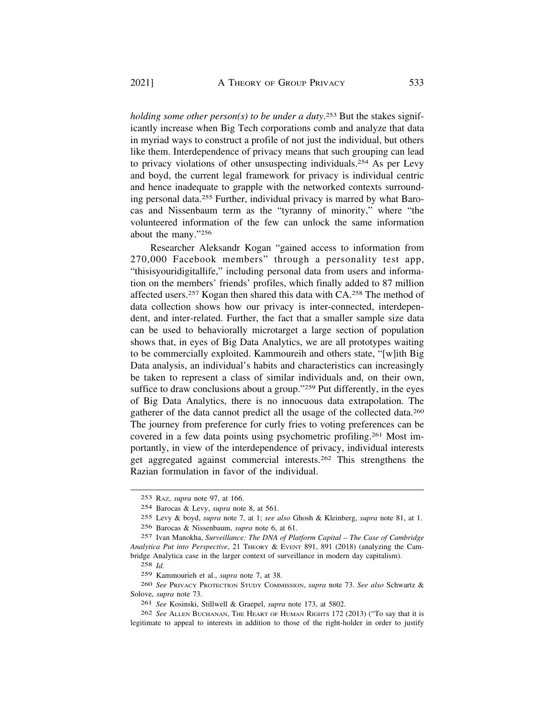*holding some other person(s) to be under a duty*. 253 But the stakes significantly increase when Big Tech corporations comb and analyze that data in myriad ways to construct a profile of not just the individual, but others like them. Interdependence of privacy means that such grouping can lead to privacy violations of other unsuspecting individuals.254 As per Levy and boyd, the current legal framework for privacy is individual centric and hence inadequate to grapple with the networked contexts surrounding personal data.255 Further, individual privacy is marred by what Barocas and Nissenbaum term as the "tyranny of minority," where "the volunteered information of the few can unlock the same information about the many."256

Researcher Aleksandr Kogan "gained access to information from 270,000 Facebook members" through a personality test app, "thisisyouridigitallife," including personal data from users and information on the members' friends' profiles, which finally added to 87 million affected users.257 Kogan then shared this data with CA.258 The method of data collection shows how our privacy is inter-connected, interdependent, and inter-related. Further, the fact that a smaller sample size data can be used to behaviorally microtarget a large section of population shows that, in eyes of Big Data Analytics, we are all prototypes waiting to be commercially exploited. Kammoureih and others state, "[w]ith Big Data analysis, an individual's habits and characteristics can increasingly be taken to represent a class of similar individuals and, on their own, suffice to draw conclusions about a group."<sup>259</sup> Put differently, in the eyes of Big Data Analytics, there is no innocuous data extrapolation. The gatherer of the data cannot predict all the usage of the collected data.260 The journey from preference for curly fries to voting preferences can be covered in a few data points using psychometric profiling.261 Most importantly, in view of the interdependence of privacy, individual interests get aggregated against commercial interests.262 This strengthens the Razian formulation in favor of the individual.

262 *See* ALLEN BUCHANAN, THE HEART OF HUMAN RIGHTS 172 (2013) ("To say that it is legitimate to appeal to interests in addition to those of the right-holder in order to justify

<sup>253</sup> RAZ, *supra* note 97, at 166.

<sup>254</sup> Barocas & Levy, *supra* note 8, at 561.

<sup>255</sup> Levy & boyd, *supra* note 7, at 1; *see also* Ghosh & Kleinberg, *supra* note 81, at 1.

<sup>256</sup> Barocas & Nissenbaum, *supra* note 6, at 61.

<sup>257</sup> Ivan Manokha, *Surveillance: The DNA of Platform Capital – The Case of Cambridge Analytica Put into Perspective*, 21 THEORY & EVENT 891, 891 (2018) (analyzing the Cambridge Analytica case in the larger context of surveillance in modern day capitalism).

<sup>258</sup> *Id.* 

<sup>259</sup> Kammourieh et al., *supra* note 7, at 38.

<sup>260</sup> *See* PRIVACY PROTECTION STUDY COMMISSION, *supra* note 73. *See also* Schwartz & Solove, *supra* note 73.

<sup>261</sup> *See* Kosinski, Stillwell & Graepel, *supra* note 173, at 5802.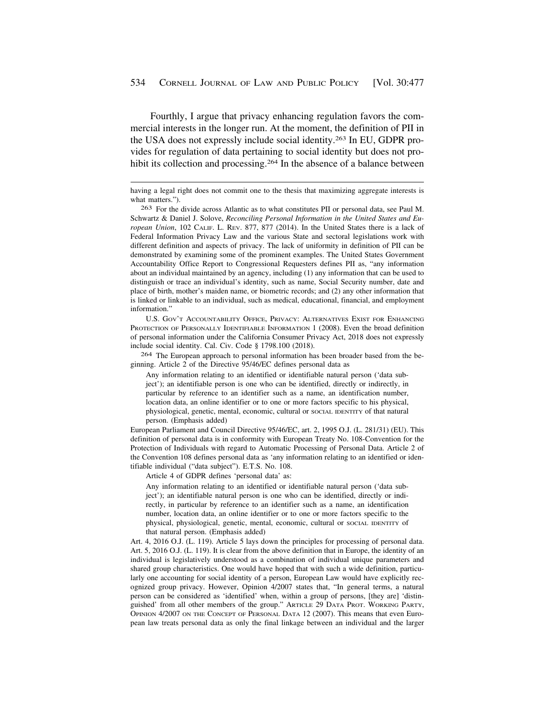Fourthly, I argue that privacy enhancing regulation favors the commercial interests in the longer run. At the moment, the definition of PII in the USA does not expressly include social identity.263 In EU, GDPR provides for regulation of data pertaining to social identity but does not prohibit its collection and processing.<sup>264</sup> In the absence of a balance between

U.S. GOV'T ACCOUNTABILITY OFFICE, PRIVACY: ALTERNATIVES EXIST FOR ENHANCING PROTECTION OF PERSONALLY IDENTIFIABLE INFORMATION 1 (2008). Even the broad definition of personal information under the California Consumer Privacy Act, 2018 does not expressly include social identity. Cal. Civ. Code § 1798.100 (2018).

264 The European approach to personal information has been broader based from the beginning. Article 2 of the Directive 95/46/EC defines personal data as

Any information relating to an identified or identifiable natural person ('data subject'); an identifiable person is one who can be identified, directly or indirectly, in particular by reference to an identifier such as a name, an identification number, location data, an online identifier or to one or more factors specific to his physical, physiological, genetic, mental, economic, cultural or SOCIAL IDENTITY of that natural person. (Emphasis added)

European Parliament and Council Directive 95/46/EC, art. 2, 1995 O.J. (L. 281/31) (EU). This definition of personal data is in conformity with European Treaty No. 108-Convention for the Protection of Individuals with regard to Automatic Processing of Personal Data. Article 2 of the Convention 108 defines personal data as 'any information relating to an identified or identifiable individual ("data subject"). E.T.S. No. 108.

Article 4 of GDPR defines 'personal data' as:

Any information relating to an identified or identifiable natural person ('data subject'); an identifiable natural person is one who can be identified, directly or indirectly, in particular by reference to an identifier such as a name, an identification number, location data, an online identifier or to one or more factors specific to the physical, physiological, genetic, mental, economic, cultural or SOCIAL IDENTITY of that natural person. (Emphasis added)

Art. 4, 2016 O.J. (L. 119). Article 5 lays down the principles for processing of personal data. Art. 5, 2016 O.J. (L. 119). It is clear from the above definition that in Europe, the identity of an individual is legislatively understood as a combination of individual unique parameters and shared group characteristics. One would have hoped that with such a wide definition, particularly one accounting for social identity of a person, European Law would have explicitly recognized group privacy. However, Opinion 4/2007 states that, "In general terms, a natural person can be considered as 'identified' when, within a group of persons, [they are] 'distinguished' from all other members of the group." ARTICLE 29 DATA PROT. WORKING PARTY, OPINION 4/2007 ON THE CONCEPT OF PERSONAL DATA 12 (2007). This means that even European law treats personal data as only the final linkage between an individual and the larger

having a legal right does not commit one to the thesis that maximizing aggregate interests is what matters.").

<sup>263</sup> For the divide across Atlantic as to what constitutes PII or personal data, see Paul M. Schwartz & Daniel J. Solove, *Reconciling Personal Information in the United States and European Union*, 102 CALIF. L. REV. 877, 877 (2014). In the United States there is a lack of Federal Information Privacy Law and the various State and sectoral legislations work with different definition and aspects of privacy. The lack of uniformity in definition of PII can be demonstrated by examining some of the prominent examples. The United States Government Accountability Office Report to Congressional Requesters defines PII as, "any information about an individual maintained by an agency, including (1) any information that can be used to distinguish or trace an individual's identity, such as name, Social Security number, date and place of birth, mother's maiden name, or biometric records; and (2) any other information that is linked or linkable to an individual, such as medical, educational, financial, and employment information."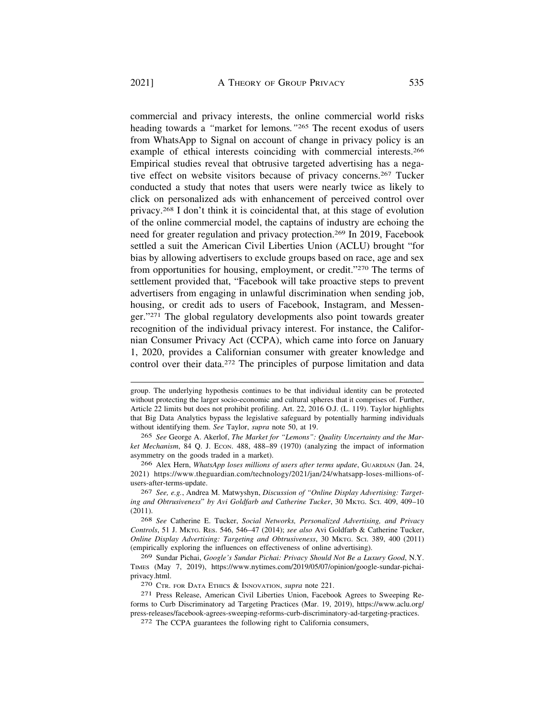commercial and privacy interests, the online commercial world risks heading towards a *"*market for lemons*."*265 The recent exodus of users from WhatsApp to Signal on account of change in privacy policy is an example of ethical interests coinciding with commercial interests.266 Empirical studies reveal that obtrusive targeted advertising has a negative effect on website visitors because of privacy concerns.267 Tucker conducted a study that notes that users were nearly twice as likely to click on personalized ads with enhancement of perceived control over privacy.268 I don't think it is coincidental that, at this stage of evolution of the online commercial model, the captains of industry are echoing the need for greater regulation and privacy protection.269 In 2019, Facebook settled a suit the American Civil Liberties Union (ACLU) brought "for bias by allowing advertisers to exclude groups based on race, age and sex from opportunities for housing, employment, or credit."270 The terms of settlement provided that, "Facebook will take proactive steps to prevent advertisers from engaging in unlawful discrimination when sending job, housing, or credit ads to users of Facebook, Instagram, and Messenger."271 The global regulatory developments also point towards greater recognition of the individual privacy interest. For instance, the Californian Consumer Privacy Act (CCPA), which came into force on January 1, 2020, provides a Californian consumer with greater knowledge and control over their data.<sup>272</sup> The principles of purpose limitation and data

group. The underlying hypothesis continues to be that individual identity can be protected without protecting the larger socio-economic and cultural spheres that it comprises of. Further, Article 22 limits but does not prohibit profiling. Art. 22, 2016 O.J. (L. 119). Taylor highlights that Big Data Analytics bypass the legislative safeguard by potentially harming individuals without identifying them. *See* Taylor, *supra* note 50, at 19.

<sup>265</sup> *See* George A. Akerlof, *The Market for "Lemons": Quality Uncertainty and the Market Mechanism*, 84 Q. J. ECON. 488, 488–89 (1970) (analyzing the impact of information asymmetry on the goods traded in a market).

<sup>266</sup> Alex Hern, *WhatsApp loses millions of users after terms update*, GUARDIAN (Jan. 24, 2021) <https://www.theguardian.com/technology/2021/jan/24/whatsapp-loses-millions-of>users-after-terms-update.

<sup>267</sup> *See, e.g.*, Andrea M. Matwyshyn, *Discussion of "Online Display Advertising: Targeting and Obtrusiveness*" *by Avi Goldfarb and Catherine Tucker*, 30 MKTG. SCI. 409, 409–10 (2011).

<sup>268</sup> *See* Catherine E. Tucker, *Social Networks, Personalized Advertising, and Privacy Controls*, 51 J. MKTG. RES. 546, 546–47 (2014); *see also* Avi Goldfarb & Catherine Tucker, *Online Display Advertising: Targeting and Obtrusiveness*, 30 MKTG. SCI. 389, 400 (2011) (empirically exploring the influences on effectiveness of online advertising).

<sup>269</sup> Sundar Pichai, *Google's Sundar Pichai: Privacy Should Not Be a Luxury Good*, N.Y. TIMES (May 7, 2019), <https://www.nytimes.com/2019/05/07/opinion/google-sundar-pichai>privacy.html.

<sup>270</sup> CTR. FOR DATA ETHICS & INNOVATION, *supra* note 221.

<sup>271</sup> Press Release, American Civil Liberties Union, Facebook Agrees to Sweeping Reforms to Curb Discriminatory ad Targeting Practices (Mar. 19, 2019), [https://www.aclu.org/](https://www.aclu.org) press-releases/facebook-agrees-sweeping-reforms-curb-discriminatory-ad-targeting-practices.

<sup>272</sup> The CCPA guarantees the following right to California consumers,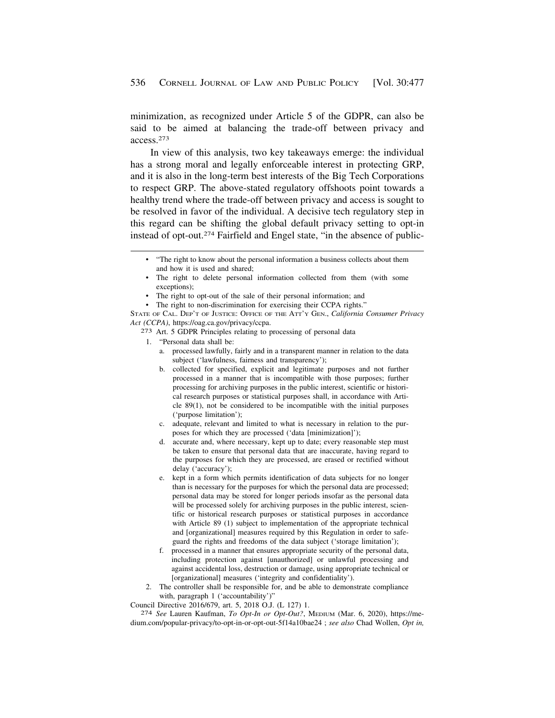minimization, as recognized under Article 5 of the GDPR, can also be said to be aimed at balancing the trade-off between privacy and access.273

In view of this analysis, two key takeaways emerge: the individual has a strong moral and legally enforceable interest in protecting GRP, and it is also in the long-term best interests of the Big Tech Corporations to respect GRP. The above-stated regulatory offshoots point towards a healthy trend where the trade-off between privacy and access is sought to be resolved in favor of the individual. A decisive tech regulatory step in this regard can be shifting the global default privacy setting to opt-in instead of opt-out.274 Fairfield and Engel state, "in the absence of public-

- The right to delete personal information collected from them (with some exceptions);
- The right to opt-out of the sale of their personal information; and
- The right to non-discrimination for exercising their CCPA rights."

- - 1. "Personal data shall be:
		- a. processed lawfully, fairly and in a transparent manner in relation to the data subject ('lawfulness, fairness and transparency');
		- b. collected for specified, explicit and legitimate purposes and not further processed in a manner that is incompatible with those purposes; further processing for archiving purposes in the public interest, scientific or historical research purposes or statistical purposes shall, in accordance with Article 89(1), not be considered to be incompatible with the initial purposes ('purpose limitation');
		- c. adequate, relevant and limited to what is necessary in relation to the purposes for which they are processed ('data [minimization]');
		- d. accurate and, where necessary, kept up to date; every reasonable step must be taken to ensure that personal data that are inaccurate, having regard to the purposes for which they are processed, are erased or rectified without delay ('accuracy');
		- e. kept in a form which permits identification of data subjects for no longer than is necessary for the purposes for which the personal data are processed; personal data may be stored for longer periods insofar as the personal data will be processed solely for archiving purposes in the public interest, scientific or historical research purposes or statistical purposes in accordance with Article 89 (1) subject to implementation of the appropriate technical and [organizational] measures required by this Regulation in order to safeguard the rights and freedoms of the data subject ('storage limitation');
		- f. processed in a manner that ensures appropriate security of the personal data, including protection against [unauthorized] or unlawful processing and against accidental loss, destruction or damage, using appropriate technical or [organizational] measures ('integrity and confidentiality').
- 2. The controller shall be responsible for, and be able to demonstrate compliance with, paragraph 1 ('accountability')"<br>Council Directive 2016/679, art. 5, 2018 O.J. (L 127) 1.

Council Directive 2016/679, art. 5, 2018 O.J. (L 127) 1. 274 *See* Lauren Kaufman, *To Opt-In or Opt-Out?*, MEDIUM (Mar. 6, 2020), <https://me>[dium.com/popular-privacy/to-opt-in-or-opt-out-5f14a10bae24](https://dium.com/popular-privacy/to-opt-in-or-opt-out-5f14a10bae24) ; *see also* Chad Wollen, *Opt in,* 

<sup>• &</sup>quot;The right to know about the personal information a business collects about them and how it is used and shared;

STATE OF CAL. DEP'T OF JUSTICE: OFFICE OF THE ATT'Y GEN., *California Consumer Privacy Act (CCPA)*, <https://oag.ca.gov/privacy/ccpa>. 273 Art. 5 GDPR Principles relating to processing of personal data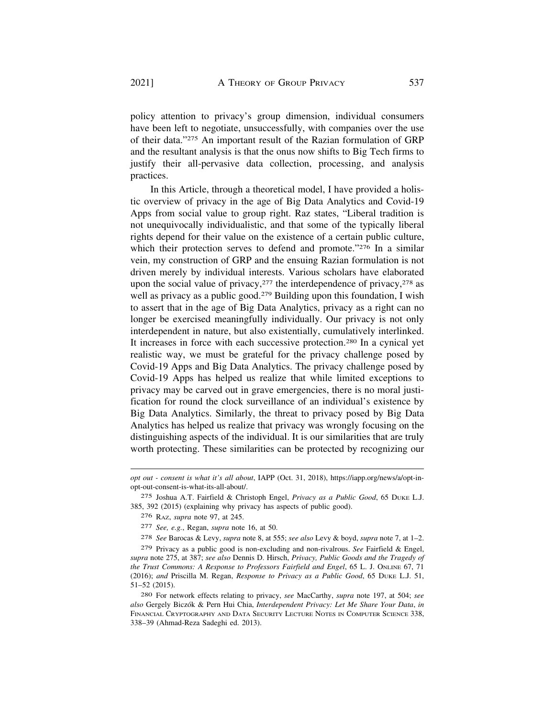policy attention to privacy's group dimension, individual consumers have been left to negotiate, unsuccessfully, with companies over the use of their data."275 An important result of the Razian formulation of GRP and the resultant analysis is that the onus now shifts to Big Tech firms to justify their all-pervasive data collection, processing, and analysis practices.

In this Article, through a theoretical model, I have provided a holistic overview of privacy in the age of Big Data Analytics and Covid-19 Apps from social value to group right. Raz states, "Liberal tradition is not unequivocally individualistic, and that some of the typically liberal rights depend for their value on the existence of a certain public culture, which their protection serves to defend and promote."276 In a similar vein, my construction of GRP and the ensuing Razian formulation is not driven merely by individual interests. Various scholars have elaborated upon the social value of privacy,  $277$  the interdependence of privacy,  $278$  as well as privacy as a public good.<sup>279</sup> Building upon this foundation, I wish to assert that in the age of Big Data Analytics, privacy as a right can no longer be exercised meaningfully individually. Our privacy is not only interdependent in nature, but also existentially, cumulatively interlinked. It increases in force with each successive protection.280 In a cynical yet realistic way, we must be grateful for the privacy challenge posed by Covid-19 Apps and Big Data Analytics. The privacy challenge posed by Covid-19 Apps has helped us realize that while limited exceptions to privacy may be carved out in grave emergencies, there is no moral justification for round the clock surveillance of an individual's existence by Big Data Analytics. Similarly, the threat to privacy posed by Big Data Analytics has helped us realize that privacy was wrongly focusing on the distinguishing aspects of the individual. It is our similarities that are truly worth protecting. These similarities can be protected by recognizing our

*opt out - consent is what it's all about*, IAPP (Oct. 31, 2018), <https://iapp.org/news/a/opt-in>opt-out-consent-is-what-its-all-about/.

<sup>275</sup> Joshua A.T. Fairfield & Christoph Engel, *Privacy as a Public Good*, 65 DUKE L.J. 385, 392 (2015) (explaining why privacy has aspects of public good).

<sup>276</sup> RAZ, *supra* note 97, at 245.

<sup>277</sup> *See, e.g.*, Regan, *supra* note 16, at 50.

<sup>278</sup> *See* Barocas & Levy, *supra* note 8, at 555; *see also* Levy & boyd, *supra* note 7, at 1–2.

<sup>279</sup> Privacy as a public good is non-excluding and non-rivalrous. *See* Fairfield & Engel, *supra* note 275, at 387; *see also* Dennis D. Hirsch, *Privacy, Public Goods and the Tragedy of the Trust Commons: A Response to Professors Fairfield and Engel*, 65 L. J. ONLINE 67, 71 (2016); *and* Priscilla M. Regan, *Response to Privacy as a Public Good*, 65 DUKE L.J. 51, 51–52 (2015).

<sup>280</sup> For network effects relating to privacy, *see* MacCarthy, *supra* note 197, at 504; *see also* Gergely Bicz´ok & Pern Hui Chia, *Interdependent Privacy: Let Me Share Your Data*, *in*  FINANCIAL CRYPTOGRAPHY AND DATA SECURITY LECTURE NOTES IN COMPUTER SCIENCE 338, 338–39 (Ahmad-Reza Sadeghi ed. 2013).